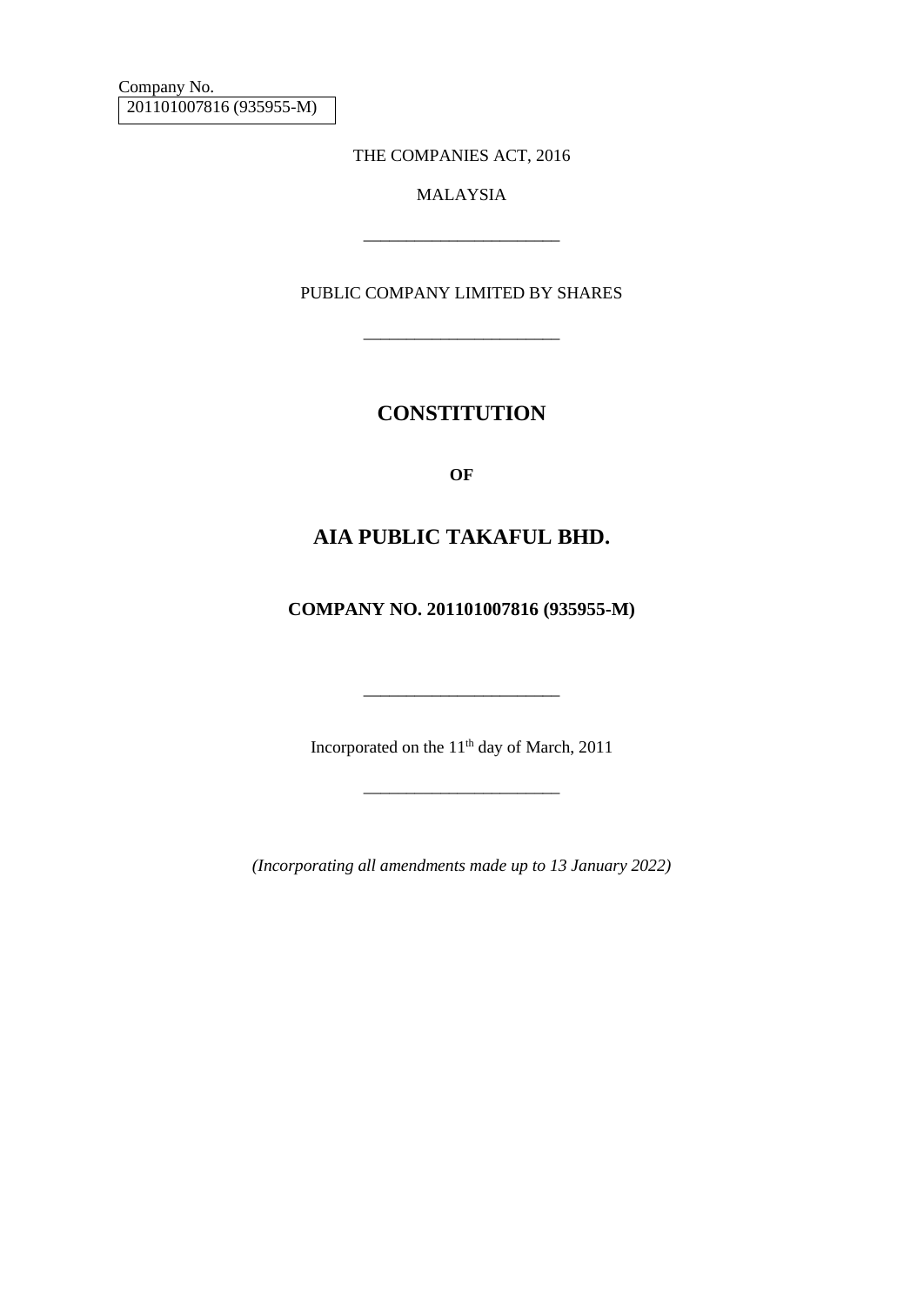Company No. 201101007816 (935955-M)

THE COMPANIES ACT, 2016

## MALAYSIA

\_\_\_\_\_\_\_\_\_\_\_\_\_\_\_\_\_\_\_\_\_\_\_

PUBLIC COMPANY LIMITED BY SHARES

\_\_\_\_\_\_\_\_\_\_\_\_\_\_\_\_\_\_\_\_\_\_\_

## **CONSTITUTION**

**OF**

## **AIA PUBLIC TAKAFUL BHD.**

**COMPANY NO. 201101007816 (935955-M)**

Incorporated on the 11<sup>th</sup> day of March, 2011

\_\_\_\_\_\_\_\_\_\_\_\_\_\_\_\_\_\_\_\_\_\_\_

\_\_\_\_\_\_\_\_\_\_\_\_\_\_\_\_\_\_\_\_\_\_\_

*(Incorporating all amendments made up to 13 January 2022)*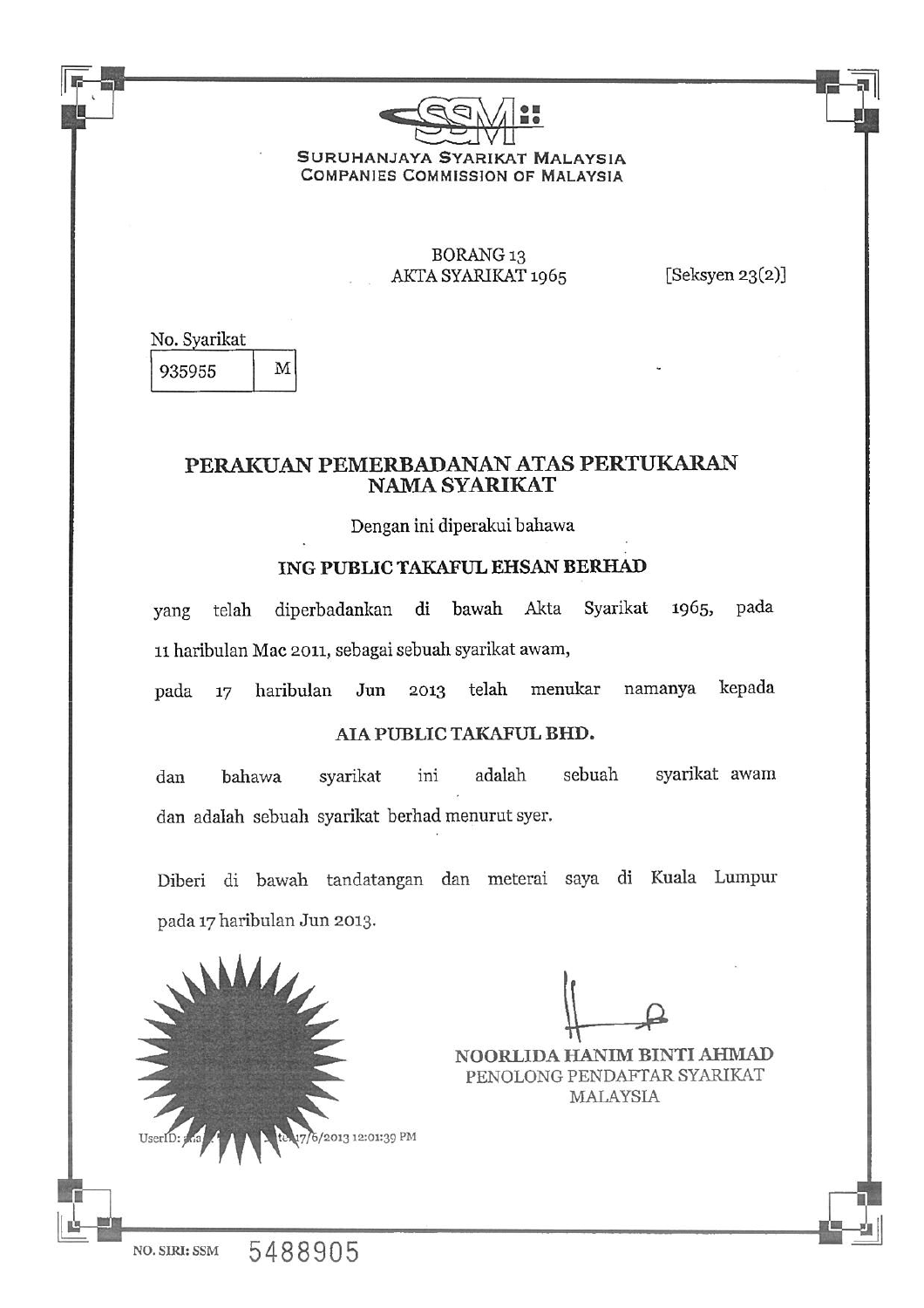

SURUHANJAYA SYARIKAT MALAYSIA **COMPANIES COMMISSION OF MALAYSIA** 

## **BORANG 13** AKTA SYARIKAT 1965

[Seksyen  $23(2)$ ]

No. Syarikat M 935955

## PERAKUAN PEMERBADANAN ATAS PERTUKARAN **NAMA SYARIKAT**

Dengan ini diperakui bahawa

## ING PUBLIC TAKAFUL EHSAN BERHAD

diperbadankan di bawah Akta Syarikat 1965, pada telah yang 11 haribulan Mac 2011, sebagai sebuah syarikat awam,

haribulan Jun 2013 telah menukar namanya kepada pada 17

## AIA PUBLIC TAKAFUL BHD.

sebuah syarikat awam adalah dan bahawa syarikat ini dan adalah sebuah syarikat berhad menurut syer.

Diberi di bawah tandatangan dan meterai saya di Kuala Lumpur pada 17 haribulan Jun 2013.

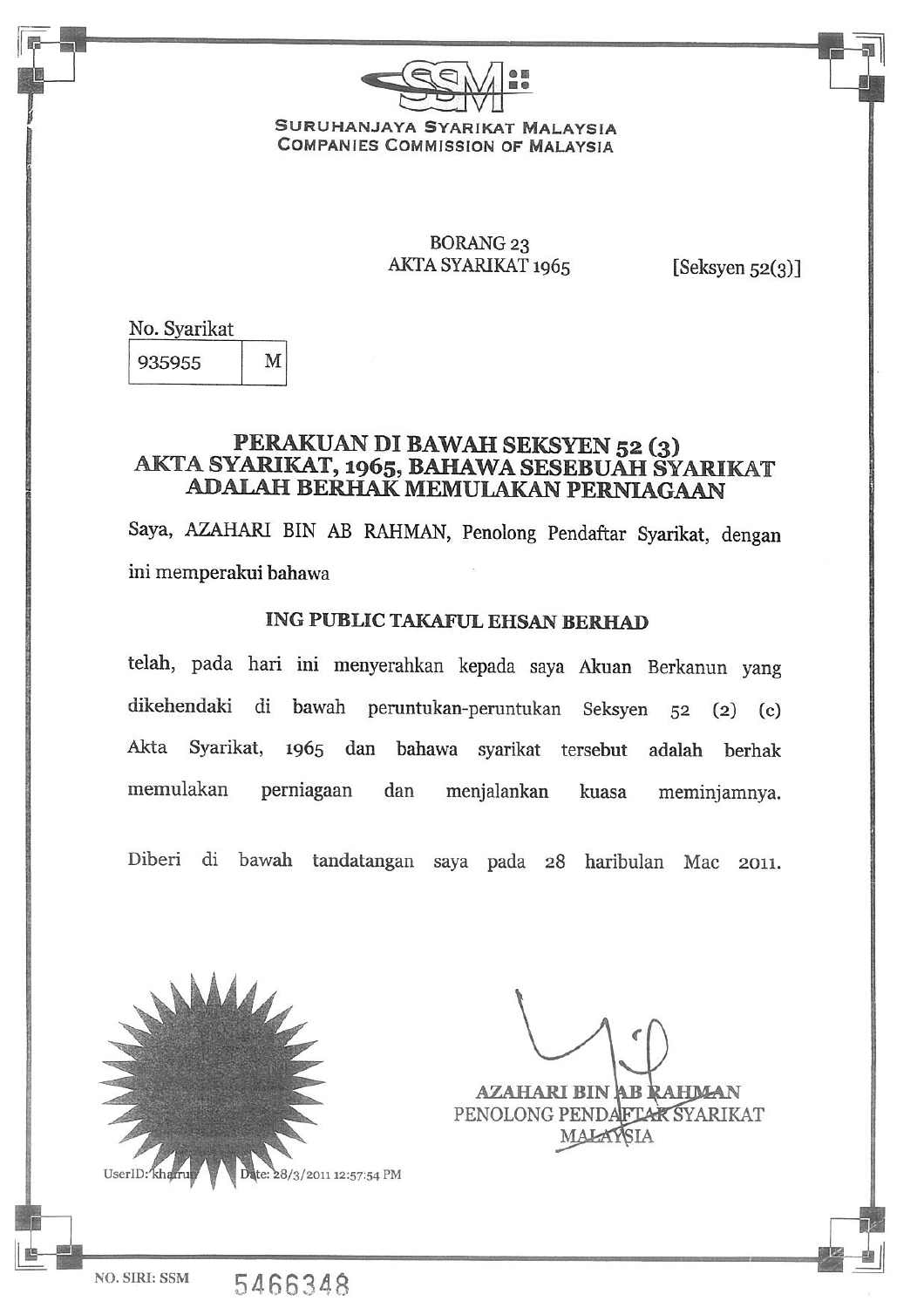

### SURUHANJAYA SYARIKAT MALAYSIA **COMPANIES COMMISSION OF MALAYSIA**

## **BORANG 23** AKTA SYARIKAT 1965

[Seksyen  $52(3)$ ]

No. Syarikat

935955 M

## PERAKUAN DI BAWAH SEKSYEN 52 (3) AKTA SYARIKAT, 1965, BAHAWA SESEBUAH SYARIKAT ADALAH BERHAK MEMULAKAN PERNIAGAAN

Saya, AZAHARI BIN AB RAHMAN, Penolong Pendaftar Syarikat, dengan ini memperakui bahawa

## **ING PUBLIC TAKAFUL EHSAN BERHAD**

telah, pada hari ini menyerahkan kepada saya Akuan Berkanun yang dikehendaki di bawah peruntukan-peruntukan Seksyen 52 (2) (c) Akta Syarikat, 1965 dan bahawa syarikat tersebut adalah berhak memulakan perniagaan dan menjalankan kuasa meminjamnya.

Diberi di bawah tandatangan saya pada 28 haribulan Mac 2011.



5466348

**AZAHARI BIN AB RAHMAN** 

PENOLONG PENDAFTAR SYARIKAT **MALAYSIA** 

NO. SIRI: SSM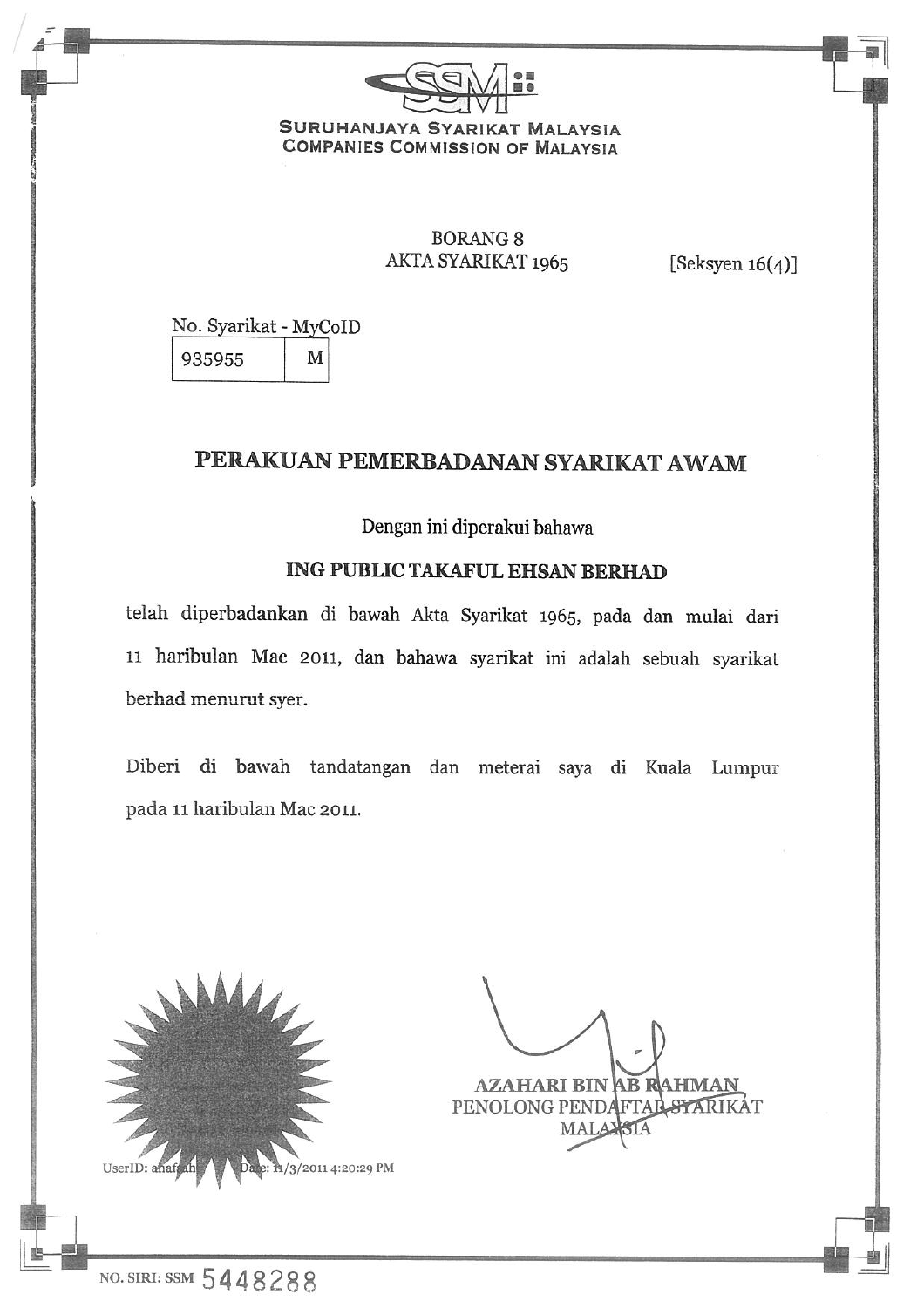

## **BORANG 8** AKTA SYARIKAT 1965

[Seksyen  $16(4)$ ]

No. Syarikat - MyCoID 935955 M

# PERAKUAN PEMERBADANAN SYARIKAT AWAM

Dengan ini diperakui bahawa

## **ING PUBLIC TAKAFUL EHSAN BERHAD**

telah diperbadankan di bawah Akta Syarikat 1965, pada dan mulai dari 11 haribulan Mac 2011, dan bahawa syarikat ini adalah sebuah syarikat berhad menurut syer.

Diberi di bawah tandatangan dan meterai saya di Kuala Lumpur pada 11 haribulan Mac 2011.



**AZAHARI BIN AB RAHMAN** PENOLONG PENDAFTAL STARIKAT MALA<sub>2</sub>

NO. SIRI: SSM 5448288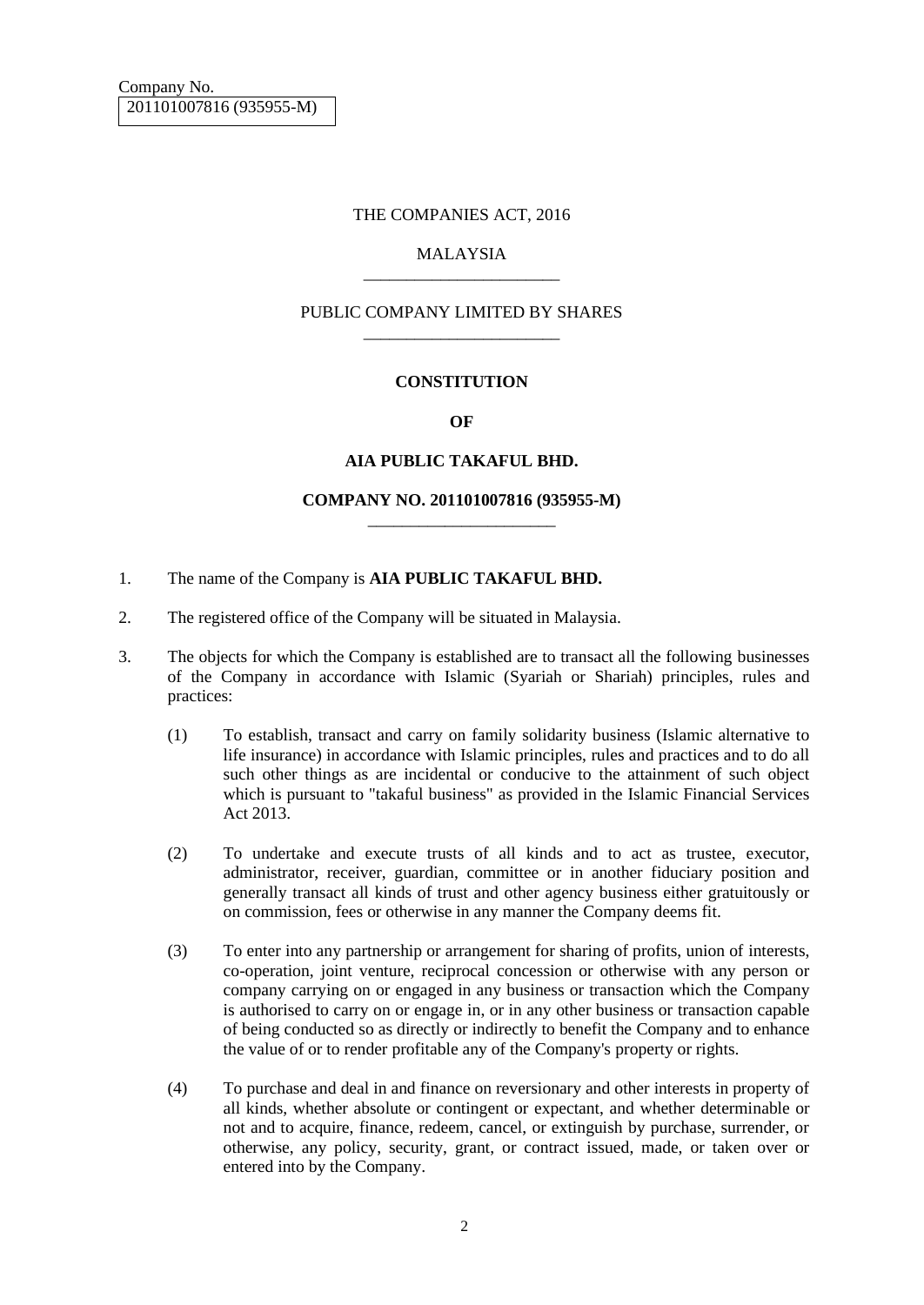#### THE COMPANIES ACT, 2016

#### MALAYSIA \_\_\_\_\_\_\_\_\_\_\_\_\_\_\_\_\_\_\_\_\_\_\_

#### PUBLIC COMPANY LIMITED BY SHARES \_\_\_\_\_\_\_\_\_\_\_\_\_\_\_\_\_\_\_\_\_\_\_

#### **CONSTITUTION**

#### **OF**

#### **AIA PUBLIC TAKAFUL BHD.**

#### **COMPANY NO. 201101007816 (935955-M)** \_\_\_\_\_\_\_\_\_\_\_\_\_\_\_\_\_\_\_\_\_\_

- 1. The name of the Company is **AIA PUBLIC TAKAFUL BHD.**
- 2. The registered office of the Company will be situated in Malaysia.
- 3. The objects for which the Company is established are to transact all the following businesses of the Company in accordance with Islamic (Syariah or Shariah) principles, rules and practices:
	- (1) To establish, transact and carry on family solidarity business (Islamic alternative to life insurance) in accordance with Islamic principles, rules and practices and to do all such other things as are incidental or conducive to the attainment of such object which is pursuant to "takaful business" as provided in the Islamic Financial Services Act 2013.
	- (2) To undertake and execute trusts of all kinds and to act as trustee, executor, administrator, receiver, guardian, committee or in another fiduciary position and generally transact all kinds of trust and other agency business either gratuitously or on commission, fees or otherwise in any manner the Company deems fit.
	- (3) To enter into any partnership or arrangement for sharing of profits, union of interests, co-operation, joint venture, reciprocal concession or otherwise with any person or company carrying on or engaged in any business or transaction which the Company is authorised to carry on or engage in, or in any other business or transaction capable of being conducted so as directly or indirectly to benefit the Company and to enhance the value of or to render profitable any of the Company's property or rights.
	- (4) To purchase and deal in and finance on reversionary and other interests in property of all kinds, whether absolute or contingent or expectant, and whether determinable or not and to acquire, finance, redeem, cancel, or extinguish by purchase, surrender, or otherwise, any policy, security, grant, or contract issued, made, or taken over or entered into by the Company.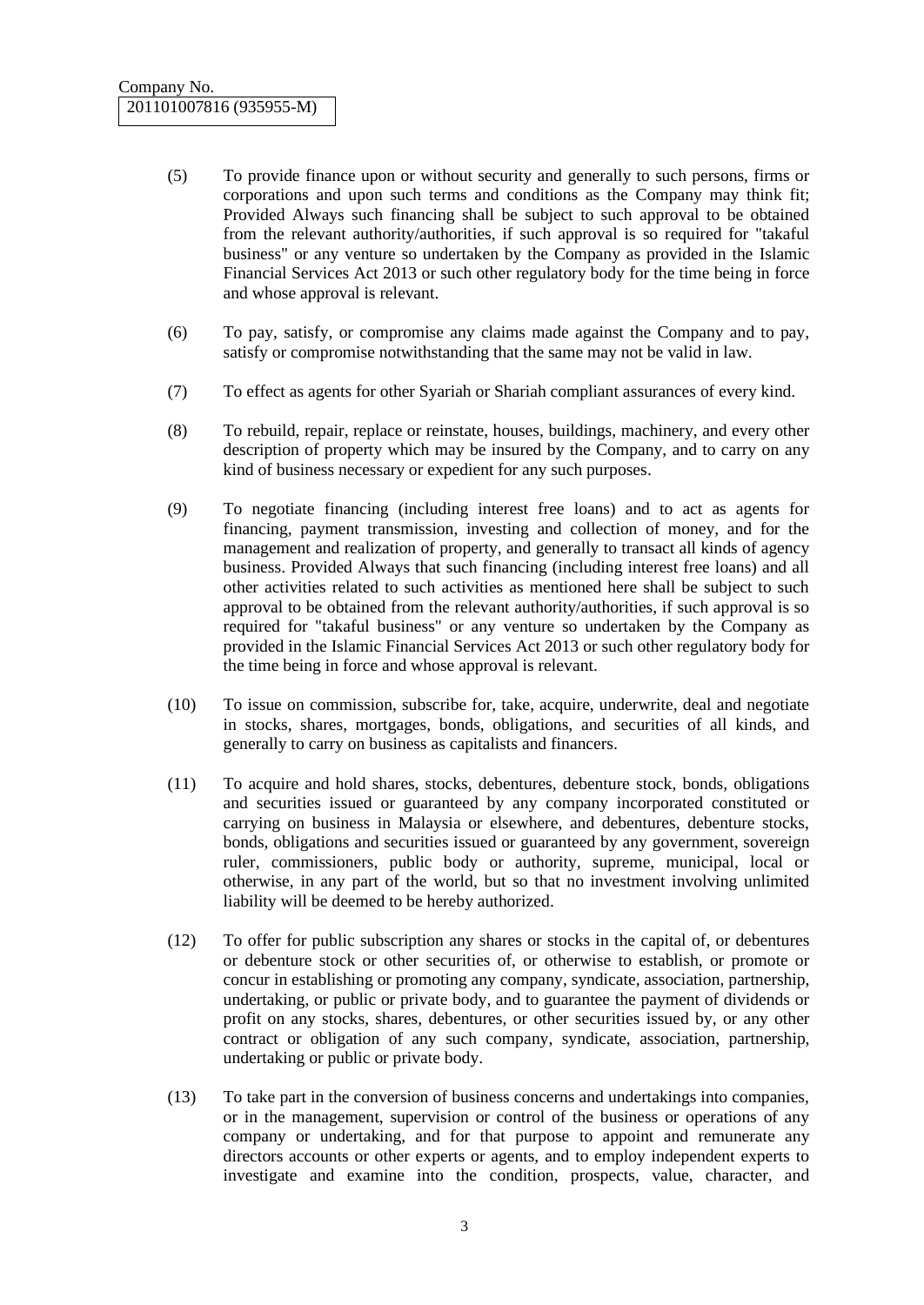- (5) To provide finance upon or without security and generally to such persons, firms or corporations and upon such terms and conditions as the Company may think fit; Provided Always such financing shall be subject to such approval to be obtained from the relevant authority/authorities, if such approval is so required for "takaful business" or any venture so undertaken by the Company as provided in the Islamic Financial Services Act 2013 or such other regulatory body for the time being in force and whose approval is relevant.
- (6) To pay, satisfy, or compromise any claims made against the Company and to pay, satisfy or compromise notwithstanding that the same may not be valid in law.
- (7) To effect as agents for other Syariah or Shariah compliant assurances of every kind.
- (8) To rebuild, repair, replace or reinstate, houses, buildings, machinery, and every other description of property which may be insured by the Company, and to carry on any kind of business necessary or expedient for any such purposes.
- (9) To negotiate financing (including interest free loans) and to act as agents for financing, payment transmission, investing and collection of money, and for the management and realization of property, and generally to transact all kinds of agency business. Provided Always that such financing (including interest free loans) and all other activities related to such activities as mentioned here shall be subject to such approval to be obtained from the relevant authority/authorities, if such approval is so required for "takaful business" or any venture so undertaken by the Company as provided in the Islamic Financial Services Act 2013 or such other regulatory body for the time being in force and whose approval is relevant.
- (10) To issue on commission, subscribe for, take, acquire, underwrite, deal and negotiate in stocks, shares, mortgages, bonds, obligations, and securities of all kinds, and generally to carry on business as capitalists and financers.
- (11) To acquire and hold shares, stocks, debentures, debenture stock, bonds, obligations and securities issued or guaranteed by any company incorporated constituted or carrying on business in Malaysia or elsewhere, and debentures, debenture stocks, bonds, obligations and securities issued or guaranteed by any government, sovereign ruler, commissioners, public body or authority, supreme, municipal, local or otherwise, in any part of the world, but so that no investment involving unlimited liability will be deemed to be hereby authorized.
- (12) To offer for public subscription any shares or stocks in the capital of, or debentures or debenture stock or other securities of, or otherwise to establish, or promote or concur in establishing or promoting any company, syndicate, association, partnership, undertaking, or public or private body, and to guarantee the payment of dividends or profit on any stocks, shares, debentures, or other securities issued by, or any other contract or obligation of any such company, syndicate, association, partnership, undertaking or public or private body.
- (13) To take part in the conversion of business concerns and undertakings into companies, or in the management, supervision or control of the business or operations of any company or undertaking, and for that purpose to appoint and remunerate any directors accounts or other experts or agents, and to employ independent experts to investigate and examine into the condition, prospects, value, character, and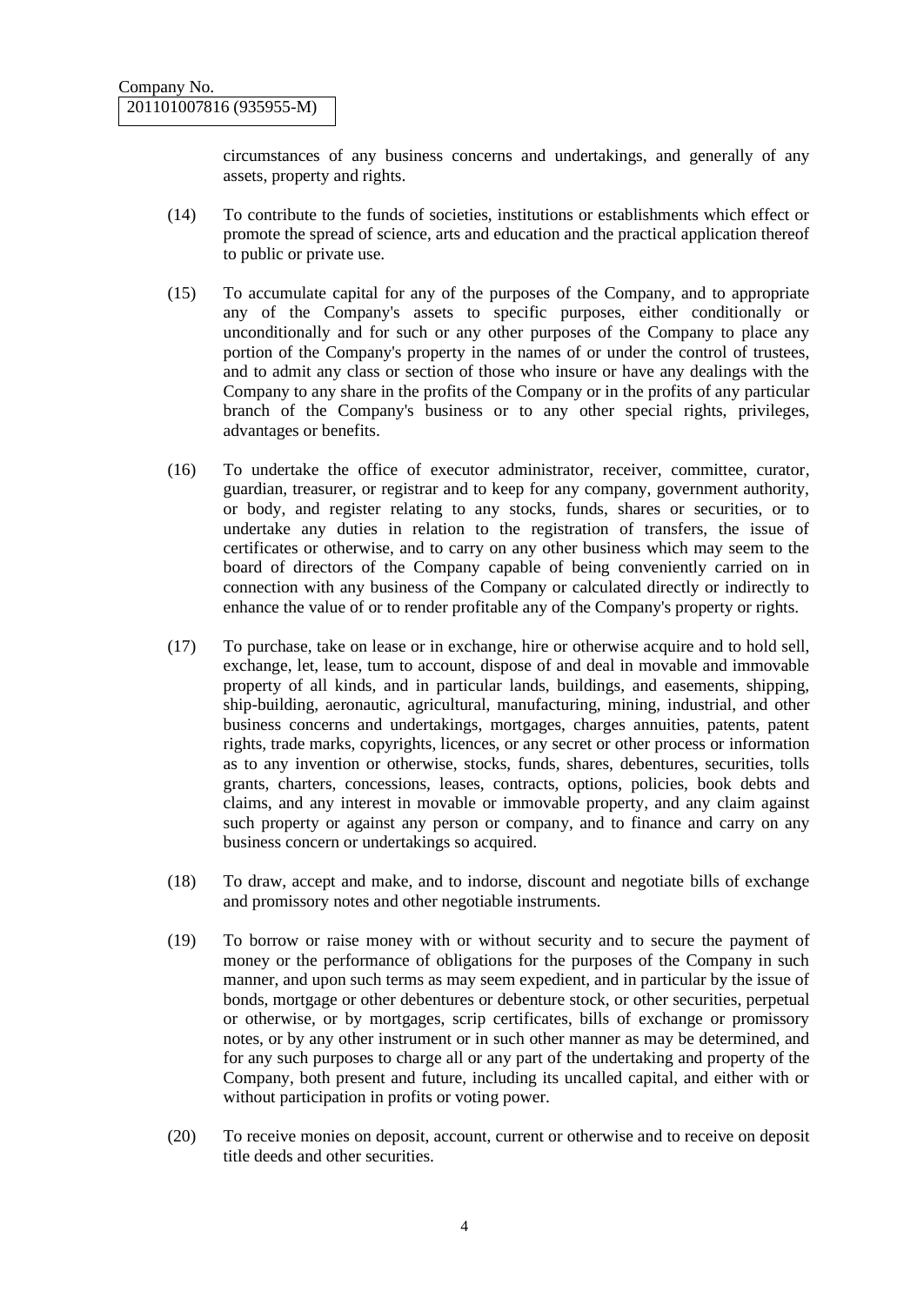circumstances of any business concerns and undertakings, and generally of any assets, property and rights.

- (14) To contribute to the funds of societies, institutions or establishments which effect or promote the spread of science, arts and education and the practical application thereof to public or private use.
- (15) To accumulate capital for any of the purposes of the Company, and to appropriate any of the Company's assets to specific purposes, either conditionally or unconditionally and for such or any other purposes of the Company to place any portion of the Company's property in the names of or under the control of trustees, and to admit any class or section of those who insure or have any dealings with the Company to any share in the profits of the Company or in the profits of any particular branch of the Company's business or to any other special rights, privileges, advantages or benefits.
- (16) To undertake the office of executor administrator, receiver, committee, curator, guardian, treasurer, or registrar and to keep for any company, government authority, or body, and register relating to any stocks, funds, shares or securities, or to undertake any duties in relation to the registration of transfers, the issue of certificates or otherwise, and to carry on any other business which may seem to the board of directors of the Company capable of being conveniently carried on in connection with any business of the Company or calculated directly or indirectly to enhance the value of or to render profitable any of the Company's property or rights.
- (17) To purchase, take on lease or in exchange, hire or otherwise acquire and to hold sell, exchange, let, lease, tum to account, dispose of and deal in movable and immovable property of all kinds, and in particular lands, buildings, and easements, shipping, ship-building, aeronautic, agricultural, manufacturing, mining, industrial, and other business concerns and undertakings, mortgages, charges annuities, patents, patent rights, trade marks, copyrights, licences, or any secret or other process or information as to any invention or otherwise, stocks, funds, shares, debentures, securities, tolls grants, charters, concessions, leases, contracts, options, policies, book debts and claims, and any interest in movable or immovable property, and any claim against such property or against any person or company, and to finance and carry on any business concern or undertakings so acquired.
- (18) To draw, accept and make, and to indorse, discount and negotiate bills of exchange and promissory notes and other negotiable instruments.
- (19) To borrow or raise money with or without security and to secure the payment of money or the performance of obligations for the purposes of the Company in such manner, and upon such terms as may seem expedient, and in particular by the issue of bonds, mortgage or other debentures or debenture stock, or other securities, perpetual or otherwise, or by mortgages, scrip certificates, bills of exchange or promissory notes, or by any other instrument or in such other manner as may be determined, and for any such purposes to charge all or any part of the undertaking and property of the Company, both present and future, including its uncalled capital, and either with or without participation in profits or voting power.
- (20) To receive monies on deposit, account, current or otherwise and to receive on deposit title deeds and other securities.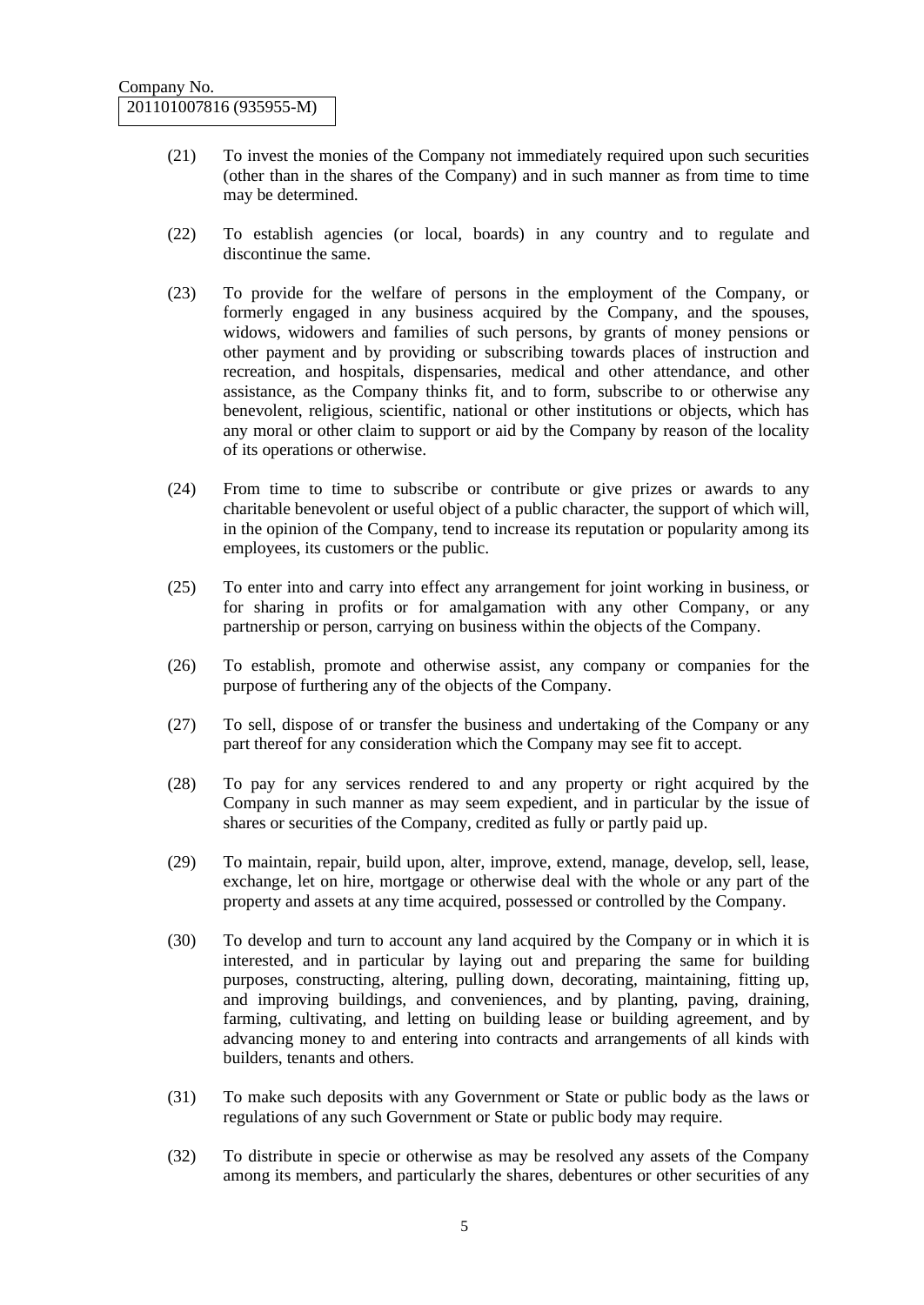- (21) To invest the monies of the Company not immediately required upon such securities (other than in the shares of the Company) and in such manner as from time to time may be determined.
- (22) To establish agencies (or local, boards) in any country and to regulate and discontinue the same.
- (23) To provide for the welfare of persons in the employment of the Company, or formerly engaged in any business acquired by the Company, and the spouses, widows, widowers and families of such persons, by grants of money pensions or other payment and by providing or subscribing towards places of instruction and recreation, and hospitals, dispensaries, medical and other attendance, and other assistance, as the Company thinks fit, and to form, subscribe to or otherwise any benevolent, religious, scientific, national or other institutions or objects, which has any moral or other claim to support or aid by the Company by reason of the locality of its operations or otherwise.
- (24) From time to time to subscribe or contribute or give prizes or awards to any charitable benevolent or useful object of a public character, the support of which will, in the opinion of the Company, tend to increase its reputation or popularity among its employees, its customers or the public.
- (25) To enter into and carry into effect any arrangement for joint working in business, or for sharing in profits or for amalgamation with any other Company, or any partnership or person, carrying on business within the objects of the Company.
- (26) To establish, promote and otherwise assist, any company or companies for the purpose of furthering any of the objects of the Company.
- (27) To sell, dispose of or transfer the business and undertaking of the Company or any part thereof for any consideration which the Company may see fit to accept.
- (28) To pay for any services rendered to and any property or right acquired by the Company in such manner as may seem expedient, and in particular by the issue of shares or securities of the Company, credited as fully or partly paid up.
- (29) To maintain, repair, build upon, alter, improve, extend, manage, develop, sell, lease, exchange, let on hire, mortgage or otherwise deal with the whole or any part of the property and assets at any time acquired, possessed or controlled by the Company.
- (30) To develop and turn to account any land acquired by the Company or in which it is interested, and in particular by laying out and preparing the same for building purposes, constructing, altering, pulling down, decorating, maintaining, fitting up, and improving buildings, and conveniences, and by planting, paving, draining, farming, cultivating, and letting on building lease or building agreement, and by advancing money to and entering into contracts and arrangements of all kinds with builders, tenants and others.
- (31) To make such deposits with any Government or State or public body as the laws or regulations of any such Government or State or public body may require.
- (32) To distribute in specie or otherwise as may be resolved any assets of the Company among its members, and particularly the shares, debentures or other securities of any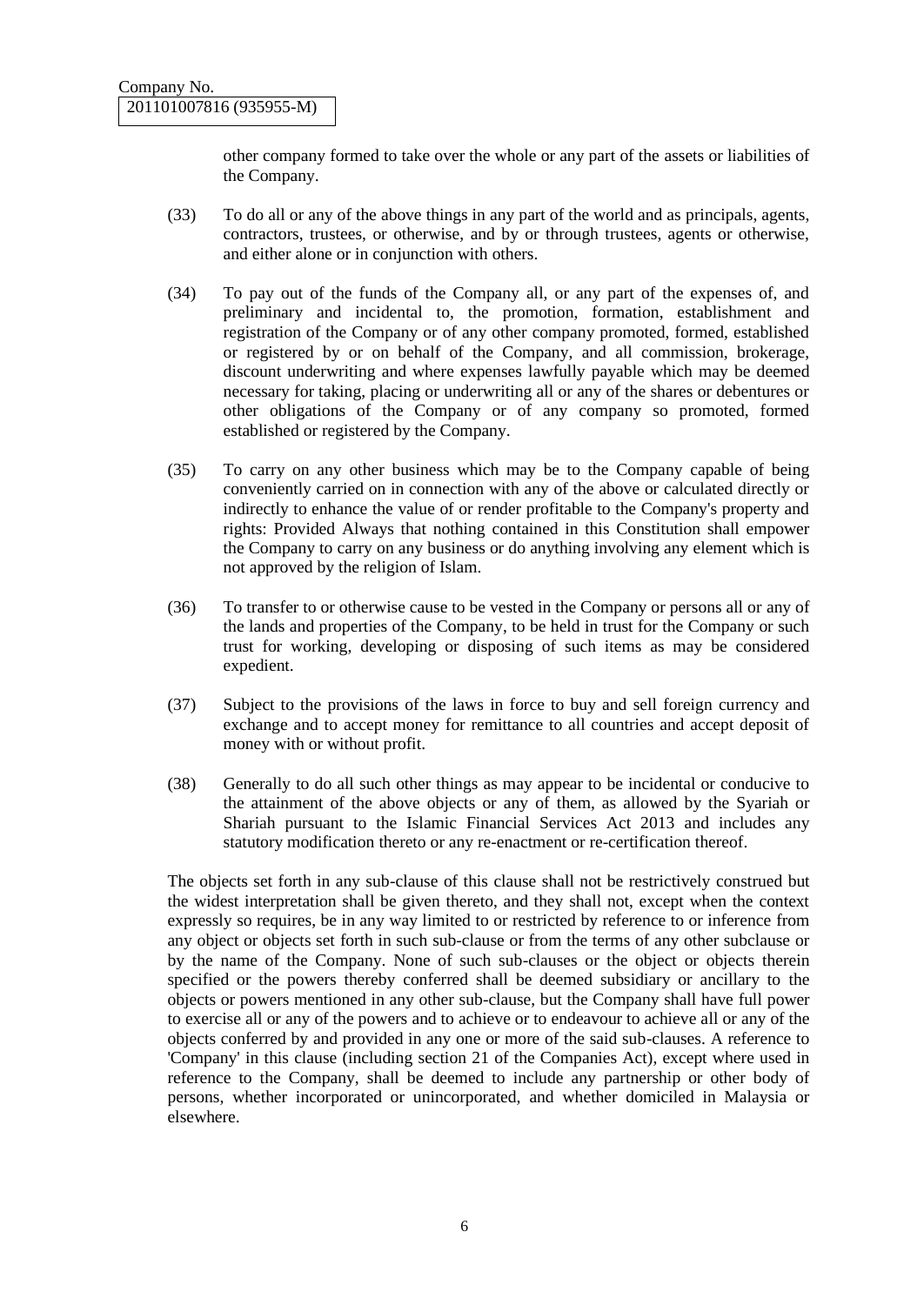other company formed to take over the whole or any part of the assets or liabilities of the Company.

- (33) To do all or any of the above things in any part of the world and as principals, agents, contractors, trustees, or otherwise, and by or through trustees, agents or otherwise, and either alone or in conjunction with others.
- (34) To pay out of the funds of the Company all, or any part of the expenses of, and preliminary and incidental to, the promotion, formation, establishment and registration of the Company or of any other company promoted, formed, established or registered by or on behalf of the Company, and all commission, brokerage, discount underwriting and where expenses lawfully payable which may be deemed necessary for taking, placing or underwriting all or any of the shares or debentures or other obligations of the Company or of any company so promoted, formed established or registered by the Company.
- (35) To carry on any other business which may be to the Company capable of being conveniently carried on in connection with any of the above or calculated directly or indirectly to enhance the value of or render profitable to the Company's property and rights: Provided Always that nothing contained in this Constitution shall empower the Company to carry on any business or do anything involving any element which is not approved by the religion of Islam.
- (36) To transfer to or otherwise cause to be vested in the Company or persons all or any of the lands and properties of the Company, to be held in trust for the Company or such trust for working, developing or disposing of such items as may be considered expedient.
- (37) Subject to the provisions of the laws in force to buy and sell foreign currency and exchange and to accept money for remittance to all countries and accept deposit of money with or without profit.
- (38) Generally to do all such other things as may appear to be incidental or conducive to the attainment of the above objects or any of them, as allowed by the Syariah or Shariah pursuant to the Islamic Financial Services Act 2013 and includes any statutory modification thereto or any re-enactment or re-certification thereof.

The objects set forth in any sub-clause of this clause shall not be restrictively construed but the widest interpretation shall be given thereto, and they shall not, except when the context expressly so requires, be in any way limited to or restricted by reference to or inference from any object or objects set forth in such sub-clause or from the terms of any other subclause or by the name of the Company. None of such sub-clauses or the object or objects therein specified or the powers thereby conferred shall be deemed subsidiary or ancillary to the objects or powers mentioned in any other sub-clause, but the Company shall have full power to exercise all or any of the powers and to achieve or to endeavour to achieve all or any of the objects conferred by and provided in any one or more of the said sub-clauses. A reference to 'Company' in this clause (including section 21 of the Companies Act), except where used in reference to the Company, shall be deemed to include any partnership or other body of persons, whether incorporated or unincorporated, and whether domiciled in Malaysia or elsewhere.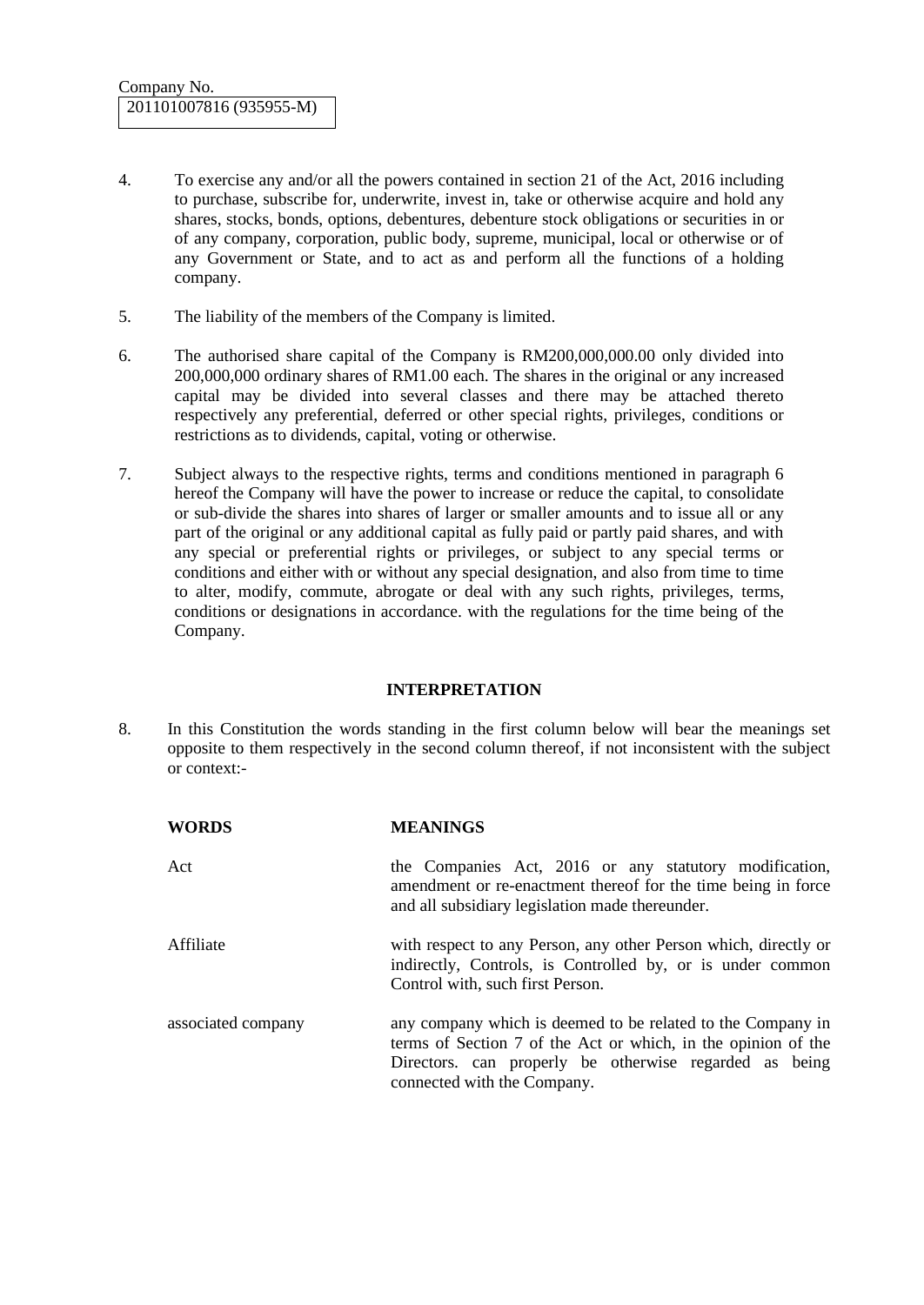- 4. To exercise any and/or all the powers contained in section 21 of the Act, 2016 including to purchase, subscribe for, underwrite, invest in, take or otherwise acquire and hold any shares, stocks, bonds, options, debentures, debenture stock obligations or securities in or of any company, corporation, public body, supreme, municipal, local or otherwise or of any Government or State, and to act as and perform all the functions of a holding company.
- 5. The liability of the members of the Company is limited.
- 6. The authorised share capital of the Company is RM200,000,000.00 only divided into 200,000,000 ordinary shares of RM1.00 each. The shares in the original or any increased capital may be divided into several classes and there may be attached thereto respectively any preferential, deferred or other special rights, privileges, conditions or restrictions as to dividends, capital, voting or otherwise.
- 7. Subject always to the respective rights, terms and conditions mentioned in paragraph 6 hereof the Company will have the power to increase or reduce the capital, to consolidate or sub-divide the shares into shares of larger or smaller amounts and to issue all or any part of the original or any additional capital as fully paid or partly paid shares, and with any special or preferential rights or privileges, or subject to any special terms or conditions and either with or without any special designation, and also from time to time to alter, modify, commute, abrogate or deal with any such rights, privileges, terms, conditions or designations in accordance. with the regulations for the time being of the Company.

#### **INTERPRETATION**

8. In this Constitution the words standing in the first column below will bear the meanings set opposite to them respectively in the second column thereof, if not inconsistent with the subject or context:-

| <b>WORDS</b>       | <b>MEANINGS</b>                                                                                                                                                                                                       |
|--------------------|-----------------------------------------------------------------------------------------------------------------------------------------------------------------------------------------------------------------------|
| Act                | the Companies Act, 2016 or any statutory modification,<br>amendment or re-enactment thereof for the time being in force<br>and all subsidiary legislation made thereunder.                                            |
| Affiliate          | with respect to any Person, any other Person which, directly or<br>indirectly, Controls, is Controlled by, or is under common<br>Control with, such first Person.                                                     |
| associated company | any company which is deemed to be related to the Company in<br>terms of Section 7 of the Act or which, in the opinion of the<br>Directors. can properly be otherwise regarded as being<br>connected with the Company. |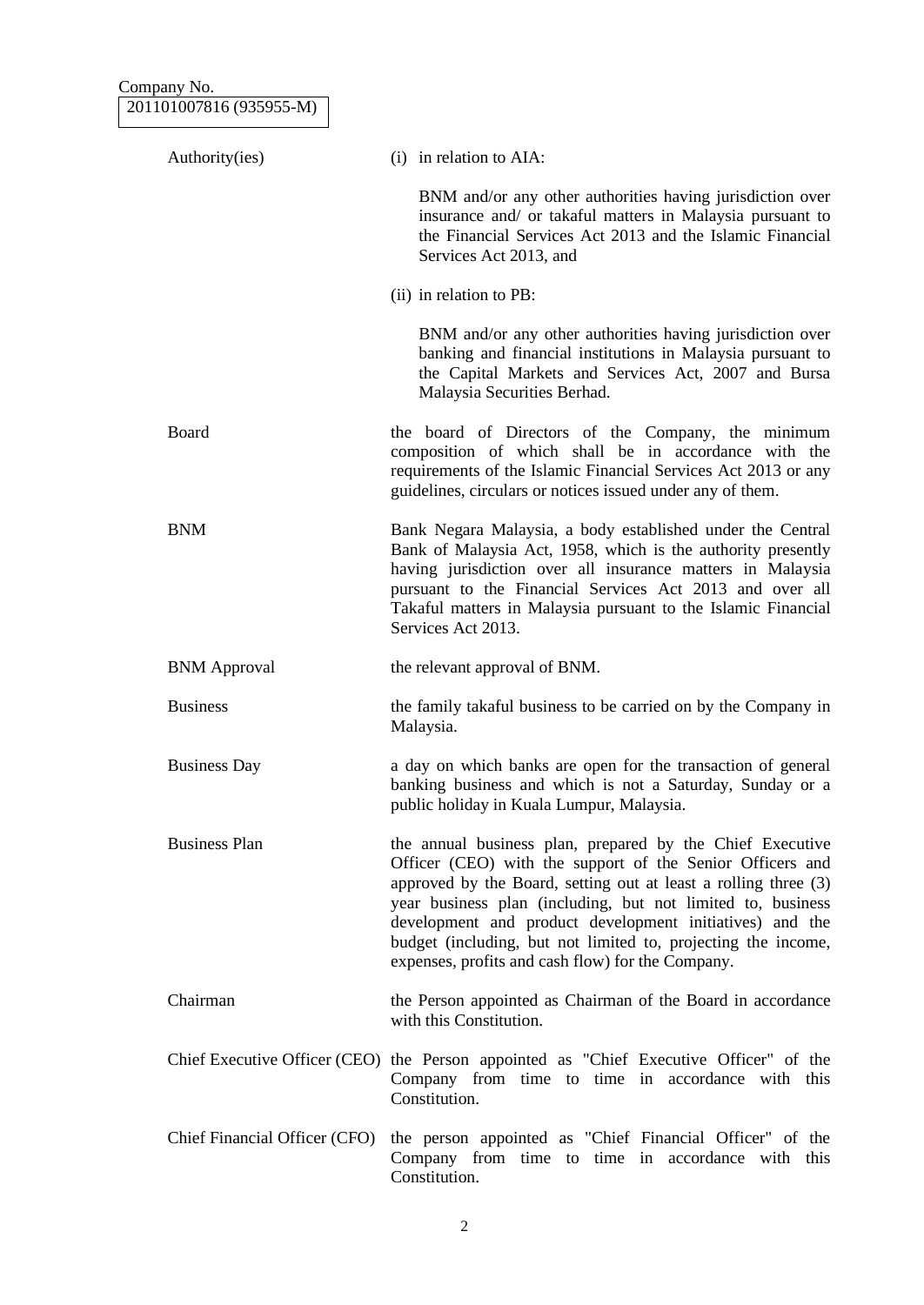Company No. 201101007816 (935955-M)

| Authority(ies)                | (i) in relation to AIA:                                                                                                                                                                                                                                                                                                                                                                                                                    |
|-------------------------------|--------------------------------------------------------------------------------------------------------------------------------------------------------------------------------------------------------------------------------------------------------------------------------------------------------------------------------------------------------------------------------------------------------------------------------------------|
|                               | BNM and/or any other authorities having jurisdiction over<br>insurance and/ or takaful matters in Malaysia pursuant to<br>the Financial Services Act 2013 and the Islamic Financial<br>Services Act 2013, and                                                                                                                                                                                                                              |
|                               | (ii) in relation to PB:                                                                                                                                                                                                                                                                                                                                                                                                                    |
|                               | BNM and/or any other authorities having jurisdiction over<br>banking and financial institutions in Malaysia pursuant to<br>the Capital Markets and Services Act, 2007 and Bursa<br>Malaysia Securities Berhad.                                                                                                                                                                                                                             |
| Board                         | the board of Directors of the Company, the minimum<br>composition of which shall be in accordance with the<br>requirements of the Islamic Financial Services Act 2013 or any<br>guidelines, circulars or notices issued under any of them.                                                                                                                                                                                                 |
| <b>BNM</b>                    | Bank Negara Malaysia, a body established under the Central<br>Bank of Malaysia Act, 1958, which is the authority presently<br>having jurisdiction over all insurance matters in Malaysia<br>pursuant to the Financial Services Act 2013 and over all<br>Takaful matters in Malaysia pursuant to the Islamic Financial<br>Services Act 2013.                                                                                                |
| <b>BNM</b> Approval           | the relevant approval of BNM.                                                                                                                                                                                                                                                                                                                                                                                                              |
| <b>Business</b>               | the family takaful business to be carried on by the Company in<br>Malaysia.                                                                                                                                                                                                                                                                                                                                                                |
| <b>Business Day</b>           | a day on which banks are open for the transaction of general<br>banking business and which is not a Saturday, Sunday or a<br>public holiday in Kuala Lumpur, Malaysia.                                                                                                                                                                                                                                                                     |
| <b>Business Plan</b>          | the annual business plan, prepared by the Chief Executive<br>Officer (CEO) with the support of the Senior Officers and<br>approved by the Board, setting out at least a rolling three (3)<br>year business plan (including, but not limited to, business<br>development and product development initiatives) and the<br>budget (including, but not limited to, projecting the income,<br>expenses, profits and cash flow) for the Company. |
| Chairman                      | the Person appointed as Chairman of the Board in accordance<br>with this Constitution.                                                                                                                                                                                                                                                                                                                                                     |
|                               | Chief Executive Officer (CEO) the Person appointed as "Chief Executive Officer" of the<br>Company from time to time in accordance with this<br>Constitution.                                                                                                                                                                                                                                                                               |
| Chief Financial Officer (CFO) | the person appointed as "Chief Financial Officer" of the<br>Company from time to time in accordance with this<br>Constitution.                                                                                                                                                                                                                                                                                                             |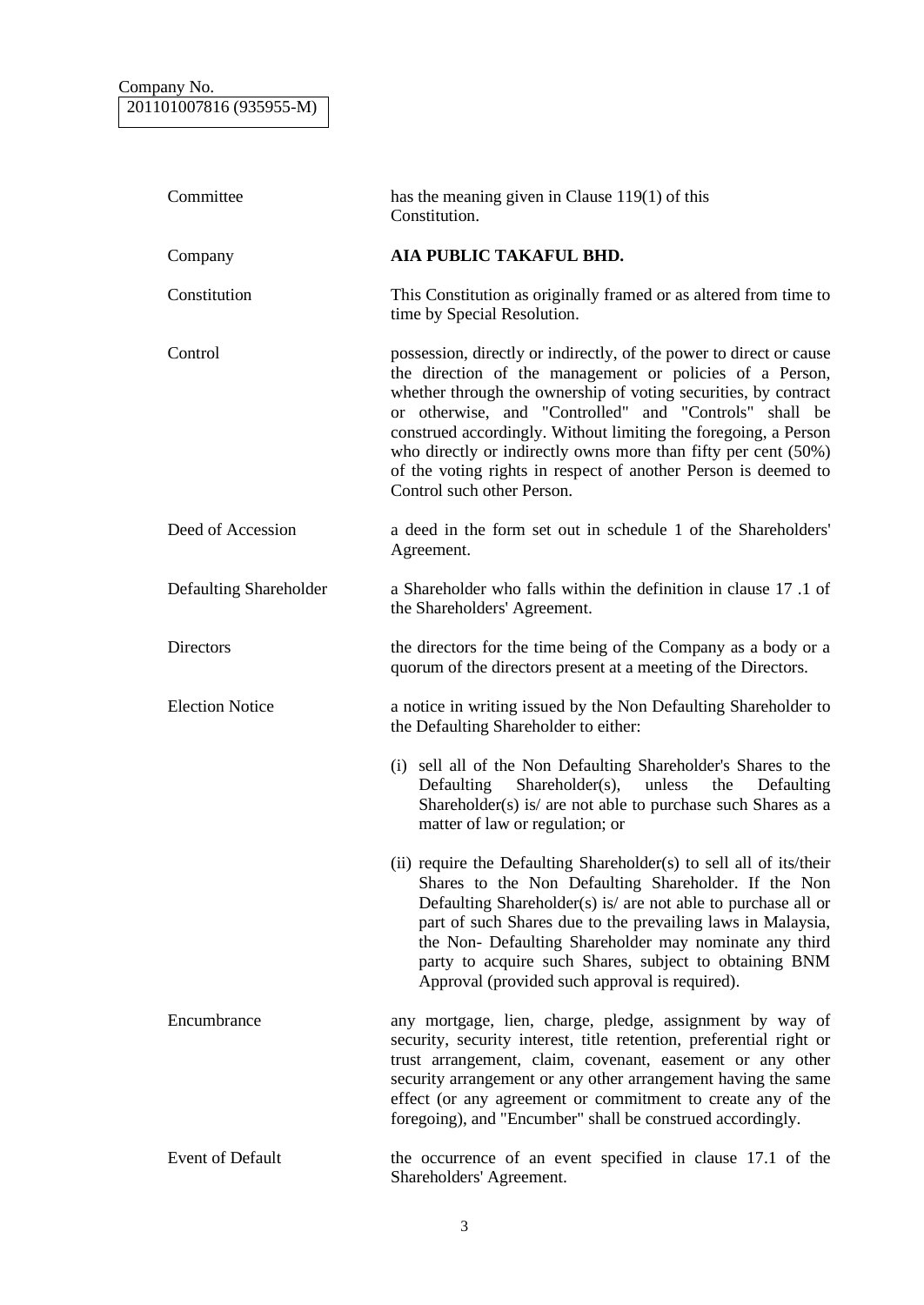| Committee              | has the meaning given in Clause $119(1)$ of this<br>Constitution.                                                                                                                                                                                                                                                                                                                                                                                                                                 |
|------------------------|---------------------------------------------------------------------------------------------------------------------------------------------------------------------------------------------------------------------------------------------------------------------------------------------------------------------------------------------------------------------------------------------------------------------------------------------------------------------------------------------------|
| Company                | AIA PUBLIC TAKAFUL BHD.                                                                                                                                                                                                                                                                                                                                                                                                                                                                           |
| Constitution           | This Constitution as originally framed or as altered from time to<br>time by Special Resolution.                                                                                                                                                                                                                                                                                                                                                                                                  |
| Control                | possession, directly or indirectly, of the power to direct or cause<br>the direction of the management or policies of a Person,<br>whether through the ownership of voting securities, by contract<br>or otherwise, and "Controlled" and "Controls" shall be<br>construed accordingly. Without limiting the foregoing, a Person<br>who directly or indirectly owns more than fifty per cent (50%)<br>of the voting rights in respect of another Person is deemed to<br>Control such other Person. |
| Deed of Accession      | a deed in the form set out in schedule 1 of the Shareholders'<br>Agreement.                                                                                                                                                                                                                                                                                                                                                                                                                       |
| Defaulting Shareholder | a Shareholder who falls within the definition in clause 17.1 of<br>the Shareholders' Agreement.                                                                                                                                                                                                                                                                                                                                                                                                   |
| Directors              | the directors for the time being of the Company as a body or a<br>quorum of the directors present at a meeting of the Directors.                                                                                                                                                                                                                                                                                                                                                                  |
| <b>Election Notice</b> | a notice in writing issued by the Non Defaulting Shareholder to<br>the Defaulting Shareholder to either:                                                                                                                                                                                                                                                                                                                                                                                          |
|                        | (i) sell all of the Non Defaulting Shareholder's Shares to the<br>Defaulting<br>Shareholder(s),<br>unless<br>the<br>Defaulting<br>Shareholder(s) is/ are not able to purchase such Shares as a<br>matter of law or regulation; or                                                                                                                                                                                                                                                                 |
|                        | (ii) require the Defaulting Shareholder(s) to sell all of its/their<br>Shares to the Non Defaulting Shareholder. If the Non<br>Defaulting Shareholder(s) is/ are not able to purchase all or<br>part of such Shares due to the prevailing laws in Malaysia,<br>the Non- Defaulting Shareholder may nominate any third<br>party to acquire such Shares, subject to obtaining BNM<br>Approval (provided such approval is required).                                                                 |
| Encumbrance            | any mortgage, lien, charge, pledge, assignment by way of<br>security, security interest, title retention, preferential right or<br>trust arrangement, claim, covenant, easement or any other<br>security arrangement or any other arrangement having the same<br>effect (or any agreement or commitment to create any of the<br>foregoing), and "Encumber" shall be construed accordingly.                                                                                                        |
| Event of Default       | the occurrence of an event specified in clause 17.1 of the<br>Shareholders' Agreement.                                                                                                                                                                                                                                                                                                                                                                                                            |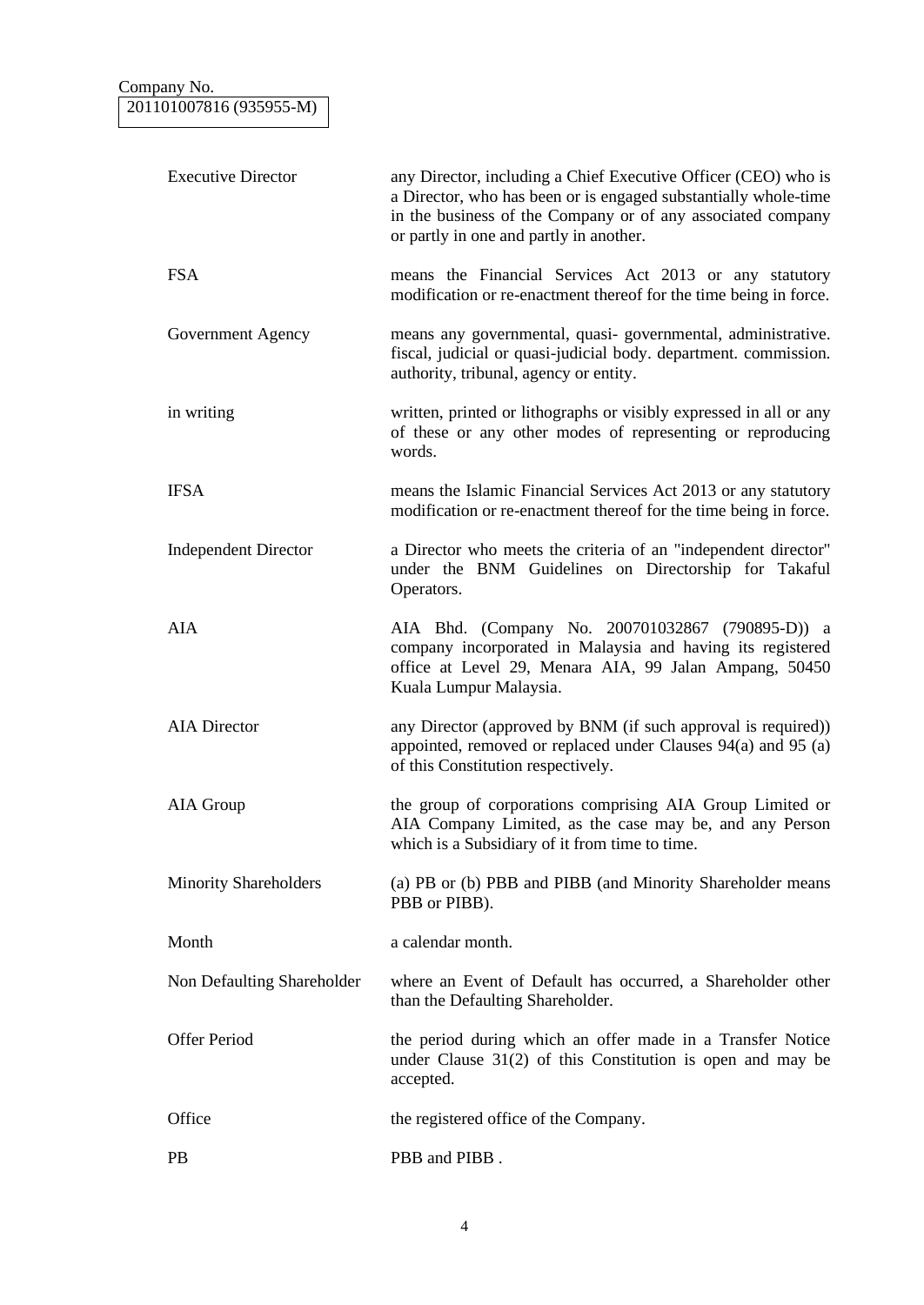| <b>Executive Director</b>    | any Director, including a Chief Executive Officer (CEO) who is<br>a Director, who has been or is engaged substantially whole-time<br>in the business of the Company or of any associated company<br>or partly in one and partly in another. |
|------------------------------|---------------------------------------------------------------------------------------------------------------------------------------------------------------------------------------------------------------------------------------------|
| <b>FSA</b>                   | means the Financial Services Act 2013 or any statutory<br>modification or re-enactment thereof for the time being in force.                                                                                                                 |
| Government Agency            | means any governmental, quasi-governmental, administrative.<br>fiscal, judicial or quasi-judicial body. department. commission.<br>authority, tribunal, agency or entity.                                                                   |
| in writing                   | written, printed or lithographs or visibly expressed in all or any<br>of these or any other modes of representing or reproducing<br>words.                                                                                                  |
| <b>IFSA</b>                  | means the Islamic Financial Services Act 2013 or any statutory<br>modification or re-enactment thereof for the time being in force.                                                                                                         |
| <b>Independent Director</b>  | a Director who meets the criteria of an "independent director"<br>under the BNM Guidelines on Directorship for Takaful<br>Operators.                                                                                                        |
| <b>AIA</b>                   | AIA Bhd. (Company No. 200701032867 (790895-D)) a<br>company incorporated in Malaysia and having its registered<br>office at Level 29, Menara AIA, 99 Jalan Ampang, 50450<br>Kuala Lumpur Malaysia.                                          |
| <b>AIA</b> Director          | any Director (approved by BNM (if such approval is required))<br>appointed, removed or replaced under Clauses 94(a) and 95 (a)<br>of this Constitution respectively.                                                                        |
| AIA Group                    | the group of corporations comprising AIA Group Limited or<br>AIA Company Limited, as the case may be, and any Person<br>which is a Subsidiary of it from time to time.                                                                      |
| <b>Minority Shareholders</b> | (a) PB or (b) PBB and PIBB (and Minority Shareholder means<br>PBB or PIBB).                                                                                                                                                                 |
| Month                        | a calendar month.                                                                                                                                                                                                                           |
| Non Defaulting Shareholder   | where an Event of Default has occurred, a Shareholder other<br>than the Defaulting Shareholder.                                                                                                                                             |
| <b>Offer Period</b>          | the period during which an offer made in a Transfer Notice<br>under Clause $31(2)$ of this Constitution is open and may be<br>accepted.                                                                                                     |
| Office                       | the registered office of the Company.                                                                                                                                                                                                       |
| <b>PB</b>                    | PBB and PIBB.                                                                                                                                                                                                                               |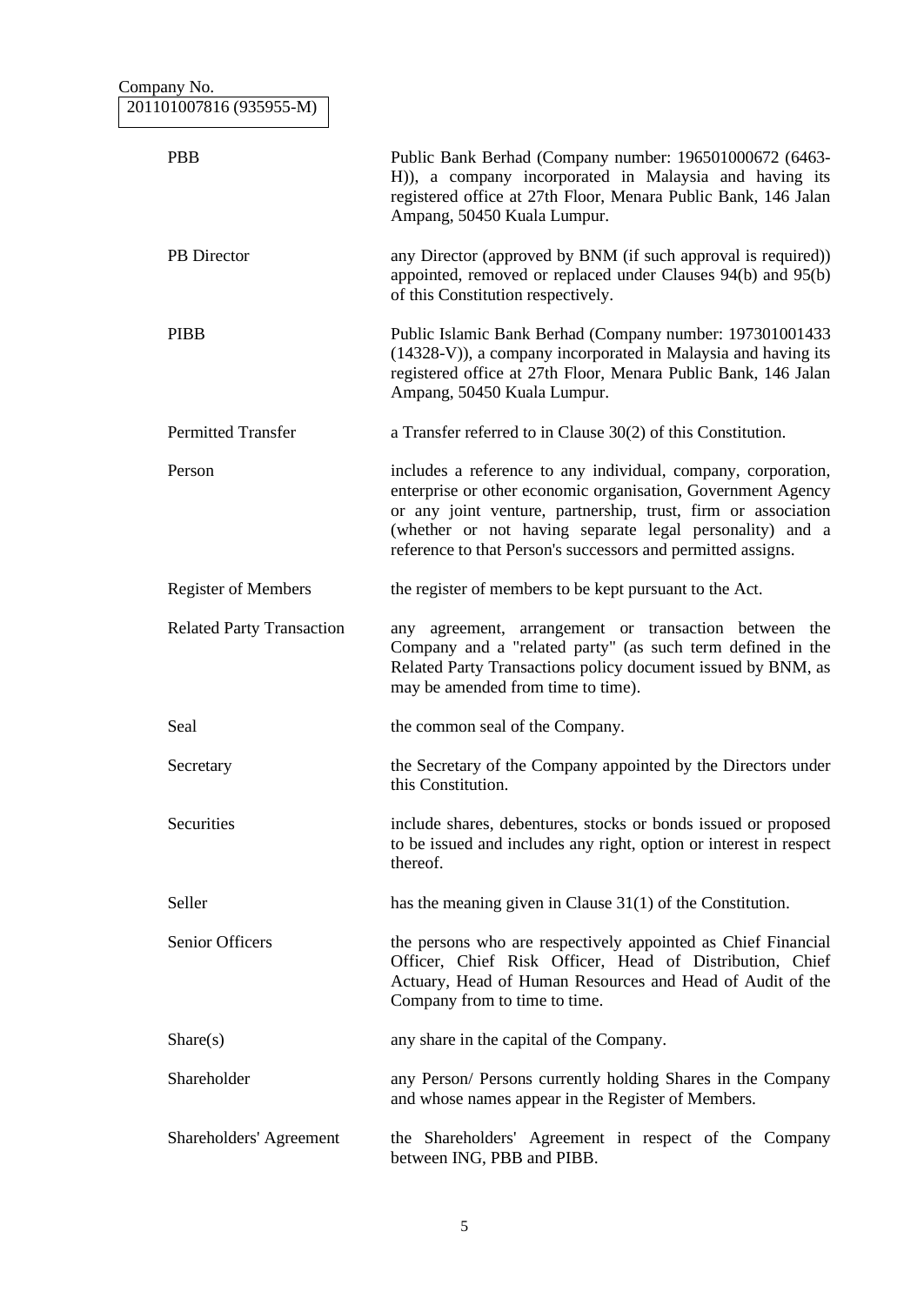| Company No.                      |                                                                                                                                                                                                                                                                                                                            |
|----------------------------------|----------------------------------------------------------------------------------------------------------------------------------------------------------------------------------------------------------------------------------------------------------------------------------------------------------------------------|
| 201101007816 (935955-M)          |                                                                                                                                                                                                                                                                                                                            |
| <b>PBB</b>                       | Public Bank Berhad (Company number: 196501000672 (6463-<br>H)), a company incorporated in Malaysia and having its<br>registered office at 27th Floor, Menara Public Bank, 146 Jalan<br>Ampang, 50450 Kuala Lumpur.                                                                                                         |
| PB Director                      | any Director (approved by BNM (if such approval is required))<br>appointed, removed or replaced under Clauses 94(b) and 95(b)<br>of this Constitution respectively.                                                                                                                                                        |
| <b>PIBB</b>                      | Public Islamic Bank Berhad (Company number: 197301001433<br>(14328-V)), a company incorporated in Malaysia and having its<br>registered office at 27th Floor, Menara Public Bank, 146 Jalan<br>Ampang, 50450 Kuala Lumpur.                                                                                                 |
| <b>Permitted Transfer</b>        | a Transfer referred to in Clause $30(2)$ of this Constitution.                                                                                                                                                                                                                                                             |
| Person                           | includes a reference to any individual, company, corporation,<br>enterprise or other economic organisation, Government Agency<br>or any joint venture, partnership, trust, firm or association<br>(whether or not having separate legal personality) and a<br>reference to that Person's successors and permitted assigns. |
| <b>Register of Members</b>       | the register of members to be kept pursuant to the Act.                                                                                                                                                                                                                                                                    |
| <b>Related Party Transaction</b> | agreement, arrangement or transaction between the<br>any<br>Company and a "related party" (as such term defined in the<br>Related Party Transactions policy document issued by BNM, as<br>may be amended from time to time).                                                                                               |
| Seal                             | the common seal of the Company.                                                                                                                                                                                                                                                                                            |
| Secretary                        | the Secretary of the Company appointed by the Directors under<br>this Constitution.                                                                                                                                                                                                                                        |
| Securities                       | include shares, debentures, stocks or bonds issued or proposed<br>to be issued and includes any right, option or interest in respect<br>thereof.                                                                                                                                                                           |
| Seller                           | has the meaning given in Clause $31(1)$ of the Constitution.                                                                                                                                                                                                                                                               |
| Senior Officers                  | the persons who are respectively appointed as Chief Financial<br>Officer, Chief Risk Officer, Head of Distribution, Chief<br>Actuary, Head of Human Resources and Head of Audit of the<br>Company from to time to time.                                                                                                    |
| Share(s)                         | any share in the capital of the Company.                                                                                                                                                                                                                                                                                   |
| Shareholder                      | any Person/ Persons currently holding Shares in the Company<br>and whose names appear in the Register of Members.                                                                                                                                                                                                          |
| Shareholders' Agreement          | the Shareholders' Agreement in respect of the Company<br>between ING, PBB and PIBB.                                                                                                                                                                                                                                        |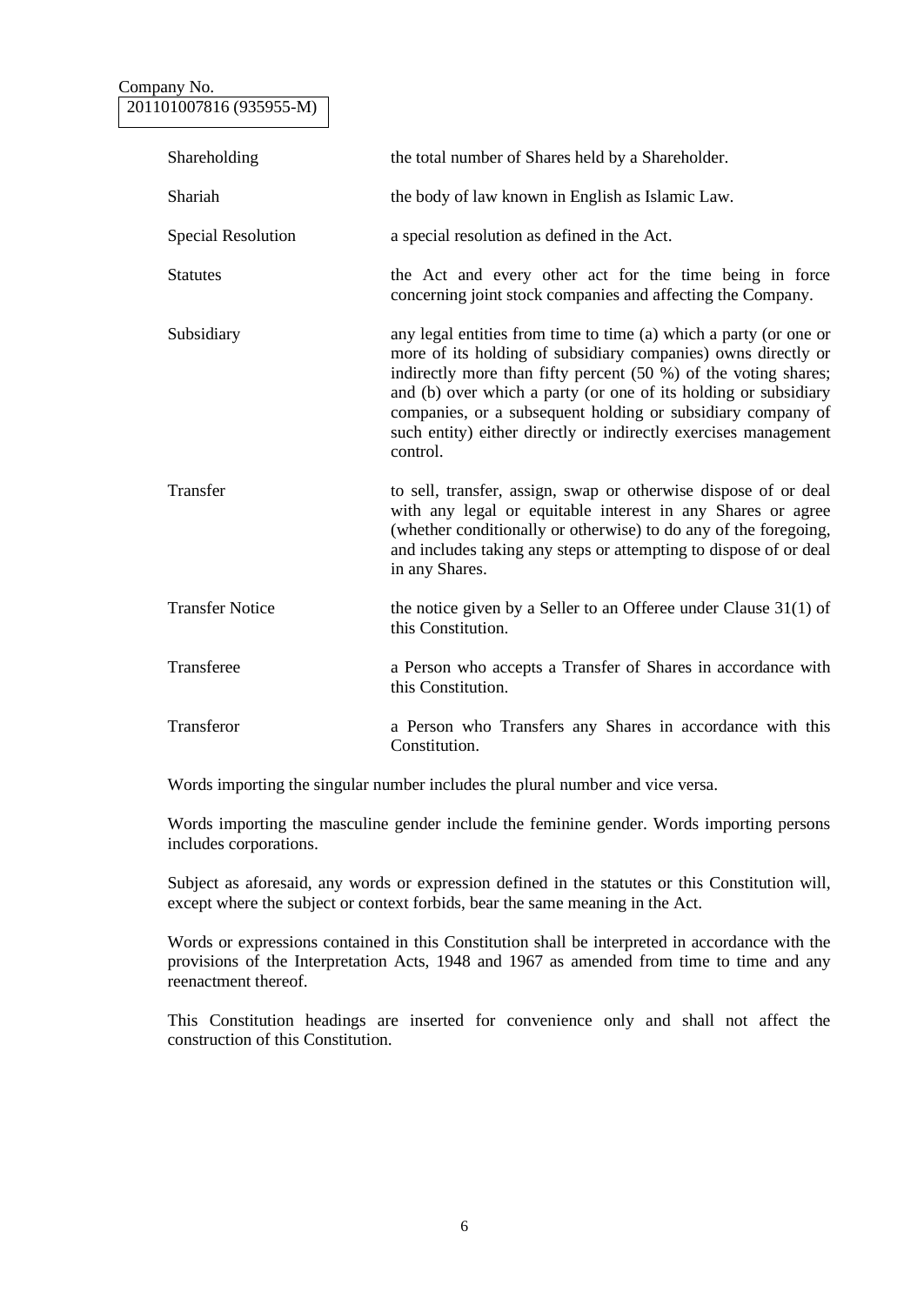### Company No. 201101007816 (935955-M)

| Shareholding              | the total number of Shares held by a Shareholder.                                                                                                                                                                                                                                                                                                                                                                      |
|---------------------------|------------------------------------------------------------------------------------------------------------------------------------------------------------------------------------------------------------------------------------------------------------------------------------------------------------------------------------------------------------------------------------------------------------------------|
| Shariah                   | the body of law known in English as Islamic Law.                                                                                                                                                                                                                                                                                                                                                                       |
| <b>Special Resolution</b> | a special resolution as defined in the Act.                                                                                                                                                                                                                                                                                                                                                                            |
| <b>Statutes</b>           | the Act and every other act for the time being in force<br>concerning joint stock companies and affecting the Company.                                                                                                                                                                                                                                                                                                 |
| Subsidiary                | any legal entities from time to time (a) which a party (or one or<br>more of its holding of subsidiary companies) owns directly or<br>indirectly more than fifty percent (50 %) of the voting shares;<br>and (b) over which a party (or one of its holding or subsidiary<br>companies, or a subsequent holding or subsidiary company of<br>such entity) either directly or indirectly exercises management<br>control. |
| Transfer                  | to sell, transfer, assign, swap or otherwise dispose of or deal<br>with any legal or equitable interest in any Shares or agree<br>(whether conditionally or otherwise) to do any of the foregoing,<br>and includes taking any steps or attempting to dispose of or deal<br>in any Shares.                                                                                                                              |
| <b>Transfer Notice</b>    | the notice given by a Seller to an Offeree under Clause $31(1)$ of<br>this Constitution.                                                                                                                                                                                                                                                                                                                               |
| Transferee                | a Person who accepts a Transfer of Shares in accordance with<br>this Constitution.                                                                                                                                                                                                                                                                                                                                     |
| Transferor                | a Person who Transfers any Shares in accordance with this<br>Constitution.                                                                                                                                                                                                                                                                                                                                             |

Words importing the singular number includes the plural number and vice versa.

Words importing the masculine gender include the feminine gender. Words importing persons includes corporations.

Subject as aforesaid, any words or expression defined in the statutes or this Constitution will, except where the subject or context forbids, bear the same meaning in the Act.

Words or expressions contained in this Constitution shall be interpreted in accordance with the provisions of the Interpretation Acts, 1948 and 1967 as amended from time to time and any reenactment thereof.

This Constitution headings are inserted for convenience only and shall not affect the construction of this Constitution.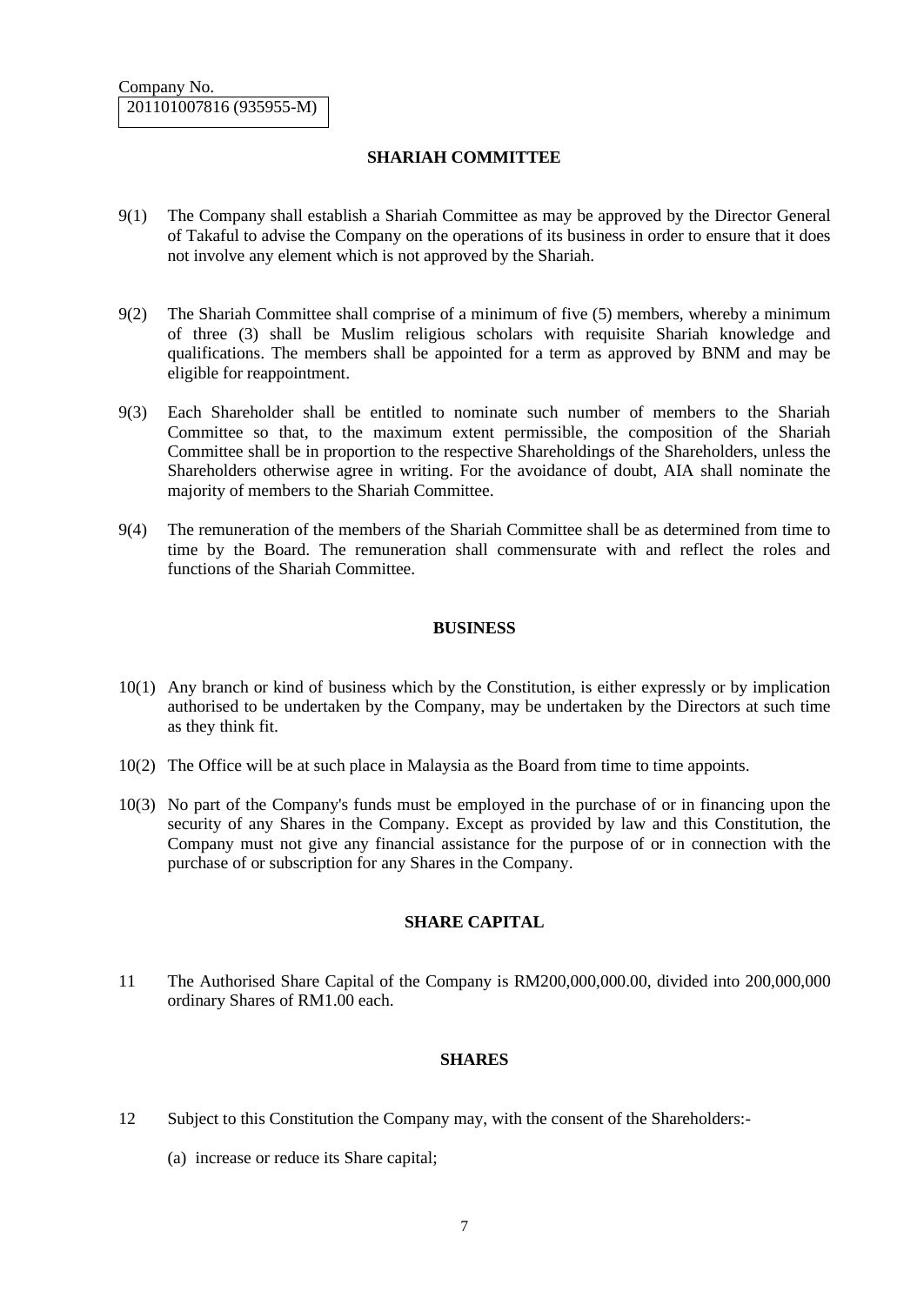### **SHARIAH COMMITTEE**

- 9(1) The Company shall establish a Shariah Committee as may be approved by the Director General of Takaful to advise the Company on the operations of its business in order to ensure that it does not involve any element which is not approved by the Shariah.
- 9(2) The Shariah Committee shall comprise of a minimum of five (5) members, whereby a minimum of three (3) shall be Muslim religious scholars with requisite Shariah knowledge and qualifications. The members shall be appointed for a term as approved by BNM and may be eligible for reappointment.
- 9(3) Each Shareholder shall be entitled to nominate such number of members to the Shariah Committee so that, to the maximum extent permissible, the composition of the Shariah Committee shall be in proportion to the respective Shareholdings of the Shareholders, unless the Shareholders otherwise agree in writing. For the avoidance of doubt, AIA shall nominate the majority of members to the Shariah Committee.
- 9(4) The remuneration of the members of the Shariah Committee shall be as determined from time to time by the Board. The remuneration shall commensurate with and reflect the roles and functions of the Shariah Committee.

#### **BUSINESS**

- 10(1) Any branch or kind of business which by the Constitution, is either expressly or by implication authorised to be undertaken by the Company, may be undertaken by the Directors at such time as they think fit.
- 10(2) The Office will be at such place in Malaysia as the Board from time to time appoints.
- 10(3) No part of the Company's funds must be employed in the purchase of or in financing upon the security of any Shares in the Company. Except as provided by law and this Constitution, the Company must not give any financial assistance for the purpose of or in connection with the purchase of or subscription for any Shares in the Company.

#### **SHARE CAPITAL**

11 The Authorised Share Capital of the Company is RM200,000,000.00, divided into 200,000,000 ordinary Shares of RM1.00 each.

#### **SHARES**

- 12 Subject to this Constitution the Company may, with the consent of the Shareholders:-
	- (a) increase or reduce its Share capital;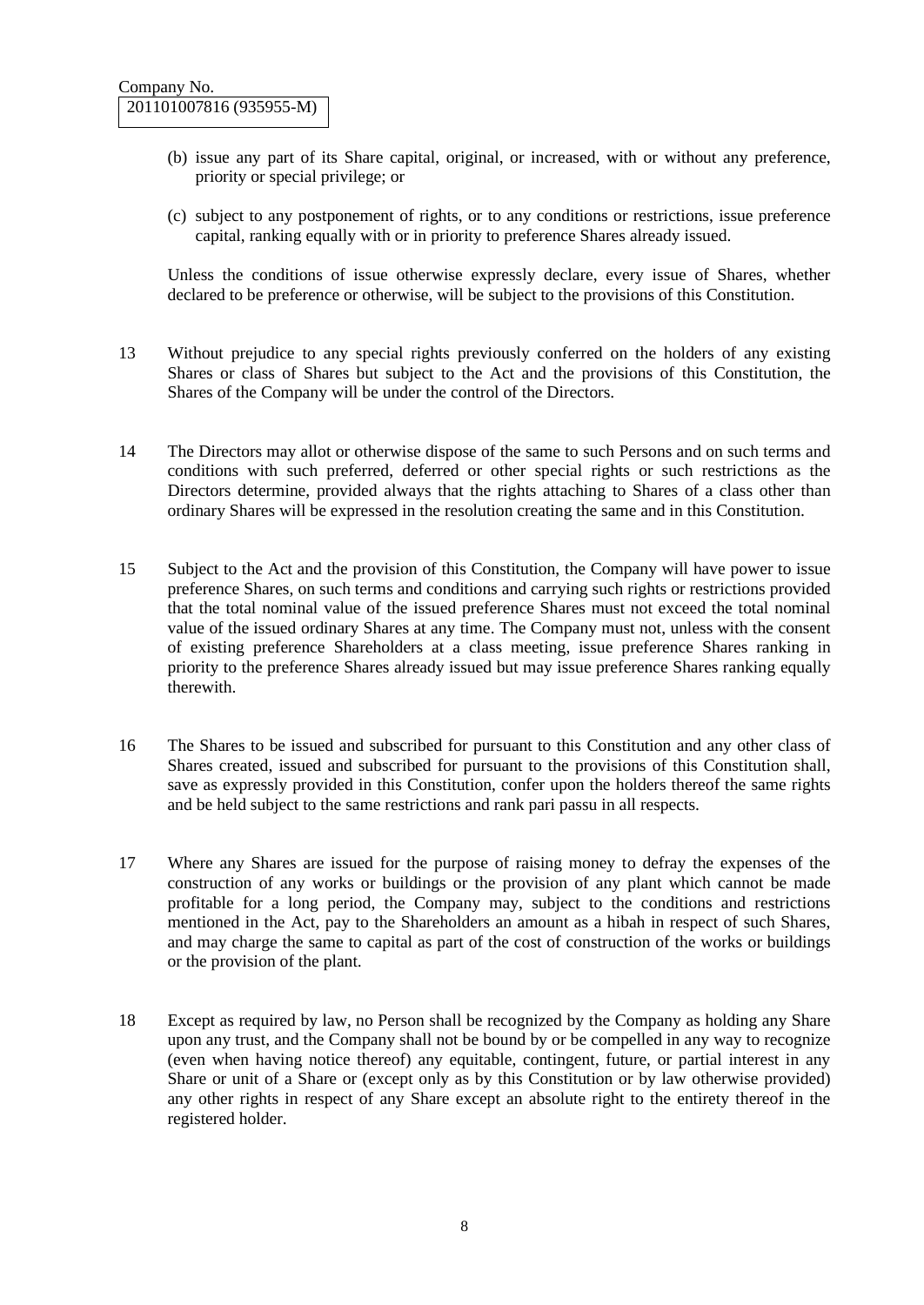- (b) issue any part of its Share capital, original, or increased, with or without any preference, priority or special privilege; or
- (c) subject to any postponement of rights, or to any conditions or restrictions, issue preference capital, ranking equally with or in priority to preference Shares already issued.

Unless the conditions of issue otherwise expressly declare, every issue of Shares, whether declared to be preference or otherwise, will be subject to the provisions of this Constitution.

- 13 Without prejudice to any special rights previously conferred on the holders of any existing Shares or class of Shares but subject to the Act and the provisions of this Constitution, the Shares of the Company will be under the control of the Directors.
- 14 The Directors may allot or otherwise dispose of the same to such Persons and on such terms and conditions with such preferred, deferred or other special rights or such restrictions as the Directors determine, provided always that the rights attaching to Shares of a class other than ordinary Shares will be expressed in the resolution creating the same and in this Constitution.
- 15 Subject to the Act and the provision of this Constitution, the Company will have power to issue preference Shares, on such terms and conditions and carrying such rights or restrictions provided that the total nominal value of the issued preference Shares must not exceed the total nominal value of the issued ordinary Shares at any time. The Company must not, unless with the consent of existing preference Shareholders at a class meeting, issue preference Shares ranking in priority to the preference Shares already issued but may issue preference Shares ranking equally therewith.
- 16 The Shares to be issued and subscribed for pursuant to this Constitution and any other class of Shares created, issued and subscribed for pursuant to the provisions of this Constitution shall, save as expressly provided in this Constitution, confer upon the holders thereof the same rights and be held subject to the same restrictions and rank pari passu in all respects.
- 17 Where any Shares are issued for the purpose of raising money to defray the expenses of the construction of any works or buildings or the provision of any plant which cannot be made profitable for a long period, the Company may, subject to the conditions and restrictions mentioned in the Act, pay to the Shareholders an amount as a hibah in respect of such Shares, and may charge the same to capital as part of the cost of construction of the works or buildings or the provision of the plant.
- 18 Except as required by law, no Person shall be recognized by the Company as holding any Share upon any trust, and the Company shall not be bound by or be compelled in any way to recognize (even when having notice thereof) any equitable, contingent, future, or partial interest in any Share or unit of a Share or (except only as by this Constitution or by law otherwise provided) any other rights in respect of any Share except an absolute right to the entirety thereof in the registered holder.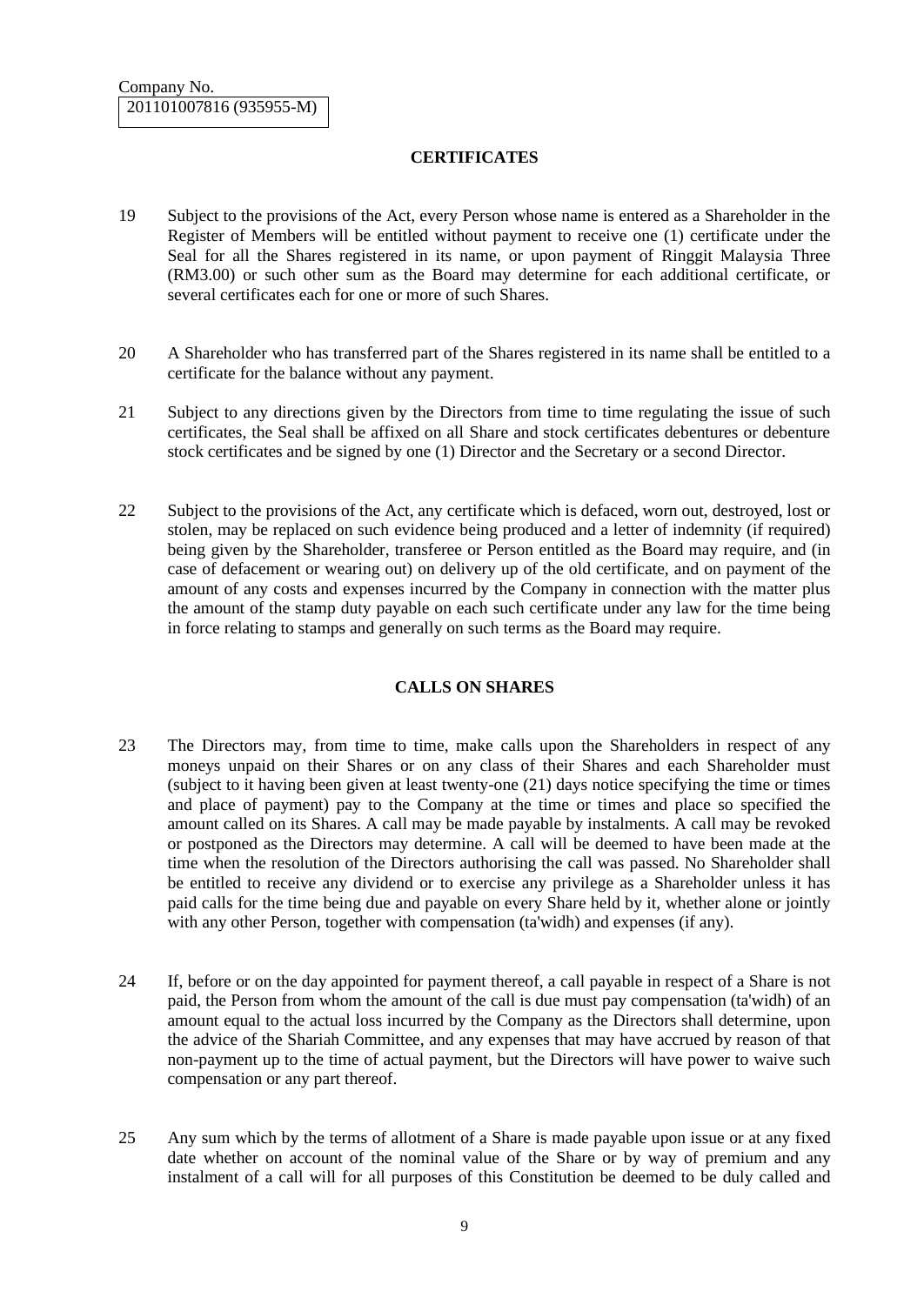## **CERTIFICATES**

- 19 Subject to the provisions of the Act, every Person whose name is entered as a Shareholder in the Register of Members will be entitled without payment to receive one (1) certificate under the Seal for all the Shares registered in its name, or upon payment of Ringgit Malaysia Three (RM3.00) or such other sum as the Board may determine for each additional certificate, or several certificates each for one or more of such Shares.
- 20 A Shareholder who has transferred part of the Shares registered in its name shall be entitled to a certificate for the balance without any payment.
- 21 Subject to any directions given by the Directors from time to time regulating the issue of such certificates, the Seal shall be affixed on all Share and stock certificates debentures or debenture stock certificates and be signed by one (1) Director and the Secretary or a second Director.
- 22 Subject to the provisions of the Act, any certificate which is defaced, worn out, destroyed, lost or stolen, may be replaced on such evidence being produced and a letter of indemnity (if required) being given by the Shareholder, transferee or Person entitled as the Board may require, and (in case of defacement or wearing out) on delivery up of the old certificate, and on payment of the amount of any costs and expenses incurred by the Company in connection with the matter plus the amount of the stamp duty payable on each such certificate under any law for the time being in force relating to stamps and generally on such terms as the Board may require.

## **CALLS ON SHARES**

- 23 The Directors may, from time to time, make calls upon the Shareholders in respect of any moneys unpaid on their Shares or on any class of their Shares and each Shareholder must (subject to it having been given at least twenty-one (21) days notice specifying the time or times and place of payment) pay to the Company at the time or times and place so specified the amount called on its Shares. A call may be made payable by instalments. A call may be revoked or postponed as the Directors may determine. A call will be deemed to have been made at the time when the resolution of the Directors authorising the call was passed. No Shareholder shall be entitled to receive any dividend or to exercise any privilege as a Shareholder unless it has paid calls for the time being due and payable on every Share held by it, whether alone or jointly with any other Person, together with compensation (ta'widh) and expenses (if any).
- 24 If, before or on the day appointed for payment thereof, a call payable in respect of a Share is not paid, the Person from whom the amount of the call is due must pay compensation (ta'widh) of an amount equal to the actual loss incurred by the Company as the Directors shall determine, upon the advice of the Shariah Committee, and any expenses that may have accrued by reason of that non-payment up to the time of actual payment, but the Directors will have power to waive such compensation or any part thereof.
- 25 Any sum which by the terms of allotment of a Share is made payable upon issue or at any fixed date whether on account of the nominal value of the Share or by way of premium and any instalment of a call will for all purposes of this Constitution be deemed to be duly called and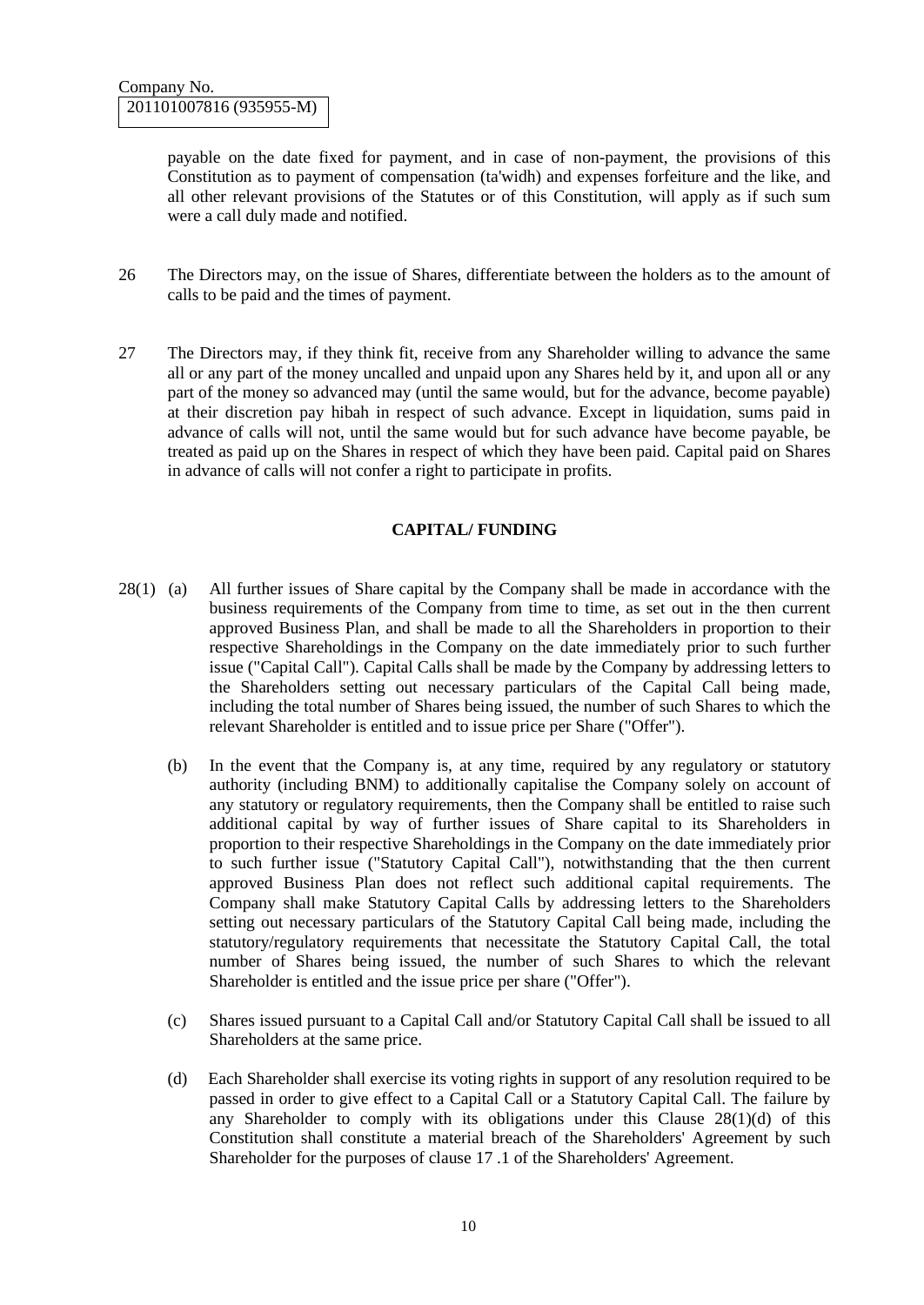payable on the date fixed for payment, and in case of non-payment, the provisions of this Constitution as to payment of compensation (ta'widh) and expenses forfeiture and the like, and all other relevant provisions of the Statutes or of this Constitution, will apply as if such sum were a call duly made and notified.

- 26 The Directors may, on the issue of Shares, differentiate between the holders as to the amount of calls to be paid and the times of payment.
- 27 The Directors may, if they think fit, receive from any Shareholder willing to advance the same all or any part of the money uncalled and unpaid upon any Shares held by it, and upon all or any part of the money so advanced may (until the same would, but for the advance, become payable) at their discretion pay hibah in respect of such advance. Except in liquidation, sums paid in advance of calls will not, until the same would but for such advance have become payable, be treated as paid up on the Shares in respect of which they have been paid. Capital paid on Shares in advance of calls will not confer a right to participate in profits.

### **CAPITAL/ FUNDING**

- 28(1) (a) All further issues of Share capital by the Company shall be made in accordance with the business requirements of the Company from time to time, as set out in the then current approved Business Plan, and shall be made to all the Shareholders in proportion to their respective Shareholdings in the Company on the date immediately prior to such further issue ("Capital Call"). Capital Calls shall be made by the Company by addressing letters to the Shareholders setting out necessary particulars of the Capital Call being made, including the total number of Shares being issued, the number of such Shares to which the relevant Shareholder is entitled and to issue price per Share ("Offer").
	- (b) In the event that the Company is, at any time, required by any regulatory or statutory authority (including BNM) to additionally capitalise the Company solely on account of any statutory or regulatory requirements, then the Company shall be entitled to raise such additional capital by way of further issues of Share capital to its Shareholders in proportion to their respective Shareholdings in the Company on the date immediately prior to such further issue ("Statutory Capital Call"), notwithstanding that the then current approved Business Plan does not reflect such additional capital requirements. The Company shall make Statutory Capital Calls by addressing letters to the Shareholders setting out necessary particulars of the Statutory Capital Call being made, including the statutory/regulatory requirements that necessitate the Statutory Capital Call, the total number of Shares being issued, the number of such Shares to which the relevant Shareholder is entitled and the issue price per share ("Offer").
	- (c) Shares issued pursuant to a Capital Call and/or Statutory Capital Call shall be issued to all Shareholders at the same price.
	- (d) Each Shareholder shall exercise its voting rights in support of any resolution required to be passed in order to give effect to a Capital Call or a Statutory Capital Call. The failure by any Shareholder to comply with its obligations under this Clause  $28(1)(d)$  of this Constitution shall constitute a material breach of the Shareholders' Agreement by such Shareholder for the purposes of clause 17 .1 of the Shareholders' Agreement.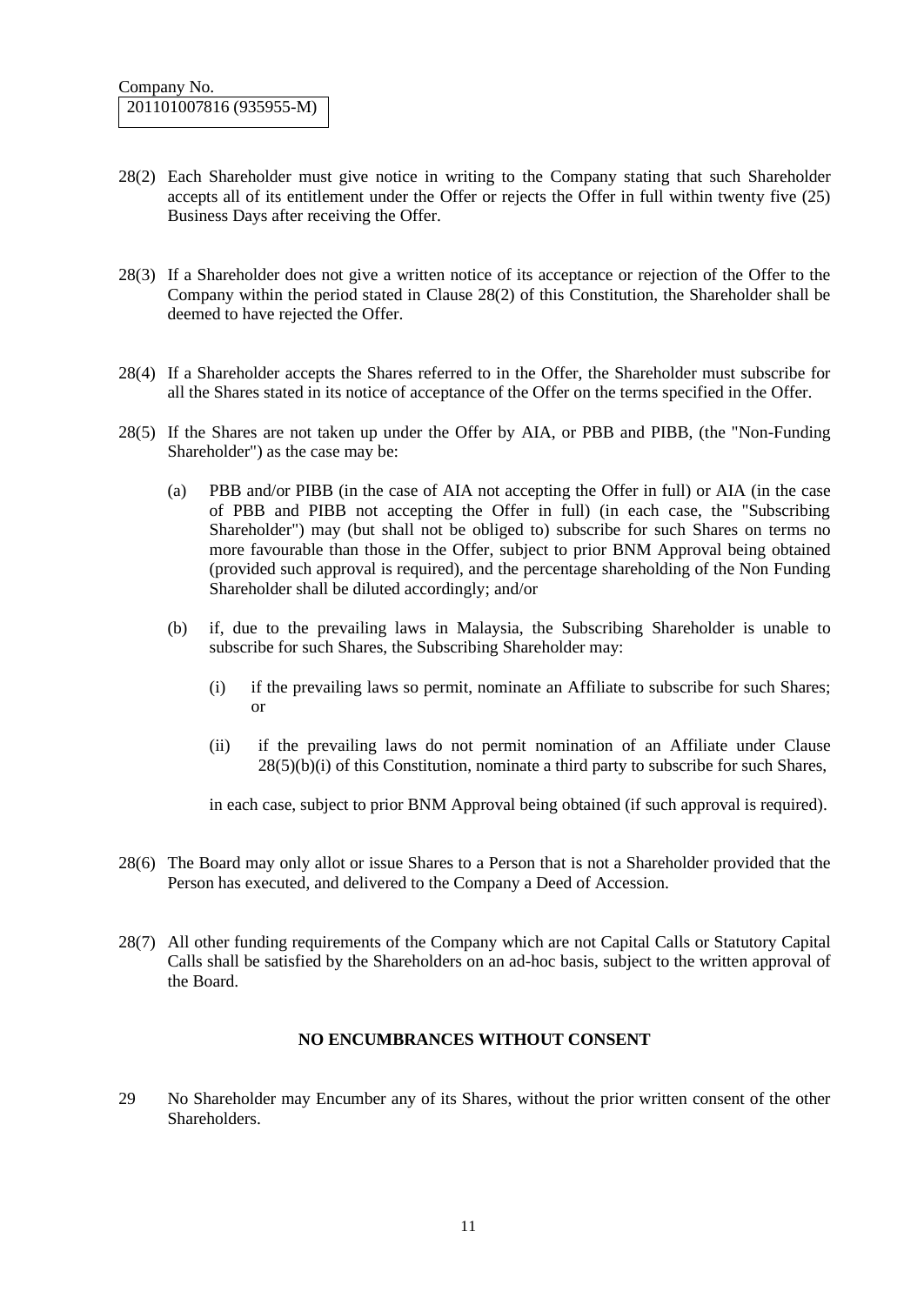- 28(2) Each Shareholder must give notice in writing to the Company stating that such Shareholder accepts all of its entitlement under the Offer or rejects the Offer in full within twenty five (25) Business Days after receiving the Offer.
- 28(3) If a Shareholder does not give a written notice of its acceptance or rejection of the Offer to the Company within the period stated in Clause 28(2) of this Constitution, the Shareholder shall be deemed to have rejected the Offer.
- 28(4) If a Shareholder accepts the Shares referred to in the Offer, the Shareholder must subscribe for all the Shares stated in its notice of acceptance of the Offer on the terms specified in the Offer.
- 28(5) If the Shares are not taken up under the Offer by AIA, or PBB and PIBB, (the "Non-Funding Shareholder") as the case may be:
	- (a) PBB and/or PIBB (in the case of AIA not accepting the Offer in full) or AIA (in the case of PBB and PIBB not accepting the Offer in full) (in each case, the "Subscribing Shareholder") may (but shall not be obliged to) subscribe for such Shares on terms no more favourable than those in the Offer, subject to prior BNM Approval being obtained (provided such approval is required), and the percentage shareholding of the Non Funding Shareholder shall be diluted accordingly; and/or
	- (b) if, due to the prevailing laws in Malaysia, the Subscribing Shareholder is unable to subscribe for such Shares, the Subscribing Shareholder may:
		- (i) if the prevailing laws so permit, nominate an Affiliate to subscribe for such Shares; or
		- (ii) if the prevailing laws do not permit nomination of an Affiliate under Clause 28(5)(b)(i) of this Constitution, nominate a third party to subscribe for such Shares,

in each case, subject to prior BNM Approval being obtained (if such approval is required).

- 28(6) The Board may only allot or issue Shares to a Person that is not a Shareholder provided that the Person has executed, and delivered to the Company a Deed of Accession.
- 28(7) All other funding requirements of the Company which are not Capital Calls or Statutory Capital Calls shall be satisfied by the Shareholders on an ad-hoc basis, subject to the written approval of the Board.

#### **NO ENCUMBRANCES WITHOUT CONSENT**

29 No Shareholder may Encumber any of its Shares, without the prior written consent of the other Shareholders.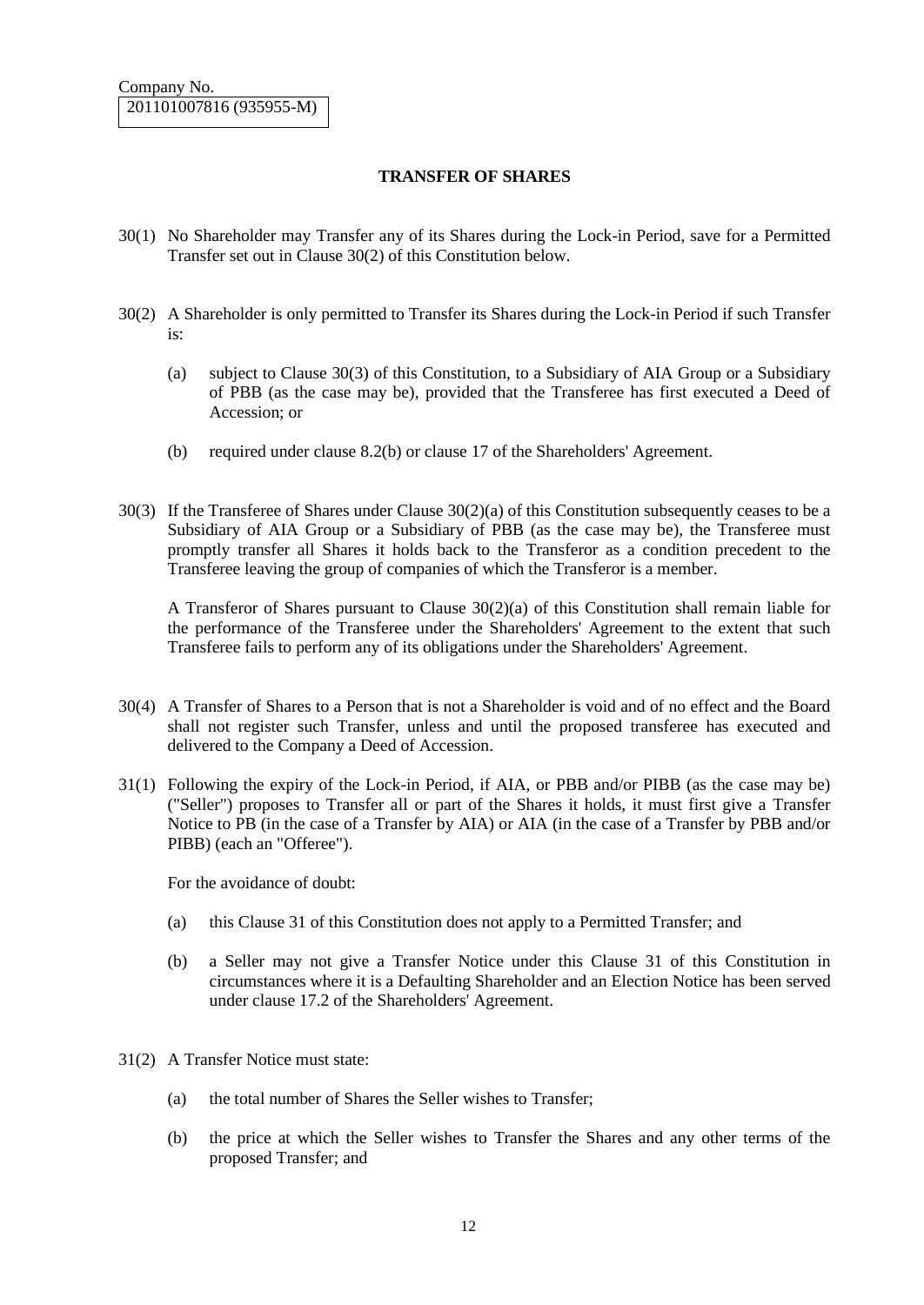### **TRANSFER OF SHARES**

- 30(1) No Shareholder may Transfer any of its Shares during the Lock-in Period, save for a Permitted Transfer set out in Clause 30(2) of this Constitution below.
- 30(2) A Shareholder is only permitted to Transfer its Shares during the Lock-in Period if such Transfer is:
	- (a) subject to Clause 30(3) of this Constitution, to a Subsidiary of AIA Group or a Subsidiary of PBB (as the case may be), provided that the Transferee has first executed a Deed of Accession; or
	- (b) required under clause 8.2(b) or clause 17 of the Shareholders' Agreement.
- 30(3) If the Transferee of Shares under Clause 30(2)(a) of this Constitution subsequently ceases to be a Subsidiary of AIA Group or a Subsidiary of PBB (as the case may be), the Transferee must promptly transfer all Shares it holds back to the Transferor as a condition precedent to the Transferee leaving the group of companies of which the Transferor is a member.

A Transferor of Shares pursuant to Clause 30(2)(a) of this Constitution shall remain liable for the performance of the Transferee under the Shareholders' Agreement to the extent that such Transferee fails to perform any of its obligations under the Shareholders' Agreement.

- 30(4) A Transfer of Shares to a Person that is not a Shareholder is void and of no effect and the Board shall not register such Transfer, unless and until the proposed transferee has executed and delivered to the Company a Deed of Accession.
- 31(1) Following the expiry of the Lock-in Period, if AIA, or PBB and/or PIBB (as the case may be) ("Seller") proposes to Transfer all or part of the Shares it holds, it must first give a Transfer Notice to PB (in the case of a Transfer by AIA) or AIA (in the case of a Transfer by PBB and/or PIBB) (each an "Offeree").

For the avoidance of doubt:

- (a) this Clause 31 of this Constitution does not apply to a Permitted Transfer; and
- (b) a Seller may not give a Transfer Notice under this Clause 31 of this Constitution in circumstances where it is a Defaulting Shareholder and an Election Notice has been served under clause 17.2 of the Shareholders' Agreement.
- 31(2) A Transfer Notice must state:
	- (a) the total number of Shares the Seller wishes to Transfer;
	- (b) the price at which the Seller wishes to Transfer the Shares and any other terms of the proposed Transfer; and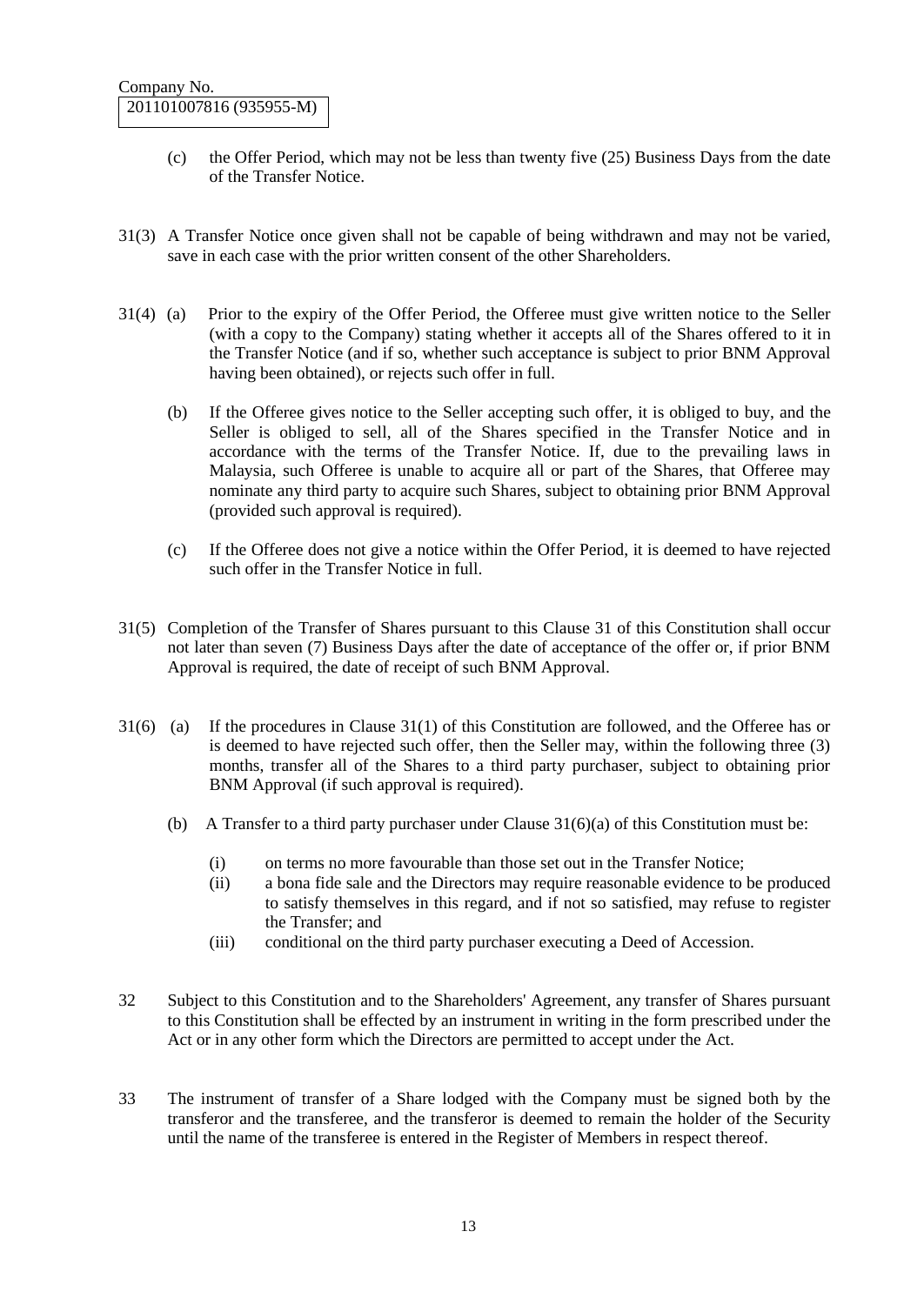- (c) the Offer Period, which may not be less than twenty five (25) Business Days from the date of the Transfer Notice.
- 31(3) A Transfer Notice once given shall not be capable of being withdrawn and may not be varied, save in each case with the prior written consent of the other Shareholders.
- 31(4) (a) Prior to the expiry of the Offer Period, the Offeree must give written notice to the Seller (with a copy to the Company) stating whether it accepts all of the Shares offered to it in the Transfer Notice (and if so, whether such acceptance is subject to prior BNM Approval having been obtained), or rejects such offer in full.
	- (b) If the Offeree gives notice to the Seller accepting such offer, it is obliged to buy, and the Seller is obliged to sell, all of the Shares specified in the Transfer Notice and in accordance with the terms of the Transfer Notice. If, due to the prevailing laws in Malaysia, such Offeree is unable to acquire all or part of the Shares, that Offeree may nominate any third party to acquire such Shares, subject to obtaining prior BNM Approval (provided such approval is required).
	- (c) If the Offeree does not give a notice within the Offer Period, it is deemed to have rejected such offer in the Transfer Notice in full.
- 31(5) Completion of the Transfer of Shares pursuant to this Clause 31 of this Constitution shall occur not later than seven (7) Business Days after the date of acceptance of the offer or, if prior BNM Approval is required, the date of receipt of such BNM Approval.
- 31(6) (a) If the procedures in Clause 31(1) of this Constitution are followed, and the Offeree has or is deemed to have rejected such offer, then the Seller may, within the following three (3) months, transfer all of the Shares to a third party purchaser, subject to obtaining prior BNM Approval (if such approval is required).
	- (b) A Transfer to a third party purchaser under Clause  $31(6)(a)$  of this Constitution must be:
		- (i) on terms no more favourable than those set out in the Transfer Notice;
		- (ii) a bona fide sale and the Directors may require reasonable evidence to be produced to satisfy themselves in this regard, and if not so satisfied, may refuse to register the Transfer; and
		- (iii) conditional on the third party purchaser executing a Deed of Accession.
- 32 Subject to this Constitution and to the Shareholders' Agreement, any transfer of Shares pursuant to this Constitution shall be effected by an instrument in writing in the form prescribed under the Act or in any other form which the Directors are permitted to accept under the Act.
- 33 The instrument of transfer of a Share lodged with the Company must be signed both by the transferor and the transferee, and the transferor is deemed to remain the holder of the Security until the name of the transferee is entered in the Register of Members in respect thereof.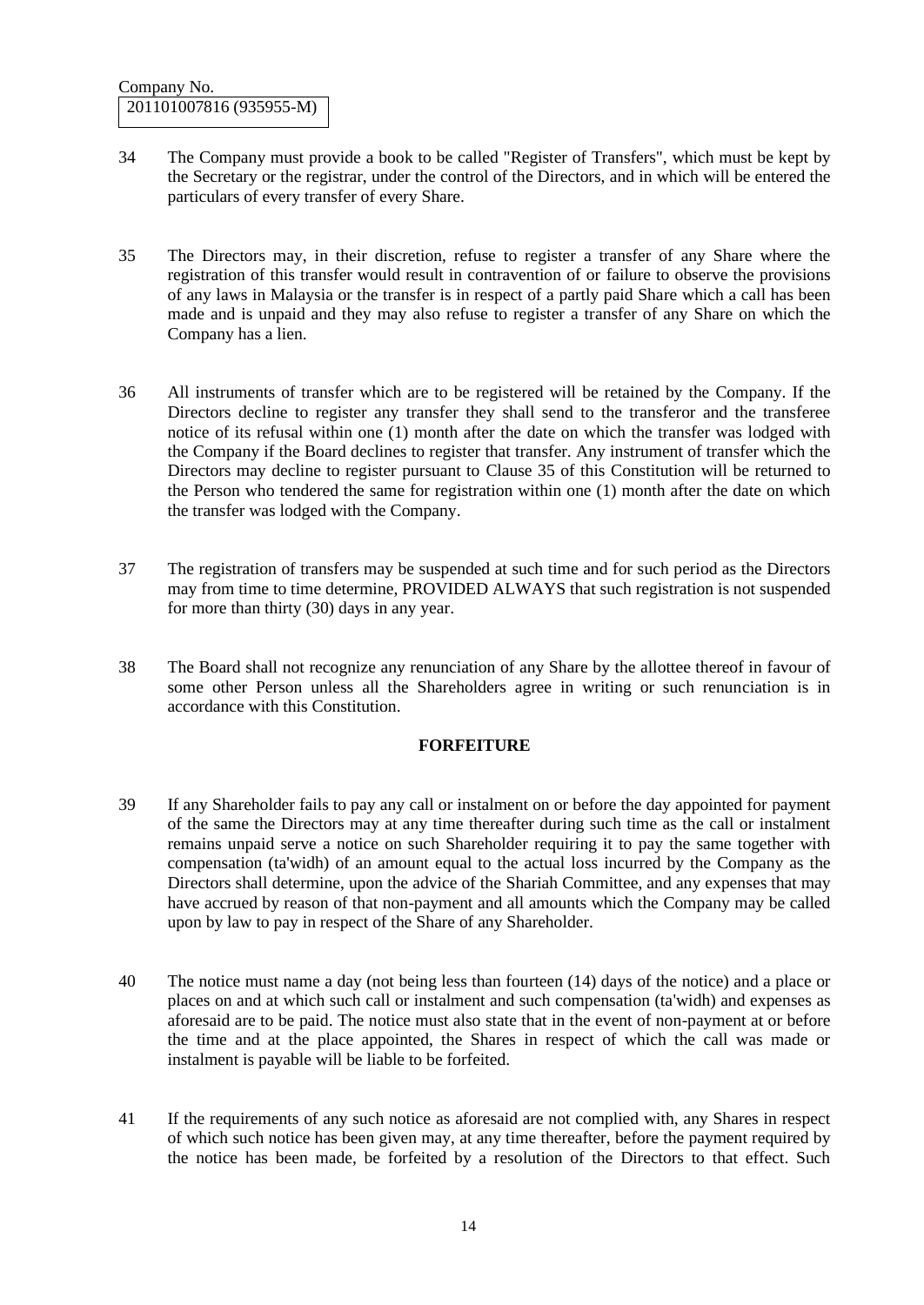- 34 The Company must provide a book to be called "Register of Transfers", which must be kept by the Secretary or the registrar, under the control of the Directors, and in which will be entered the particulars of every transfer of every Share.
- 35 The Directors may, in their discretion, refuse to register a transfer of any Share where the registration of this transfer would result in contravention of or failure to observe the provisions of any laws in Malaysia or the transfer is in respect of a partly paid Share which a call has been made and is unpaid and they may also refuse to register a transfer of any Share on which the Company has a lien.
- 36 All instruments of transfer which are to be registered will be retained by the Company. If the Directors decline to register any transfer they shall send to the transferor and the transferee notice of its refusal within one (1) month after the date on which the transfer was lodged with the Company if the Board declines to register that transfer. Any instrument of transfer which the Directors may decline to register pursuant to Clause 35 of this Constitution will be returned to the Person who tendered the same for registration within one (1) month after the date on which the transfer was lodged with the Company.
- 37 The registration of transfers may be suspended at such time and for such period as the Directors may from time to time determine, PROVIDED ALWAYS that such registration is not suspended for more than thirty (30) days in any year.
- 38 The Board shall not recognize any renunciation of any Share by the allottee thereof in favour of some other Person unless all the Shareholders agree in writing or such renunciation is in accordance with this Constitution.

### **FORFEITURE**

- 39 If any Shareholder fails to pay any call or instalment on or before the day appointed for payment of the same the Directors may at any time thereafter during such time as the call or instalment remains unpaid serve a notice on such Shareholder requiring it to pay the same together with compensation (ta'widh) of an amount equal to the actual loss incurred by the Company as the Directors shall determine, upon the advice of the Shariah Committee, and any expenses that may have accrued by reason of that non-payment and all amounts which the Company may be called upon by law to pay in respect of the Share of any Shareholder.
- 40 The notice must name a day (not being less than fourteen (14) days of the notice) and a place or places on and at which such call or instalment and such compensation (ta'widh) and expenses as aforesaid are to be paid. The notice must also state that in the event of non-payment at or before the time and at the place appointed, the Shares in respect of which the call was made or instalment is payable will be liable to be forfeited.
- 41 If the requirements of any such notice as aforesaid are not complied with, any Shares in respect of which such notice has been given may, at any time thereafter, before the payment required by the notice has been made, be forfeited by a resolution of the Directors to that effect. Such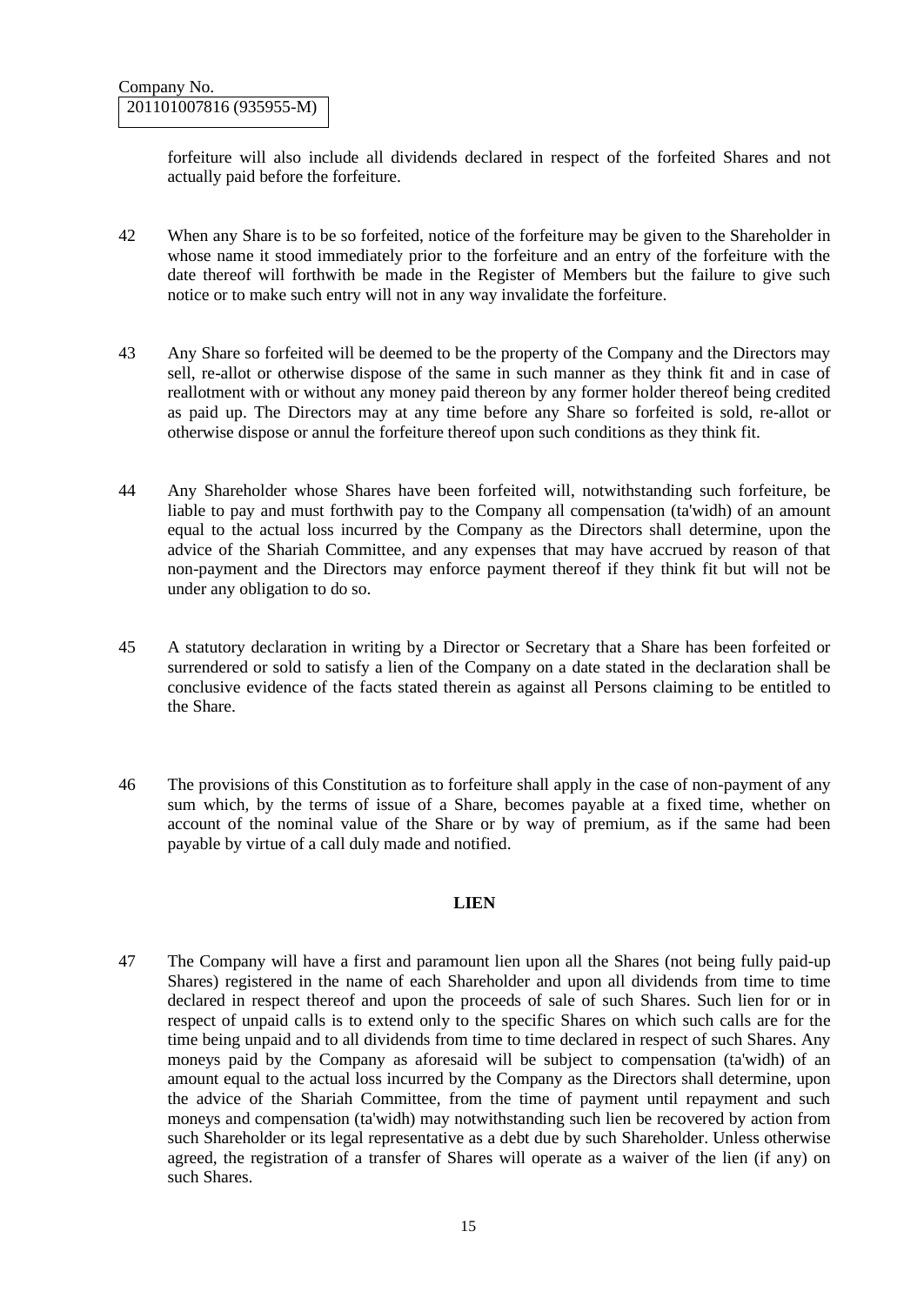forfeiture will also include all dividends declared in respect of the forfeited Shares and not actually paid before the forfeiture.

- 42 When any Share is to be so forfeited, notice of the forfeiture may be given to the Shareholder in whose name it stood immediately prior to the forfeiture and an entry of the forfeiture with the date thereof will forthwith be made in the Register of Members but the failure to give such notice or to make such entry will not in any way invalidate the forfeiture.
- 43 Any Share so forfeited will be deemed to be the property of the Company and the Directors may sell, re-allot or otherwise dispose of the same in such manner as they think fit and in case of reallotment with or without any money paid thereon by any former holder thereof being credited as paid up. The Directors may at any time before any Share so forfeited is sold, re-allot or otherwise dispose or annul the forfeiture thereof upon such conditions as they think fit.
- 44 Any Shareholder whose Shares have been forfeited will, notwithstanding such forfeiture, be liable to pay and must forthwith pay to the Company all compensation (ta'widh) of an amount equal to the actual loss incurred by the Company as the Directors shall determine, upon the advice of the Shariah Committee, and any expenses that may have accrued by reason of that non-payment and the Directors may enforce payment thereof if they think fit but will not be under any obligation to do so.
- 45 A statutory declaration in writing by a Director or Secretary that a Share has been forfeited or surrendered or sold to satisfy a lien of the Company on a date stated in the declaration shall be conclusive evidence of the facts stated therein as against all Persons claiming to be entitled to the Share.
- 46 The provisions of this Constitution as to forfeiture shall apply in the case of non-payment of any sum which, by the terms of issue of a Share, becomes payable at a fixed time, whether on account of the nominal value of the Share or by way of premium, as if the same had been payable by virtue of a call duly made and notified.

#### **LIEN**

47 The Company will have a first and paramount lien upon all the Shares (not being fully paid-up Shares) registered in the name of each Shareholder and upon all dividends from time to time declared in respect thereof and upon the proceeds of sale of such Shares. Such lien for or in respect of unpaid calls is to extend only to the specific Shares on which such calls are for the time being unpaid and to all dividends from time to time declared in respect of such Shares. Any moneys paid by the Company as aforesaid will be subject to compensation (ta'widh) of an amount equal to the actual loss incurred by the Company as the Directors shall determine, upon the advice of the Shariah Committee, from the time of payment until repayment and such moneys and compensation (ta'widh) may notwithstanding such lien be recovered by action from such Shareholder or its legal representative as a debt due by such Shareholder. Unless otherwise agreed, the registration of a transfer of Shares will operate as a waiver of the lien (if any) on such Shares.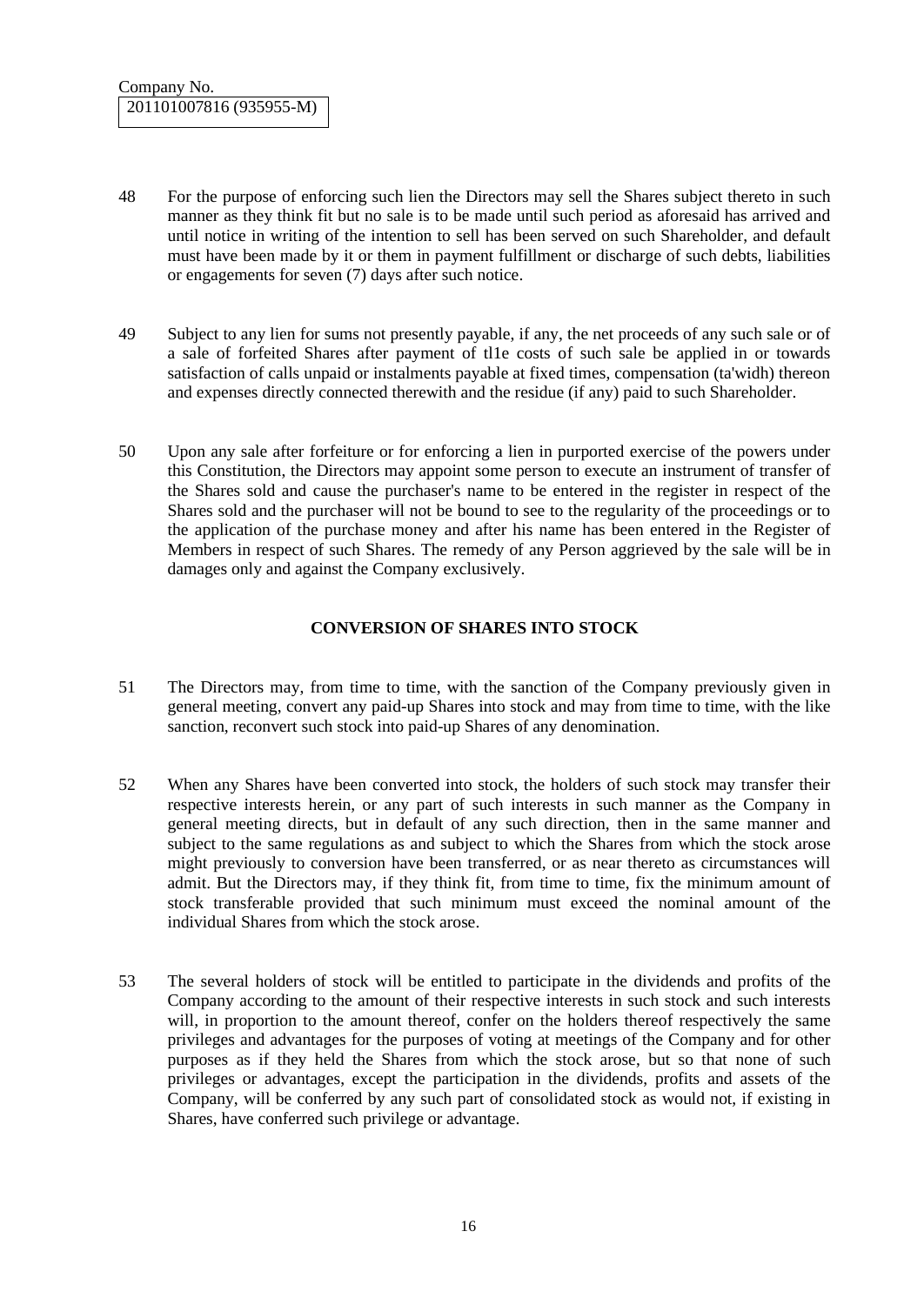- 48 For the purpose of enforcing such lien the Directors may sell the Shares subject thereto in such manner as they think fit but no sale is to be made until such period as aforesaid has arrived and until notice in writing of the intention to sell has been served on such Shareholder, and default must have been made by it or them in payment fulfillment or discharge of such debts, liabilities or engagements for seven (7) days after such notice.
- 49 Subject to any lien for sums not presently payable, if any, the net proceeds of any such sale or of a sale of forfeited Shares after payment of tl1e costs of such sale be applied in or towards satisfaction of calls unpaid or instalments payable at fixed times, compensation (ta'widh) thereon and expenses directly connected therewith and the residue (if any) paid to such Shareholder.
- 50 Upon any sale after forfeiture or for enforcing a lien in purported exercise of the powers under this Constitution, the Directors may appoint some person to execute an instrument of transfer of the Shares sold and cause the purchaser's name to be entered in the register in respect of the Shares sold and the purchaser will not be bound to see to the regularity of the proceedings or to the application of the purchase money and after his name has been entered in the Register of Members in respect of such Shares. The remedy of any Person aggrieved by the sale will be in damages only and against the Company exclusively.

## **CONVERSION OF SHARES INTO STOCK**

- 51 The Directors may, from time to time, with the sanction of the Company previously given in general meeting, convert any paid-up Shares into stock and may from time to time, with the like sanction, reconvert such stock into paid-up Shares of any denomination.
- 52 When any Shares have been converted into stock, the holders of such stock may transfer their respective interests herein, or any part of such interests in such manner as the Company in general meeting directs, but in default of any such direction, then in the same manner and subject to the same regulations as and subject to which the Shares from which the stock arose might previously to conversion have been transferred, or as near thereto as circumstances will admit. But the Directors may, if they think fit, from time to time, fix the minimum amount of stock transferable provided that such minimum must exceed the nominal amount of the individual Shares from which the stock arose.
- 53 The several holders of stock will be entitled to participate in the dividends and profits of the Company according to the amount of their respective interests in such stock and such interests will, in proportion to the amount thereof, confer on the holders thereof respectively the same privileges and advantages for the purposes of voting at meetings of the Company and for other purposes as if they held the Shares from which the stock arose, but so that none of such privileges or advantages, except the participation in the dividends, profits and assets of the Company, will be conferred by any such part of consolidated stock as would not, if existing in Shares, have conferred such privilege or advantage.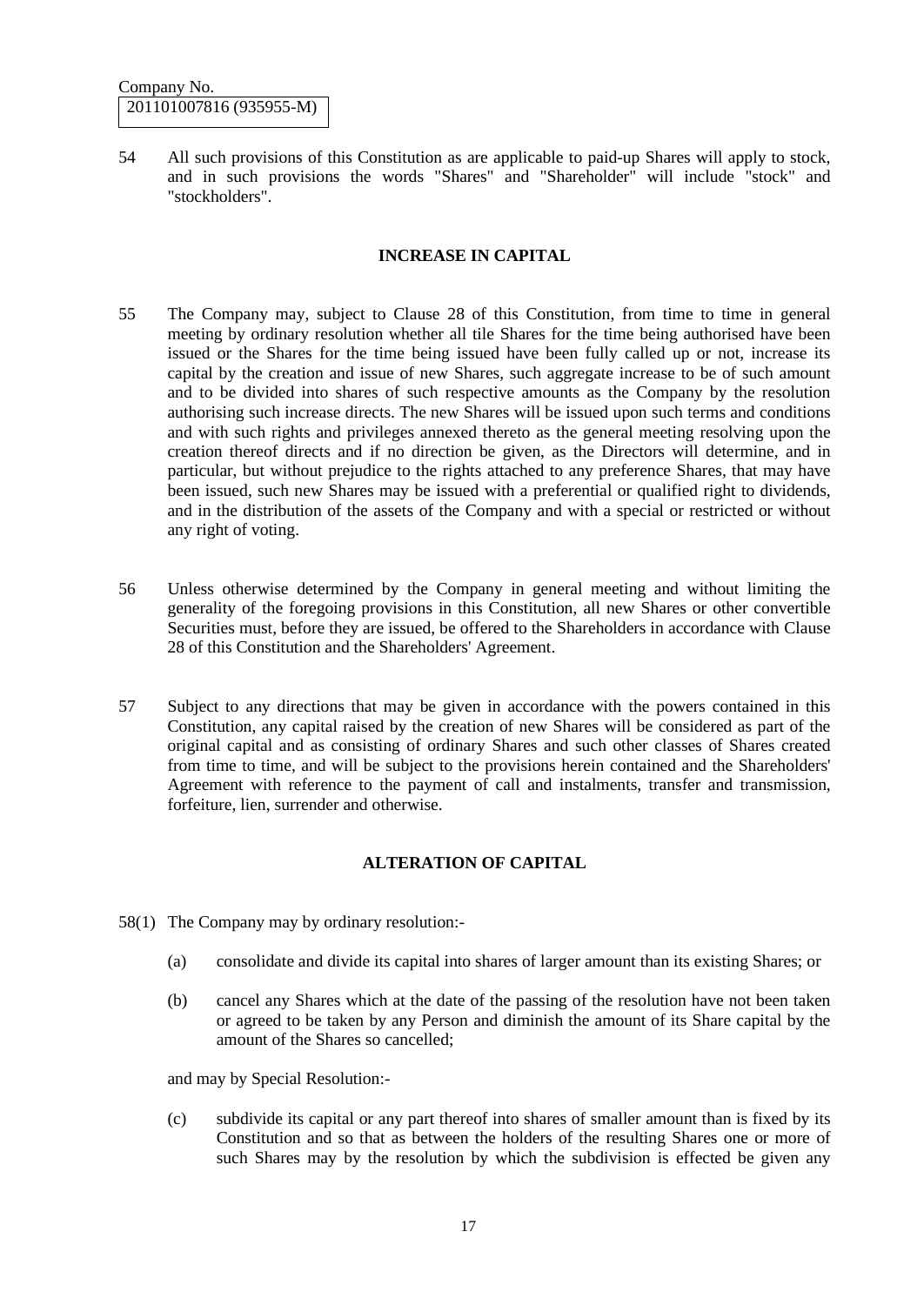54 All such provisions of this Constitution as are applicable to paid-up Shares will apply to stock, and in such provisions the words "Shares" and "Shareholder" will include "stock" and "stockholders".

### **INCREASE IN CAPITAL**

- 55 The Company may, subject to Clause 28 of this Constitution, from time to time in general meeting by ordinary resolution whether all tile Shares for the time being authorised have been issued or the Shares for the time being issued have been fully called up or not, increase its capital by the creation and issue of new Shares, such aggregate increase to be of such amount and to be divided into shares of such respective amounts as the Company by the resolution authorising such increase directs. The new Shares will be issued upon such terms and conditions and with such rights and privileges annexed thereto as the general meeting resolving upon the creation thereof directs and if no direction be given, as the Directors will determine, and in particular, but without prejudice to the rights attached to any preference Shares, that may have been issued, such new Shares may be issued with a preferential or qualified right to dividends, and in the distribution of the assets of the Company and with a special or restricted or without any right of voting.
- 56 Unless otherwise determined by the Company in general meeting and without limiting the generality of the foregoing provisions in this Constitution, all new Shares or other convertible Securities must, before they are issued, be offered to the Shareholders in accordance with Clause 28 of this Constitution and the Shareholders' Agreement.
- 57 Subject to any directions that may be given in accordance with the powers contained in this Constitution, any capital raised by the creation of new Shares will be considered as part of the original capital and as consisting of ordinary Shares and such other classes of Shares created from time to time, and will be subject to the provisions herein contained and the Shareholders' Agreement with reference to the payment of call and instalments, transfer and transmission, forfeiture, lien, surrender and otherwise.

## **ALTERATION OF CAPITAL**

- 58(1) The Company may by ordinary resolution:-
	- (a) consolidate and divide its capital into shares of larger amount than its existing Shares; or
	- (b) cancel any Shares which at the date of the passing of the resolution have not been taken or agreed to be taken by any Person and diminish the amount of its Share capital by the amount of the Shares so cancelled;

and may by Special Resolution:-

(c) subdivide its capital or any part thereof into shares of smaller amount than is fixed by its Constitution and so that as between the holders of the resulting Shares one or more of such Shares may by the resolution by which the subdivision is effected be given any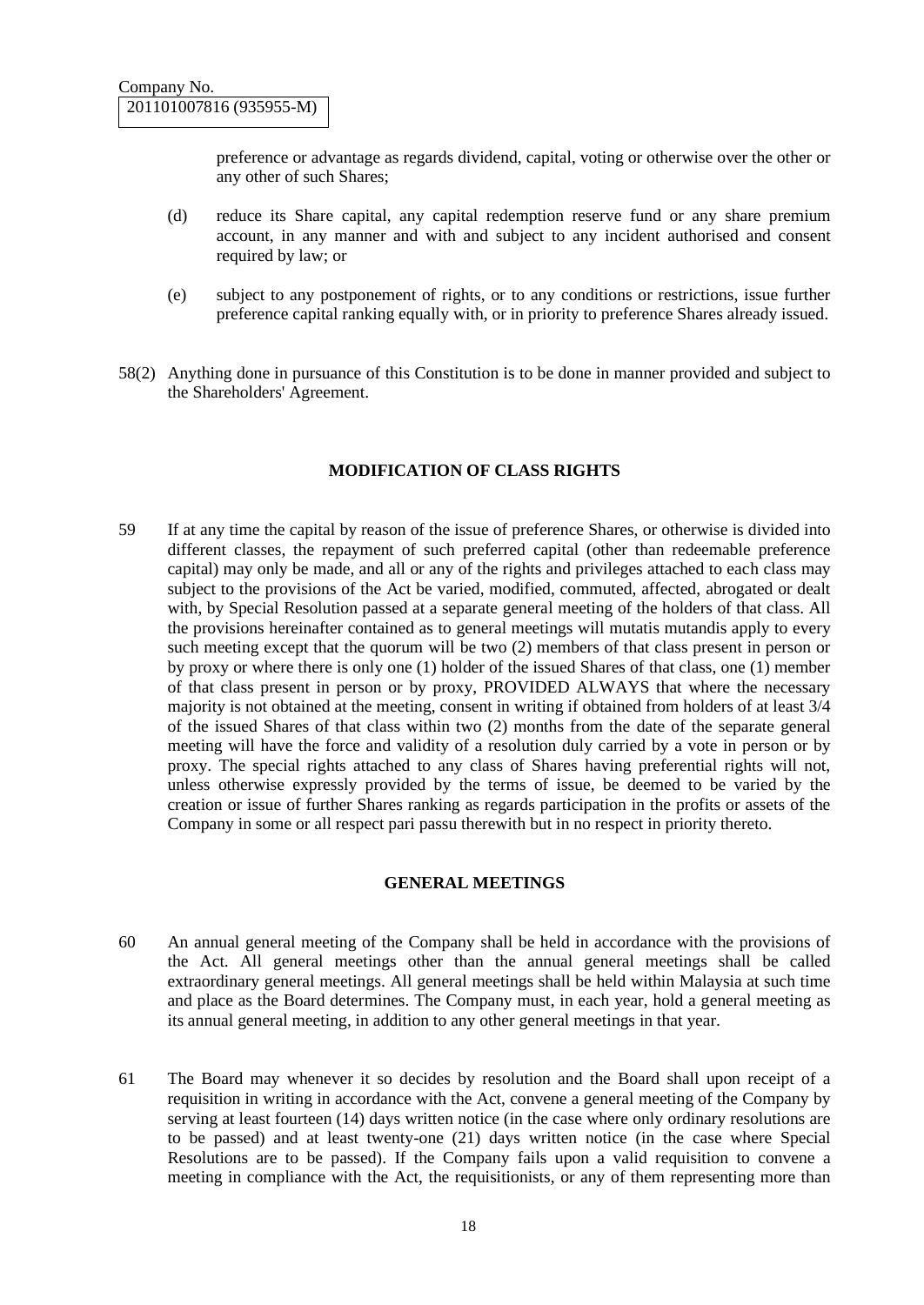preference or advantage as regards dividend, capital, voting or otherwise over the other or any other of such Shares;

- (d) reduce its Share capital, any capital redemption reserve fund or any share premium account, in any manner and with and subject to any incident authorised and consent required by law; or
- (e) subject to any postponement of rights, or to any conditions or restrictions, issue further preference capital ranking equally with, or in priority to preference Shares already issued.
- 58(2) Anything done in pursuance of this Constitution is to be done in manner provided and subject to the Shareholders' Agreement.

#### **MODIFICATION OF CLASS RIGHTS**

59 If at any time the capital by reason of the issue of preference Shares, or otherwise is divided into different classes, the repayment of such preferred capital (other than redeemable preference capital) may only be made, and all or any of the rights and privileges attached to each class may subject to the provisions of the Act be varied, modified, commuted, affected, abrogated or dealt with, by Special Resolution passed at a separate general meeting of the holders of that class. All the provisions hereinafter contained as to general meetings will mutatis mutandis apply to every such meeting except that the quorum will be two (2) members of that class present in person or by proxy or where there is only one (1) holder of the issued Shares of that class, one (1) member of that class present in person or by proxy, PROVIDED ALWAYS that where the necessary majority is not obtained at the meeting, consent in writing if obtained from holders of at least 3/4 of the issued Shares of that class within two (2) months from the date of the separate general meeting will have the force and validity of a resolution duly carried by a vote in person or by proxy. The special rights attached to any class of Shares having preferential rights will not, unless otherwise expressly provided by the terms of issue, be deemed to be varied by the creation or issue of further Shares ranking as regards participation in the profits or assets of the Company in some or all respect pari passu therewith but in no respect in priority thereto.

#### **GENERAL MEETINGS**

- 60 An annual general meeting of the Company shall be held in accordance with the provisions of the Act. All general meetings other than the annual general meetings shall be called extraordinary general meetings. All general meetings shall be held within Malaysia at such time and place as the Board determines. The Company must, in each year, hold a general meeting as its annual general meeting, in addition to any other general meetings in that year.
- 61 The Board may whenever it so decides by resolution and the Board shall upon receipt of a requisition in writing in accordance with the Act, convene a general meeting of the Company by serving at least fourteen (14) days written notice (in the case where only ordinary resolutions are to be passed) and at least twenty-one (21) days written notice (in the case where Special Resolutions are to be passed). If the Company fails upon a valid requisition to convene a meeting in compliance with the Act, the requisitionists, or any of them representing more than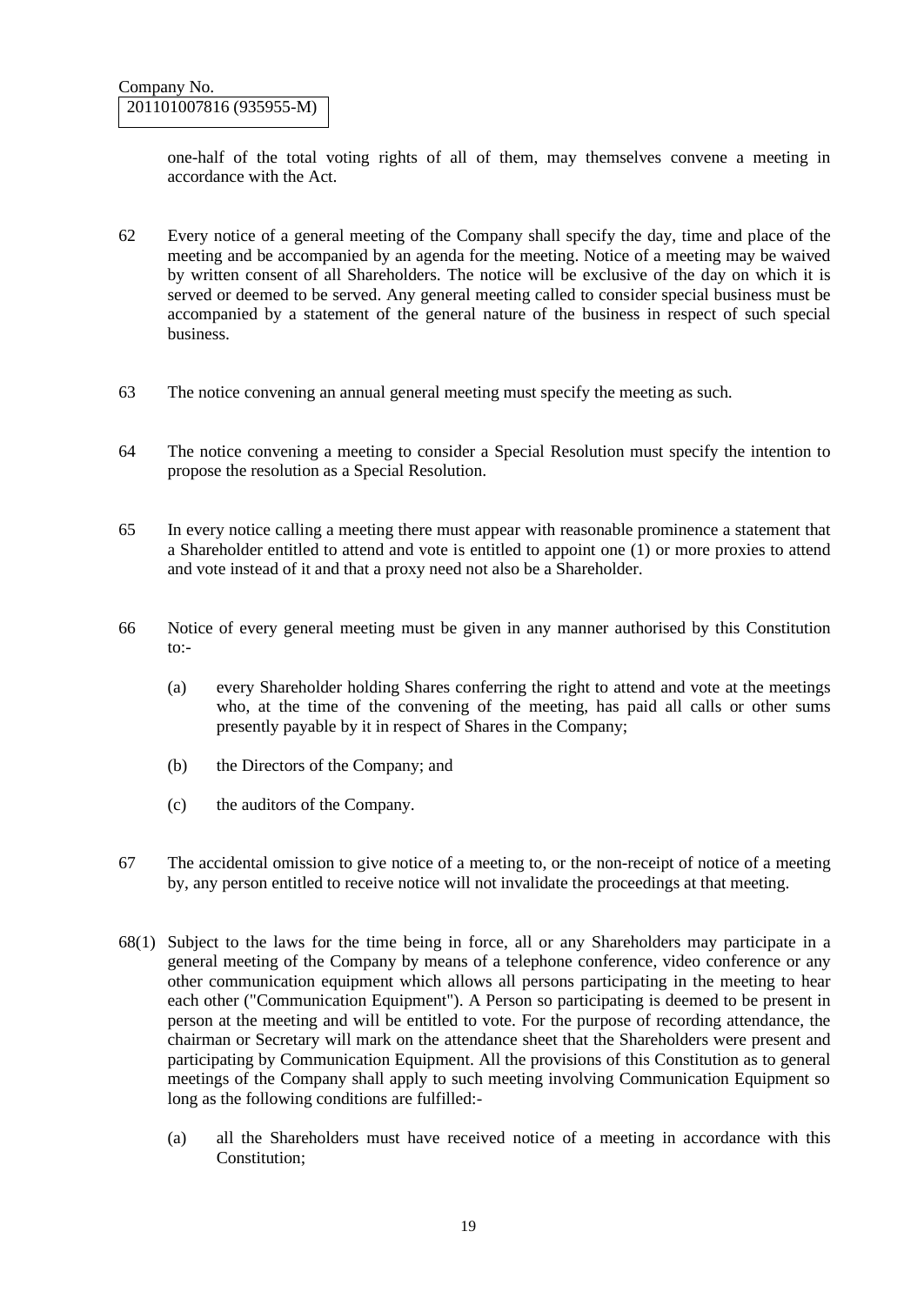one-half of the total voting rights of all of them, may themselves convene a meeting in accordance with the Act.

- 62 Every notice of a general meeting of the Company shall specify the day, time and place of the meeting and be accompanied by an agenda for the meeting. Notice of a meeting may be waived by written consent of all Shareholders. The notice will be exclusive of the day on which it is served or deemed to be served. Any general meeting called to consider special business must be accompanied by a statement of the general nature of the business in respect of such special business.
- 63 The notice convening an annual general meeting must specify the meeting as such.
- 64 The notice convening a meeting to consider a Special Resolution must specify the intention to propose the resolution as a Special Resolution.
- 65 In every notice calling a meeting there must appear with reasonable prominence a statement that a Shareholder entitled to attend and vote is entitled to appoint one (1) or more proxies to attend and vote instead of it and that a proxy need not also be a Shareholder.
- 66 Notice of every general meeting must be given in any manner authorised by this Constitution  $to:$ 
	- (a) every Shareholder holding Shares conferring the right to attend and vote at the meetings who, at the time of the convening of the meeting, has paid all calls or other sums presently payable by it in respect of Shares in the Company;
	- (b) the Directors of the Company; and
	- (c) the auditors of the Company.
- 67 The accidental omission to give notice of a meeting to, or the non-receipt of notice of a meeting by, any person entitled to receive notice will not invalidate the proceedings at that meeting.
- 68(1) Subject to the laws for the time being in force, all or any Shareholders may participate in a general meeting of the Company by means of a telephone conference, video conference or any other communication equipment which allows all persons participating in the meeting to hear each other ("Communication Equipment"). A Person so participating is deemed to be present in person at the meeting and will be entitled to vote. For the purpose of recording attendance, the chairman or Secretary will mark on the attendance sheet that the Shareholders were present and participating by Communication Equipment. All the provisions of this Constitution as to general meetings of the Company shall apply to such meeting involving Communication Equipment so long as the following conditions are fulfilled:-
	- (a) all the Shareholders must have received notice of a meeting in accordance with this Constitution;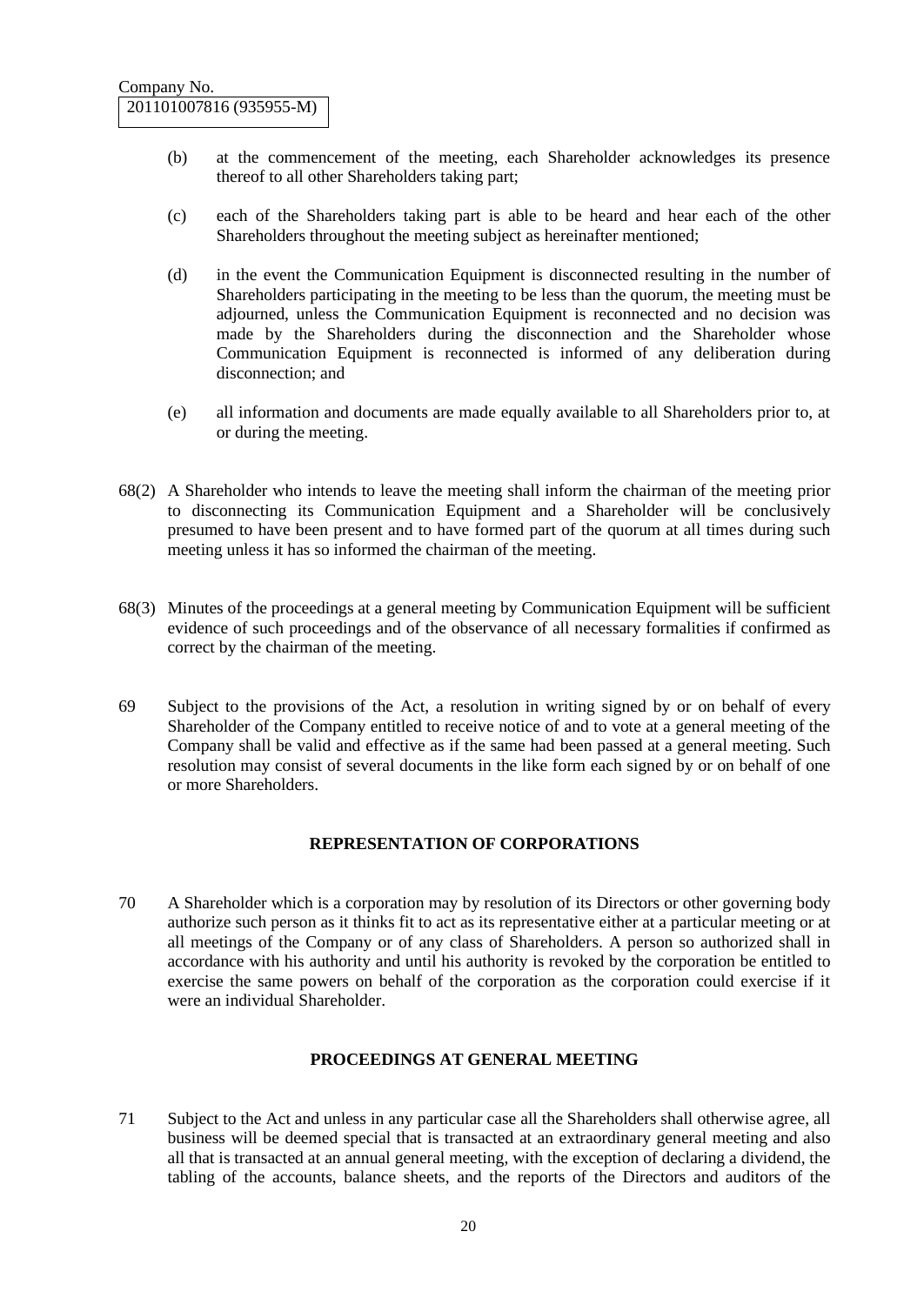- (b) at the commencement of the meeting, each Shareholder acknowledges its presence thereof to all other Shareholders taking part;
- (c) each of the Shareholders taking part is able to be heard and hear each of the other Shareholders throughout the meeting subject as hereinafter mentioned;
- (d) in the event the Communication Equipment is disconnected resulting in the number of Shareholders participating in the meeting to be less than the quorum, the meeting must be adjourned, unless the Communication Equipment is reconnected and no decision was made by the Shareholders during the disconnection and the Shareholder whose Communication Equipment is reconnected is informed of any deliberation during disconnection; and
- (e) all information and documents are made equally available to all Shareholders prior to, at or during the meeting.
- 68(2) A Shareholder who intends to leave the meeting shall inform the chairman of the meeting prior to disconnecting its Communication Equipment and a Shareholder will be conclusively presumed to have been present and to have formed part of the quorum at all times during such meeting unless it has so informed the chairman of the meeting.
- 68(3) Minutes of the proceedings at a general meeting by Communication Equipment will be sufficient evidence of such proceedings and of the observance of all necessary formalities if confirmed as correct by the chairman of the meeting.
- 69 Subject to the provisions of the Act, a resolution in writing signed by or on behalf of every Shareholder of the Company entitled to receive notice of and to vote at a general meeting of the Company shall be valid and effective as if the same had been passed at a general meeting. Such resolution may consist of several documents in the like form each signed by or on behalf of one or more Shareholders.

## **REPRESENTATION OF CORPORATIONS**

70 A Shareholder which is a corporation may by resolution of its Directors or other governing body authorize such person as it thinks fit to act as its representative either at a particular meeting or at all meetings of the Company or of any class of Shareholders. A person so authorized shall in accordance with his authority and until his authority is revoked by the corporation be entitled to exercise the same powers on behalf of the corporation as the corporation could exercise if it were an individual Shareholder.

#### **PROCEEDINGS AT GENERAL MEETING**

71 Subject to the Act and unless in any particular case all the Shareholders shall otherwise agree, all business will be deemed special that is transacted at an extraordinary general meeting and also all that is transacted at an annual general meeting, with the exception of declaring a dividend, the tabling of the accounts, balance sheets, and the reports of the Directors and auditors of the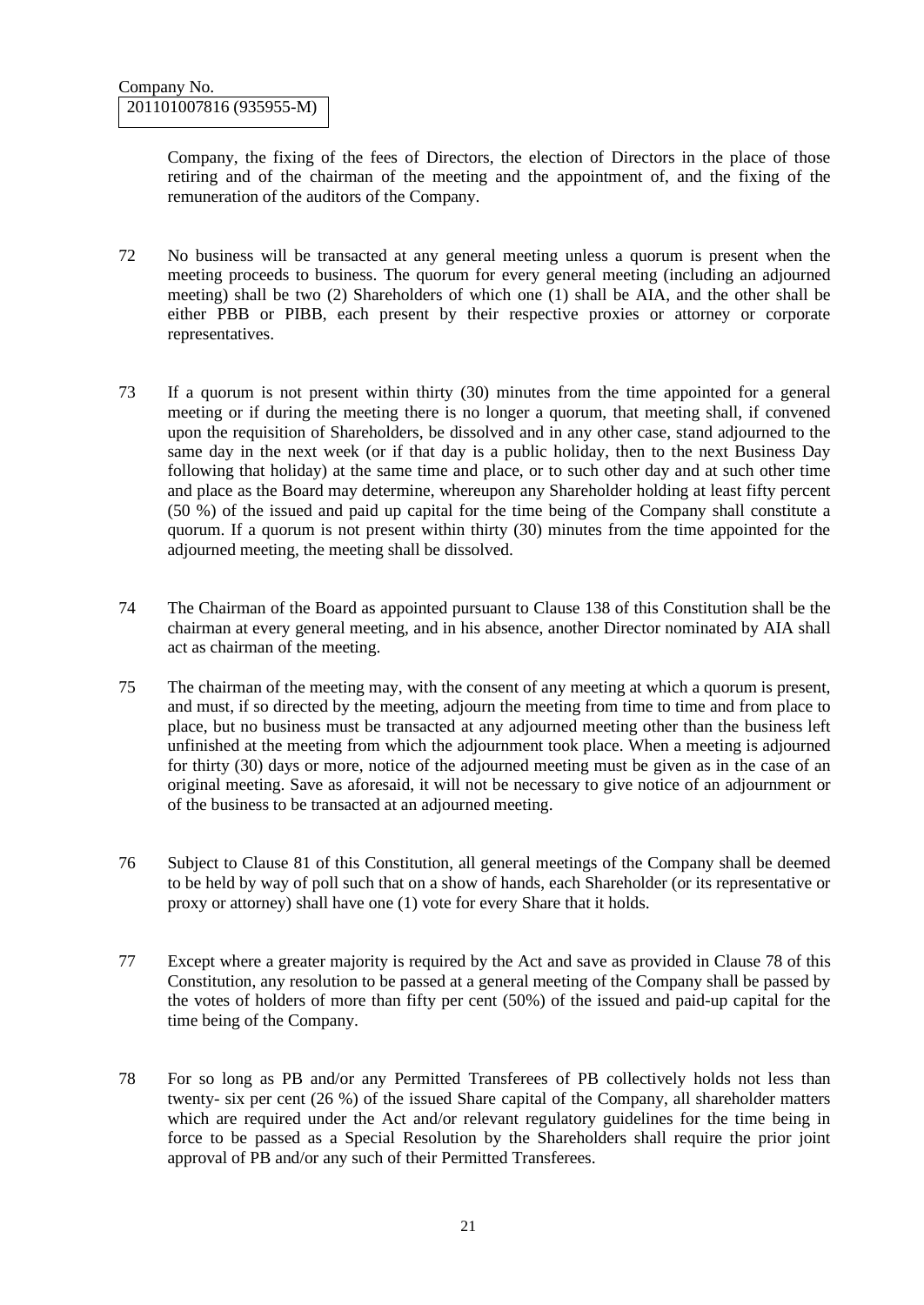Company, the fixing of the fees of Directors, the election of Directors in the place of those retiring and of the chairman of the meeting and the appointment of, and the fixing of the remuneration of the auditors of the Company.

- 72 No business will be transacted at any general meeting unless a quorum is present when the meeting proceeds to business. The quorum for every general meeting (including an adjourned meeting) shall be two (2) Shareholders of which one (1) shall be AIA, and the other shall be either PBB or PIBB, each present by their respective proxies or attorney or corporate representatives.
- 73 If a quorum is not present within thirty (30) minutes from the time appointed for a general meeting or if during the meeting there is no longer a quorum, that meeting shall, if convened upon the requisition of Shareholders, be dissolved and in any other case, stand adjourned to the same day in the next week (or if that day is a public holiday, then to the next Business Day following that holiday) at the same time and place, or to such other day and at such other time and place as the Board may determine, whereupon any Shareholder holding at least fifty percent (50 %) of the issued and paid up capital for the time being of the Company shall constitute a quorum. If a quorum is not present within thirty (30) minutes from the time appointed for the adjourned meeting, the meeting shall be dissolved.
- 74 The Chairman of the Board as appointed pursuant to Clause 138 of this Constitution shall be the chairman at every general meeting, and in his absence, another Director nominated by AIA shall act as chairman of the meeting.
- 75 The chairman of the meeting may, with the consent of any meeting at which a quorum is present, and must, if so directed by the meeting, adjourn the meeting from time to time and from place to place, but no business must be transacted at any adjourned meeting other than the business left unfinished at the meeting from which the adjournment took place. When a meeting is adjourned for thirty (30) days or more, notice of the adjourned meeting must be given as in the case of an original meeting. Save as aforesaid, it will not be necessary to give notice of an adjournment or of the business to be transacted at an adjourned meeting.
- 76 Subject to Clause 81 of this Constitution, all general meetings of the Company shall be deemed to be held by way of poll such that on a show of hands, each Shareholder (or its representative or proxy or attorney) shall have one (1) vote for every Share that it holds.
- 77 Except where a greater majority is required by the Act and save as provided in Clause 78 of this Constitution, any resolution to be passed at a general meeting of the Company shall be passed by the votes of holders of more than fifty per cent (50%) of the issued and paid-up capital for the time being of the Company.
- 78 For so long as PB and/or any Permitted Transferees of PB collectively holds not less than twenty- six per cent (26 %) of the issued Share capital of the Company, all shareholder matters which are required under the Act and/or relevant regulatory guidelines for the time being in force to be passed as a Special Resolution by the Shareholders shall require the prior joint approval of PB and/or any such of their Permitted Transferees.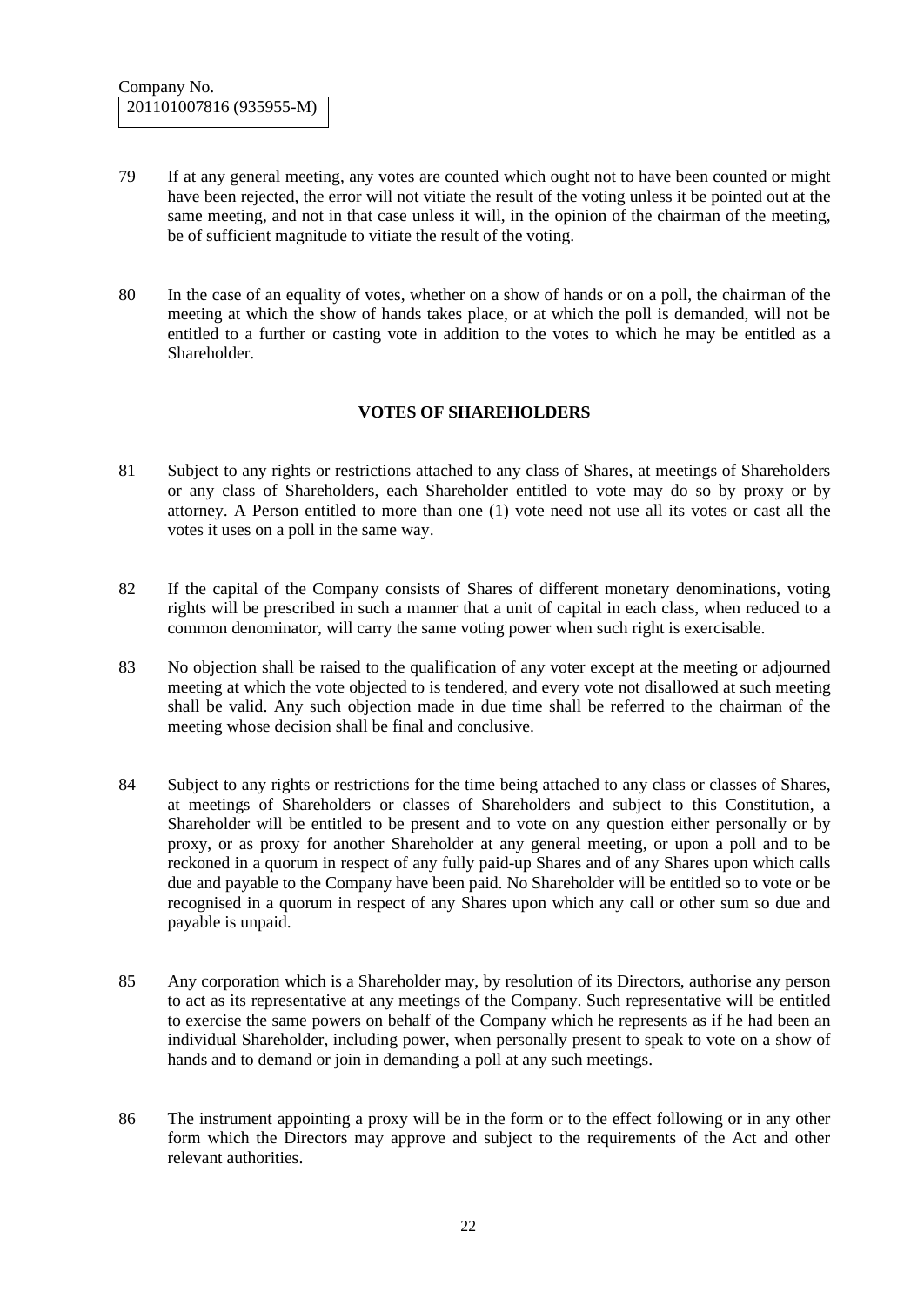- 79 If at any general meeting, any votes are counted which ought not to have been counted or might have been rejected, the error will not vitiate the result of the voting unless it be pointed out at the same meeting, and not in that case unless it will, in the opinion of the chairman of the meeting, be of sufficient magnitude to vitiate the result of the voting.
- 80 In the case of an equality of votes, whether on a show of hands or on a poll, the chairman of the meeting at which the show of hands takes place, or at which the poll is demanded, will not be entitled to a further or casting vote in addition to the votes to which he may be entitled as a Shareholder.

## **VOTES OF SHAREHOLDERS**

- 81 Subject to any rights or restrictions attached to any class of Shares, at meetings of Shareholders or any class of Shareholders, each Shareholder entitled to vote may do so by proxy or by attorney. A Person entitled to more than one (1) vote need not use all its votes or cast all the votes it uses on a poll in the same way.
- 82 If the capital of the Company consists of Shares of different monetary denominations, voting rights will be prescribed in such a manner that a unit of capital in each class, when reduced to a common denominator, will carry the same voting power when such right is exercisable.
- 83 No objection shall be raised to the qualification of any voter except at the meeting or adjourned meeting at which the vote objected to is tendered, and every vote not disallowed at such meeting shall be valid. Any such objection made in due time shall be referred to the chairman of the meeting whose decision shall be final and conclusive.
- 84 Subject to any rights or restrictions for the time being attached to any class or classes of Shares, at meetings of Shareholders or classes of Shareholders and subject to this Constitution, a Shareholder will be entitled to be present and to vote on any question either personally or by proxy, or as proxy for another Shareholder at any general meeting, or upon a poll and to be reckoned in a quorum in respect of any fully paid-up Shares and of any Shares upon which calls due and payable to the Company have been paid. No Shareholder will be entitled so to vote or be recognised in a quorum in respect of any Shares upon which any call or other sum so due and payable is unpaid.
- 85 Any corporation which is a Shareholder may, by resolution of its Directors, authorise any person to act as its representative at any meetings of the Company. Such representative will be entitled to exercise the same powers on behalf of the Company which he represents as if he had been an individual Shareholder, including power, when personally present to speak to vote on a show of hands and to demand or join in demanding a poll at any such meetings.
- 86 The instrument appointing a proxy will be in the form or to the effect following or in any other form which the Directors may approve and subject to the requirements of the Act and other relevant authorities.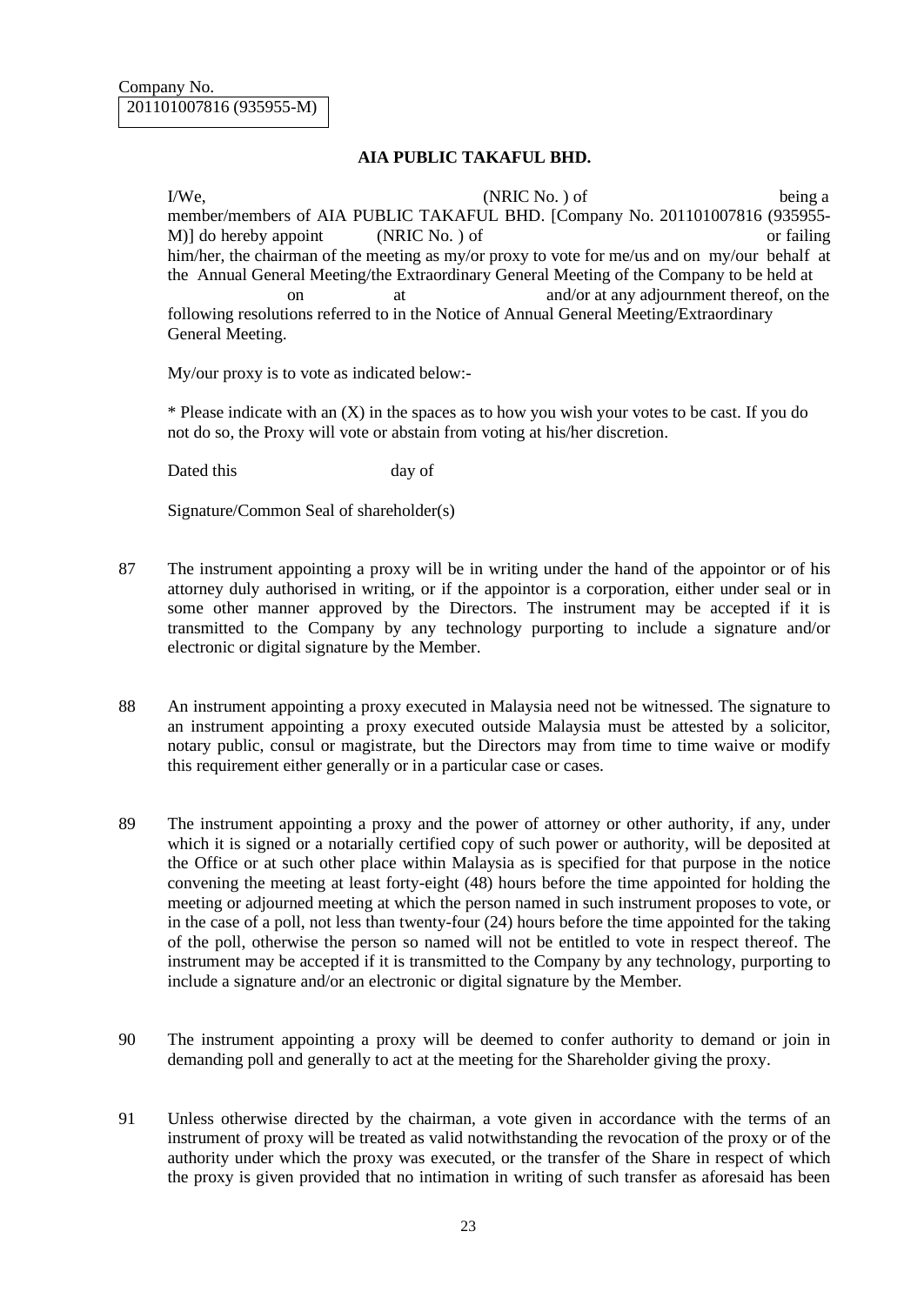### **AIA PUBLIC TAKAFUL BHD.**

I/We, NO CONSERVANC No. 1 of the being a being a being a being a being a being a being a being a being a being a being a being a being a being a being a being a being a being a being a being a being a being a being a being member/members of AIA PUBLIC TAKAFUL BHD. [Company No. 201101007816 (935955- M)] do hereby appoint (NRIC No. ) of or failing him/her, the chairman of the meeting as my/or proxy to vote for me/us and on my/our behalf at the Annual General Meeting/the Extraordinary General Meeting of the Company to be held at on at any adjournment thereof, on the following resolutions referred to in the Notice of Annual General Meeting/Extraordinary General Meeting.

My/our proxy is to vote as indicated below:-

\* Please indicate with an (X) in the spaces as to how you wish your votes to be cast. If you do not do so, the Proxy will vote or abstain from voting at his/her discretion.

Dated this day of

Signature/Common Seal of shareholder(s)

- 87 The instrument appointing a proxy will be in writing under the hand of the appointor or of his attorney duly authorised in writing, or if the appointor is a corporation, either under seal or in some other manner approved by the Directors. The instrument may be accepted if it is transmitted to the Company by any technology purporting to include a signature and/or electronic or digital signature by the Member.
- 88 An instrument appointing a proxy executed in Malaysia need not be witnessed. The signature to an instrument appointing a proxy executed outside Malaysia must be attested by a solicitor, notary public, consul or magistrate, but the Directors may from time to time waive or modify this requirement either generally or in a particular case or cases.
- 89 The instrument appointing a proxy and the power of attorney or other authority, if any, under which it is signed or a notarially certified copy of such power or authority, will be deposited at the Office or at such other place within Malaysia as is specified for that purpose in the notice convening the meeting at least forty-eight (48) hours before the time appointed for holding the meeting or adjourned meeting at which the person named in such instrument proposes to vote, or in the case of a poll, not less than twenty-four (24) hours before the time appointed for the taking of the poll, otherwise the person so named will not be entitled to vote in respect thereof. The instrument may be accepted if it is transmitted to the Company by any technology, purporting to include a signature and/or an electronic or digital signature by the Member.
- 90 The instrument appointing a proxy will be deemed to confer authority to demand or join in demanding poll and generally to act at the meeting for the Shareholder giving the proxy.
- 91 Unless otherwise directed by the chairman, a vote given in accordance with the terms of an instrument of proxy will be treated as valid notwithstanding the revocation of the proxy or of the authority under which the proxy was executed, or the transfer of the Share in respect of which the proxy is given provided that no intimation in writing of such transfer as aforesaid has been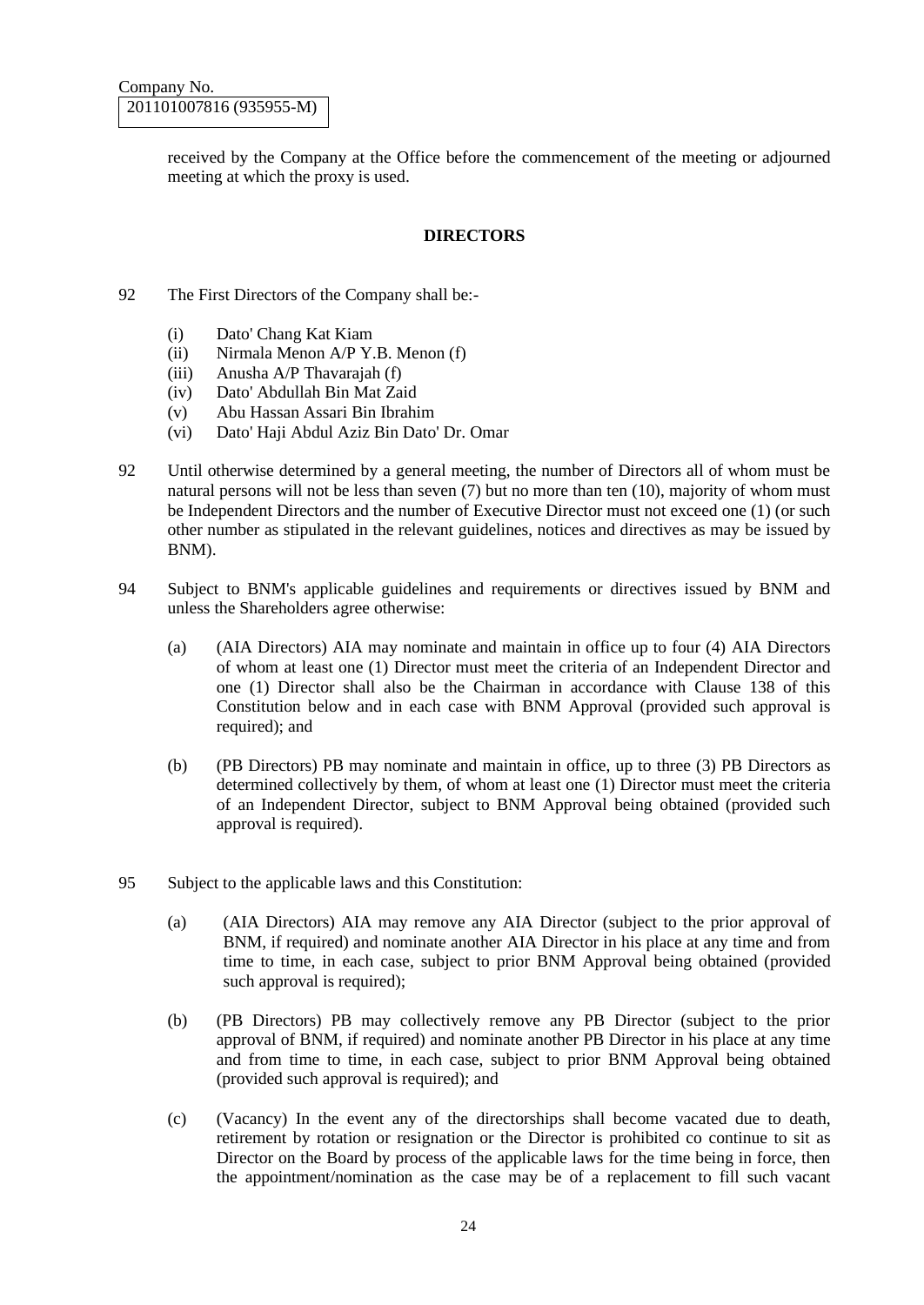received by the Company at the Office before the commencement of the meeting or adjourned meeting at which the proxy is used.

### **DIRECTORS**

- 92 The First Directors of the Company shall be:-
	- (i) Dato' Chang Kat Kiam
	- (ii) Nirmala Menon A/P Y.B. Menon (f)
	- (iii) Anusha A/P Thavarajah (f)
	- (iv) Dato' Abdullah Bin Mat Zaid
	- (v) Abu Hassan Assari Bin Ibrahim
	- (vi) Dato' Haji Abdul Aziz Bin Dato' Dr. Omar
- 92 Until otherwise determined by a general meeting, the number of Directors all of whom must be natural persons will not be less than seven (7) but no more than ten (10), majority of whom must be Independent Directors and the number of Executive Director must not exceed one (1) (or such other number as stipulated in the relevant guidelines, notices and directives as may be issued by BNM).
- 94 Subject to BNM's applicable guidelines and requirements or directives issued by BNM and unless the Shareholders agree otherwise:
	- (a) (AIA Directors) AIA may nominate and maintain in office up to four (4) AIA Directors of whom at least one (1) Director must meet the criteria of an Independent Director and one (1) Director shall also be the Chairman in accordance with Clause 138 of this Constitution below and in each case with BNM Approval (provided such approval is required); and
	- (b) (PB Directors) PB may nominate and maintain in office, up to three (3) PB Directors as determined collectively by them, of whom at least one (1) Director must meet the criteria of an Independent Director, subject to BNM Approval being obtained (provided such approval is required).
- 95 Subject to the applicable laws and this Constitution:
	- (a) (AIA Directors) AIA may remove any AIA Director (subject to the prior approval of BNM, if required) and nominate another AIA Director in his place at any time and from time to time, in each case, subject to prior BNM Approval being obtained (provided such approval is required);
	- (b) (PB Directors) PB may collectively remove any PB Director (subject to the prior approval of BNM, if required) and nominate another PB Director in his place at any time and from time to time, in each case, subject to prior BNM Approval being obtained (provided such approval is required); and
	- (c) (Vacancy) In the event any of the directorships shall become vacated due to death, retirement by rotation or resignation or the Director is prohibited co continue to sit as Director on the Board by process of the applicable laws for the time being in force, then the appointment/nomination as the case may be of a replacement to fill such vacant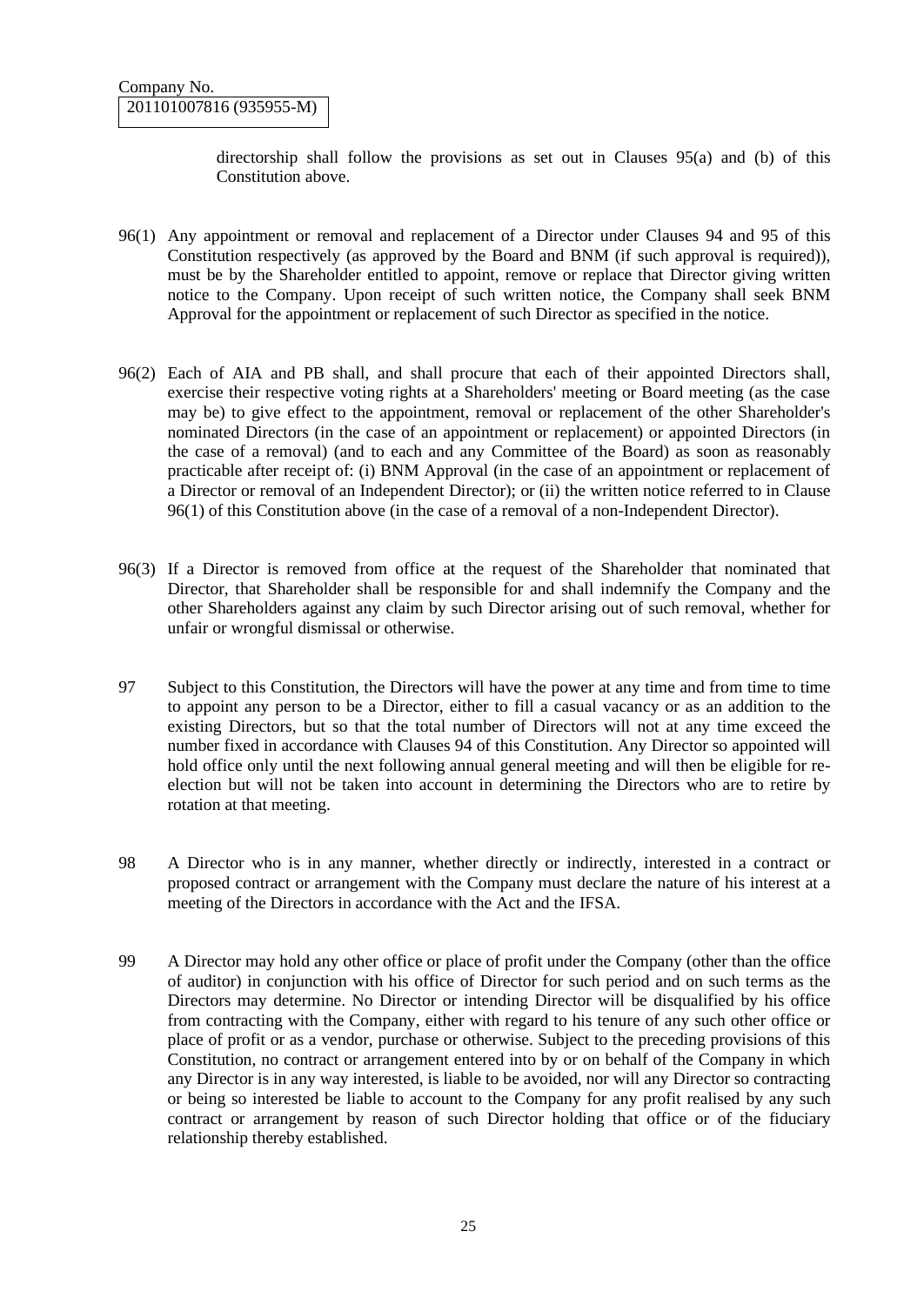directorship shall follow the provisions as set out in Clauses 95(a) and (b) of this Constitution above.

- 96(1) Any appointment or removal and replacement of a Director under Clauses 94 and 95 of this Constitution respectively (as approved by the Board and BNM (if such approval is required)), must be by the Shareholder entitled to appoint, remove or replace that Director giving written notice to the Company. Upon receipt of such written notice, the Company shall seek BNM Approval for the appointment or replacement of such Director as specified in the notice.
- 96(2) Each of AIA and PB shall, and shall procure that each of their appointed Directors shall, exercise their respective voting rights at a Shareholders' meeting or Board meeting (as the case may be) to give effect to the appointment, removal or replacement of the other Shareholder's nominated Directors (in the case of an appointment or replacement) or appointed Directors (in the case of a removal) (and to each and any Committee of the Board) as soon as reasonably practicable after receipt of: (i) BNM Approval (in the case of an appointment or replacement of a Director or removal of an Independent Director); or (ii) the written notice referred to in Clause 96(1) of this Constitution above (in the case of a removal of a non-Independent Director).
- 96(3) If a Director is removed from office at the request of the Shareholder that nominated that Director, that Shareholder shall be responsible for and shall indemnify the Company and the other Shareholders against any claim by such Director arising out of such removal, whether for unfair or wrongful dismissal or otherwise.
- 97 Subject to this Constitution, the Directors will have the power at any time and from time to time to appoint any person to be a Director, either to fill a casual vacancy or as an addition to the existing Directors, but so that the total number of Directors will not at any time exceed the number fixed in accordance with Clauses 94 of this Constitution. Any Director so appointed will hold office only until the next following annual general meeting and will then be eligible for reelection but will not be taken into account in determining the Directors who are to retire by rotation at that meeting.
- 98 A Director who is in any manner, whether directly or indirectly, interested in a contract or proposed contract or arrangement with the Company must declare the nature of his interest at a meeting of the Directors in accordance with the Act and the IFSA.
- 99 A Director may hold any other office or place of profit under the Company (other than the office of auditor) in conjunction with his office of Director for such period and on such terms as the Directors may determine. No Director or intending Director will be disqualified by his office from contracting with the Company, either with regard to his tenure of any such other office or place of profit or as a vendor, purchase or otherwise. Subject to the preceding provisions of this Constitution, no contract or arrangement entered into by or on behalf of the Company in which any Director is in any way interested, is liable to be avoided, nor will any Director so contracting or being so interested be liable to account to the Company for any profit realised by any such contract or arrangement by reason of such Director holding that office or of the fiduciary relationship thereby established.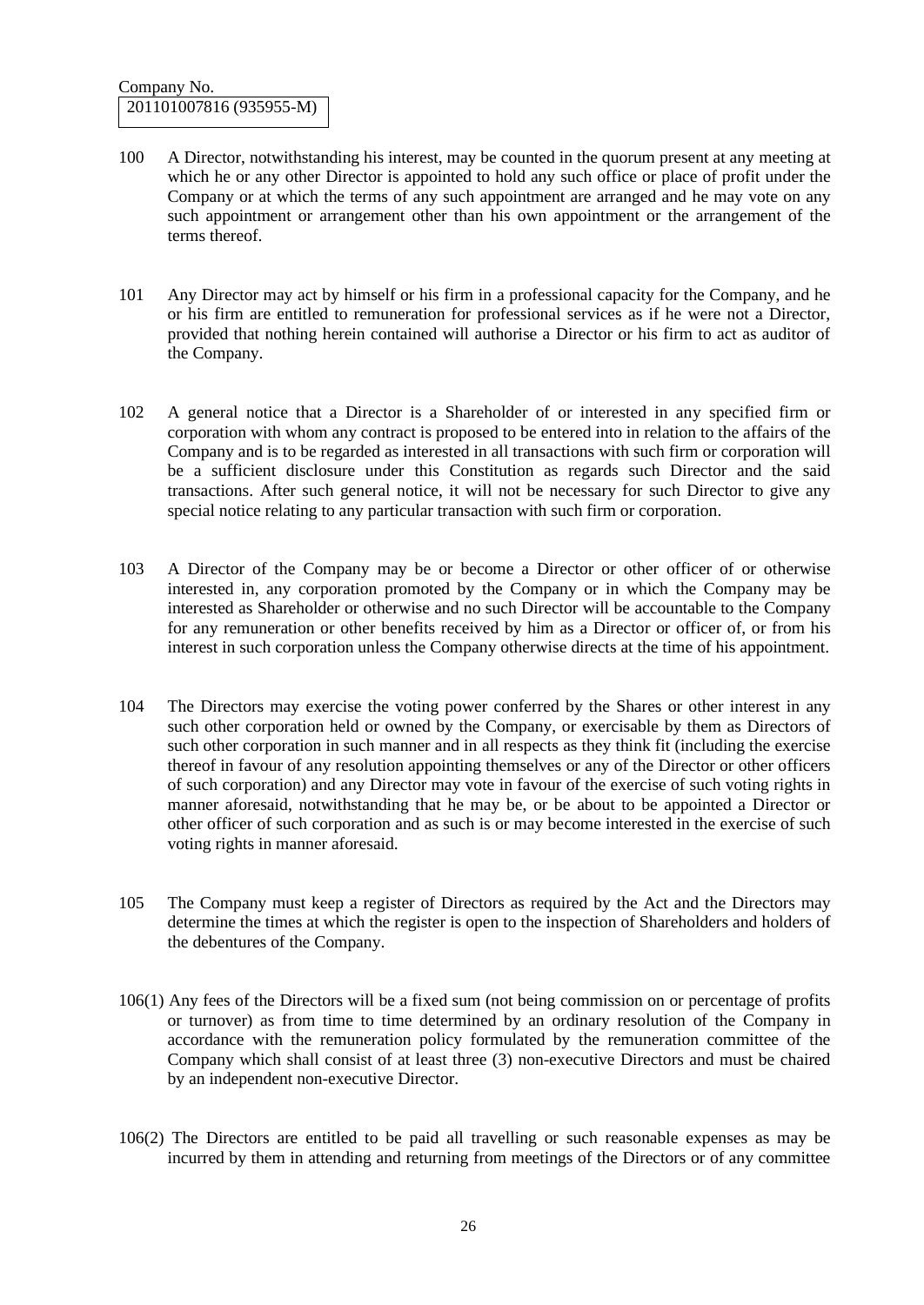- 100 A Director, notwithstanding his interest, may be counted in the quorum present at any meeting at which he or any other Director is appointed to hold any such office or place of profit under the Company or at which the terms of any such appointment are arranged and he may vote on any such appointment or arrangement other than his own appointment or the arrangement of the terms thereof.
- 101 Any Director may act by himself or his firm in a professional capacity for the Company, and he or his firm are entitled to remuneration for professional services as if he were not a Director, provided that nothing herein contained will authorise a Director or his firm to act as auditor of the Company.
- 102 A general notice that a Director is a Shareholder of or interested in any specified firm or corporation with whom any contract is proposed to be entered into in relation to the affairs of the Company and is to be regarded as interested in all transactions with such firm or corporation will be a sufficient disclosure under this Constitution as regards such Director and the said transactions. After such general notice, it will not be necessary for such Director to give any special notice relating to any particular transaction with such firm or corporation.
- 103 A Director of the Company may be or become a Director or other officer of or otherwise interested in, any corporation promoted by the Company or in which the Company may be interested as Shareholder or otherwise and no such Director will be accountable to the Company for any remuneration or other benefits received by him as a Director or officer of, or from his interest in such corporation unless the Company otherwise directs at the time of his appointment.
- 104 The Directors may exercise the voting power conferred by the Shares or other interest in any such other corporation held or owned by the Company, or exercisable by them as Directors of such other corporation in such manner and in all respects as they think fit (including the exercise thereof in favour of any resolution appointing themselves or any of the Director or other officers of such corporation) and any Director may vote in favour of the exercise of such voting rights in manner aforesaid, notwithstanding that he may be, or be about to be appointed a Director or other officer of such corporation and as such is or may become interested in the exercise of such voting rights in manner aforesaid.
- 105 The Company must keep a register of Directors as required by the Act and the Directors may determine the times at which the register is open to the inspection of Shareholders and holders of the debentures of the Company.
- 106(1) Any fees of the Directors will be a fixed sum (not being commission on or percentage of profits or turnover) as from time to time determined by an ordinary resolution of the Company in accordance with the remuneration policy formulated by the remuneration committee of the Company which shall consist of at least three (3) non-executive Directors and must be chaired by an independent non-executive Director.
- 106(2) The Directors are entitled to be paid all travelling or such reasonable expenses as may be incurred by them in attending and returning from meetings of the Directors or of any committee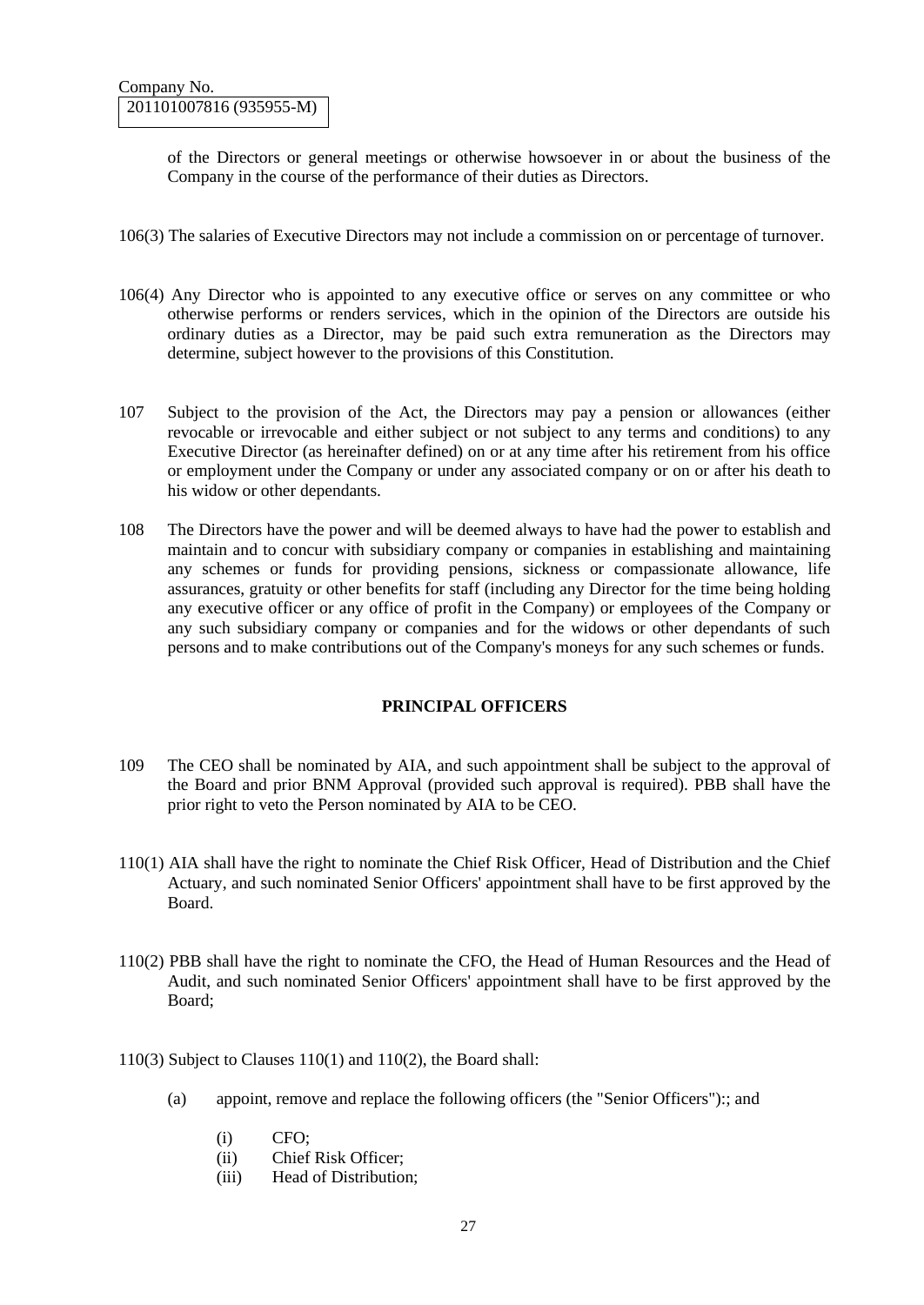of the Directors or general meetings or otherwise howsoever in or about the business of the Company in the course of the performance of their duties as Directors.

- 106(3) The salaries of Executive Directors may not include a commission on or percentage of turnover.
- 106(4) Any Director who is appointed to any executive office or serves on any committee or who otherwise performs or renders services, which in the opinion of the Directors are outside his ordinary duties as a Director, may be paid such extra remuneration as the Directors may determine, subject however to the provisions of this Constitution.
- 107 Subject to the provision of the Act, the Directors may pay a pension or allowances (either revocable or irrevocable and either subject or not subject to any terms and conditions) to any Executive Director (as hereinafter defined) on or at any time after his retirement from his office or employment under the Company or under any associated company or on or after his death to his widow or other dependants.
- 108 The Directors have the power and will be deemed always to have had the power to establish and maintain and to concur with subsidiary company or companies in establishing and maintaining any schemes or funds for providing pensions, sickness or compassionate allowance, life assurances, gratuity or other benefits for staff (including any Director for the time being holding any executive officer or any office of profit in the Company) or employees of the Company or any such subsidiary company or companies and for the widows or other dependants of such persons and to make contributions out of the Company's moneys for any such schemes or funds.

## **PRINCIPAL OFFICERS**

- 109 The CEO shall be nominated by AIA, and such appointment shall be subject to the approval of the Board and prior BNM Approval (provided such approval is required). PBB shall have the prior right to veto the Person nominated by AIA to be CEO.
- 110(1) AIA shall have the right to nominate the Chief Risk Officer, Head of Distribution and the Chief Actuary, and such nominated Senior Officers' appointment shall have to be first approved by the Board.
- 110(2) PBB shall have the right to nominate the CFO, the Head of Human Resources and the Head of Audit, and such nominated Senior Officers' appointment shall have to be first approved by the Board;
- 110(3) Subject to Clauses 110(1) and 110(2), the Board shall:
	- (a) appoint, remove and replace the following officers (the "Senior Officers"):; and
		- (i) CFO;
		- (ii) Chief Risk Officer;
		- (iii) Head of Distribution;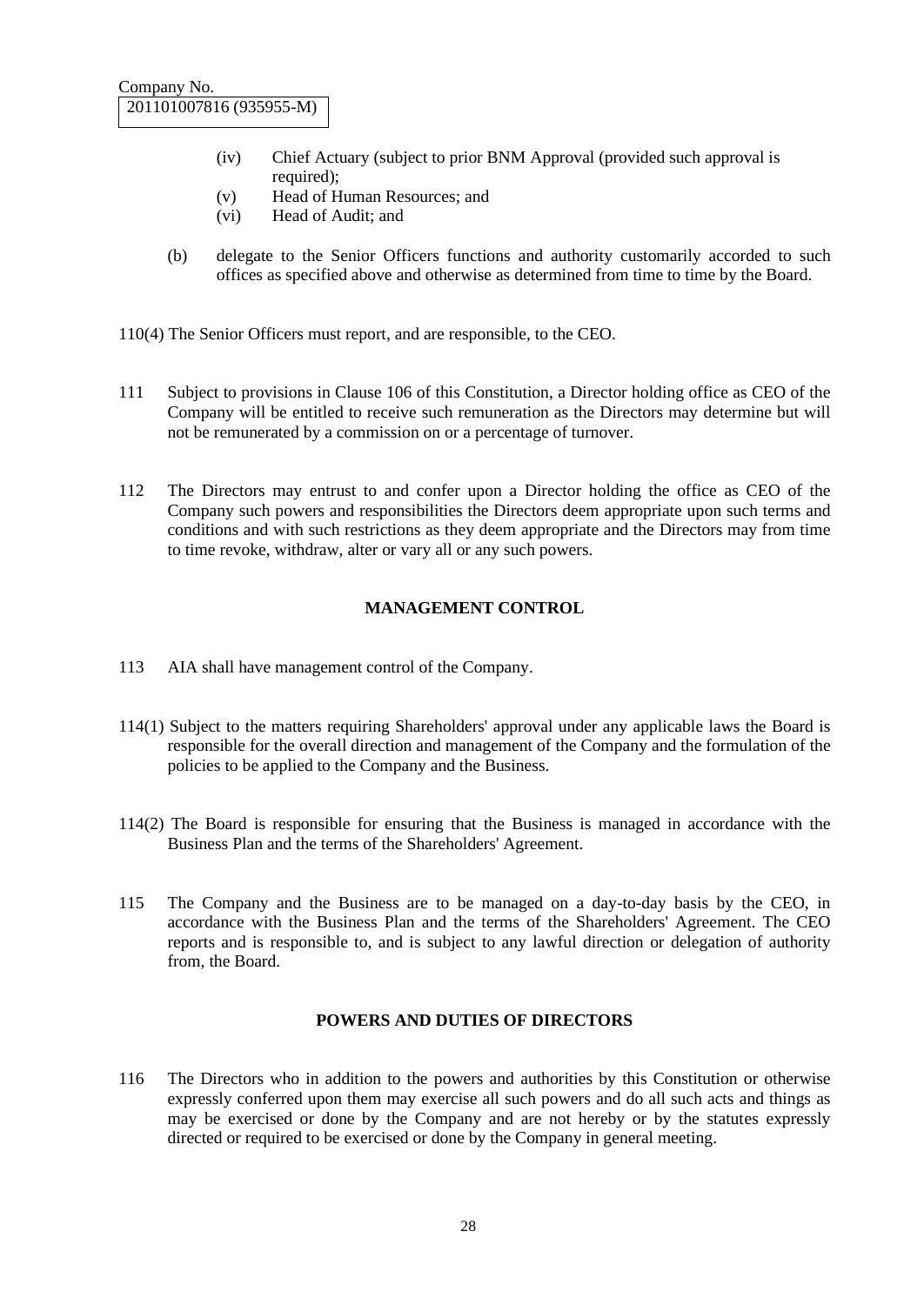- (iv) Chief Actuary (subject to prior BNM Approval (provided such approval is required);
- (v) Head of Human Resources; and
- (vi) Head of Audit; and
- (b) delegate to the Senior Officers functions and authority customarily accorded to such offices as specified above and otherwise as determined from time to time by the Board.

110(4) The Senior Officers must report, and are responsible, to the CEO.

- 111 Subject to provisions in Clause 106 of this Constitution, a Director holding office as CEO of the Company will be entitled to receive such remuneration as the Directors may determine but will not be remunerated by a commission on or a percentage of turnover.
- 112 The Directors may entrust to and confer upon a Director holding the office as CEO of the Company such powers and responsibilities the Directors deem appropriate upon such terms and conditions and with such restrictions as they deem appropriate and the Directors may from time to time revoke, withdraw, alter or vary all or any such powers.

### **MANAGEMENT CONTROL**

- 113 AIA shall have management control of the Company.
- 114(1) Subject to the matters requiring Shareholders' approval under any applicable laws the Board is responsible for the overall direction and management of the Company and the formulation of the policies to be applied to the Company and the Business.
- 114(2) The Board is responsible for ensuring that the Business is managed in accordance with the Business Plan and the terms of the Shareholders' Agreement.
- 115 The Company and the Business are to be managed on a day-to-day basis by the CEO, in accordance with the Business Plan and the terms of the Shareholders' Agreement. The CEO reports and is responsible to, and is subject to any lawful direction or delegation of authority from, the Board.

#### **POWERS AND DUTIES OF DIRECTORS**

116 The Directors who in addition to the powers and authorities by this Constitution or otherwise expressly conferred upon them may exercise all such powers and do all such acts and things as may be exercised or done by the Company and are not hereby or by the statutes expressly directed or required to be exercised or done by the Company in general meeting.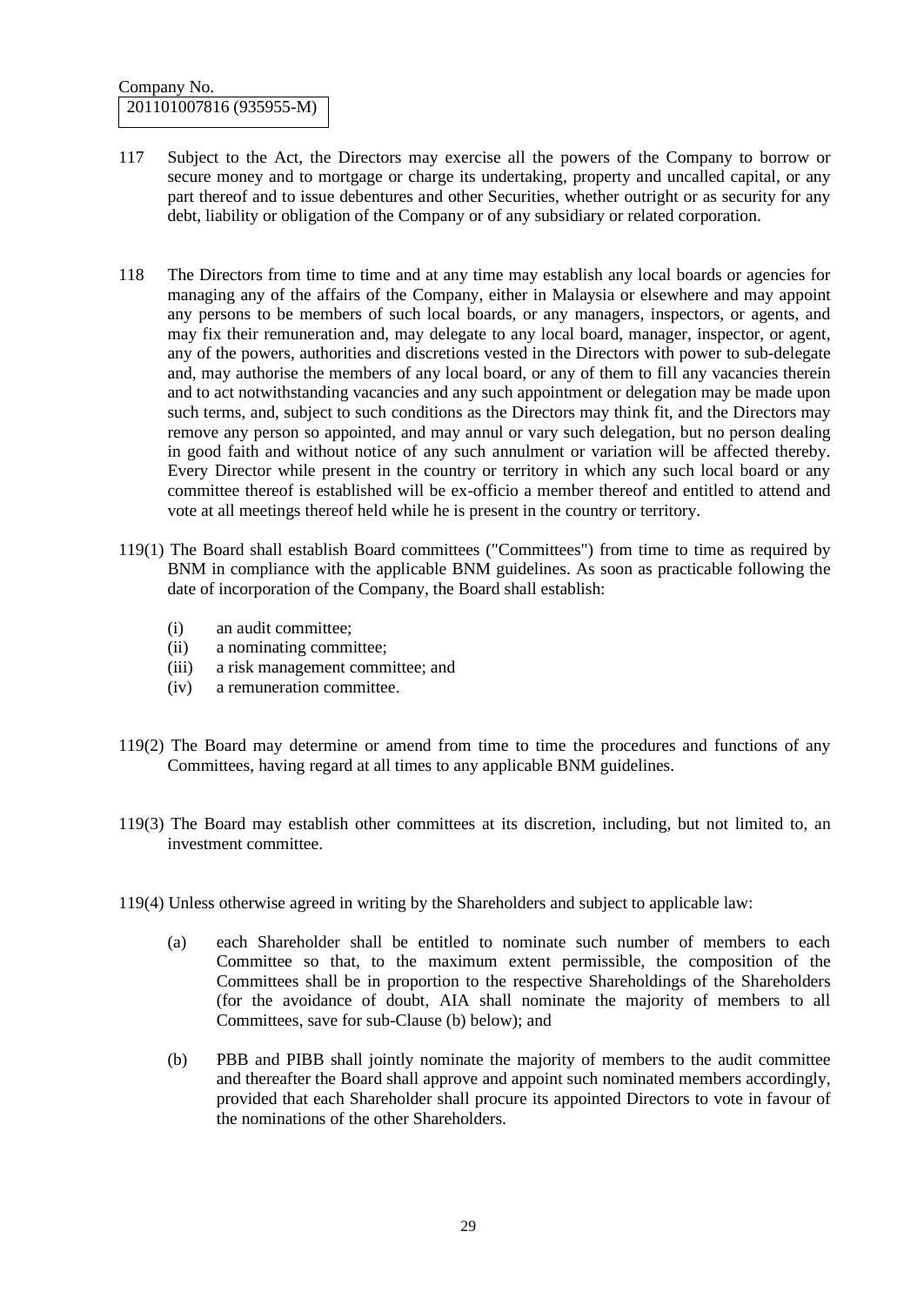- 117 Subject to the Act, the Directors may exercise all the powers of the Company to borrow or secure money and to mortgage or charge its undertaking, property and uncalled capital, or any part thereof and to issue debentures and other Securities, whether outright or as security for any debt, liability or obligation of the Company or of any subsidiary or related corporation.
- 118 The Directors from time to time and at any time may establish any local boards or agencies for managing any of the affairs of the Company, either in Malaysia or elsewhere and may appoint any persons to be members of such local boards, or any managers, inspectors, or agents, and may fix their remuneration and, may delegate to any local board, manager, inspector, or agent, any of the powers, authorities and discretions vested in the Directors with power to sub-delegate and, may authorise the members of any local board, or any of them to fill any vacancies therein and to act notwithstanding vacancies and any such appointment or delegation may be made upon such terms, and, subject to such conditions as the Directors may think fit, and the Directors may remove any person so appointed, and may annul or vary such delegation, but no person dealing in good faith and without notice of any such annulment or variation will be affected thereby. Every Director while present in the country or territory in which any such local board or any committee thereof is established will be ex-officio a member thereof and entitled to attend and vote at all meetings thereof held while he is present in the country or territory.
- 119(1) The Board shall establish Board committees ("Committees") from time to time as required by BNM in compliance with the applicable BNM guidelines. As soon as practicable following the date of incorporation of the Company, the Board shall establish:
	- (i) an audit committee;
	- (ii) a nominating committee;
	- (iii) a risk management committee; and
	- (iv) a remuneration committee.
- 119(2) The Board may determine or amend from time to time the procedures and functions of any Committees, having regard at all times to any applicable BNM guidelines.
- 119(3) The Board may establish other committees at its discretion, including, but not limited to, an investment committee.
- 119(4) Unless otherwise agreed in writing by the Shareholders and subject to applicable law:
	- (a) each Shareholder shall be entitled to nominate such number of members to each Committee so that, to the maximum extent permissible, the composition of the Committees shall be in proportion to the respective Shareholdings of the Shareholders (for the avoidance of doubt, AIA shall nominate the majority of members to all Committees, save for sub-Clause (b) below); and
	- (b) PBB and PIBB shall jointly nominate the majority of members to the audit committee and thereafter the Board shall approve and appoint such nominated members accordingly, provided that each Shareholder shall procure its appointed Directors to vote in favour of the nominations of the other Shareholders.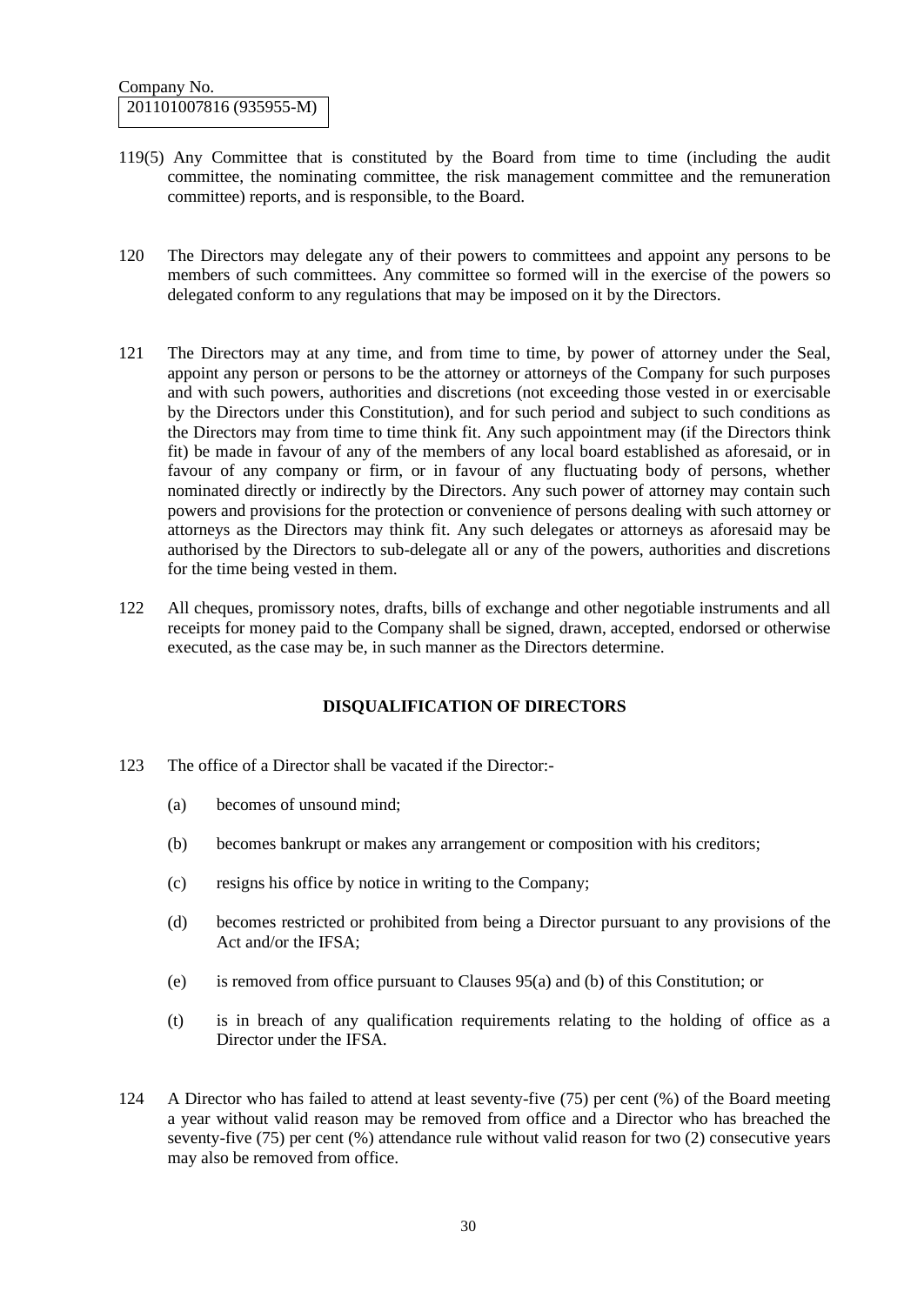- 119(5) Any Committee that is constituted by the Board from time to time (including the audit committee, the nominating committee, the risk management committee and the remuneration committee) reports, and is responsible, to the Board.
- 120 The Directors may delegate any of their powers to committees and appoint any persons to be members of such committees. Any committee so formed will in the exercise of the powers so delegated conform to any regulations that may be imposed on it by the Directors.
- 121 The Directors may at any time, and from time to time, by power of attorney under the Seal, appoint any person or persons to be the attorney or attorneys of the Company for such purposes and with such powers, authorities and discretions (not exceeding those vested in or exercisable by the Directors under this Constitution), and for such period and subject to such conditions as the Directors may from time to time think fit. Any such appointment may (if the Directors think fit) be made in favour of any of the members of any local board established as aforesaid, or in favour of any company or firm, or in favour of any fluctuating body of persons, whether nominated directly or indirectly by the Directors. Any such power of attorney may contain such powers and provisions for the protection or convenience of persons dealing with such attorney or attorneys as the Directors may think fit. Any such delegates or attorneys as aforesaid may be authorised by the Directors to sub-delegate all or any of the powers, authorities and discretions for the time being vested in them.
- 122 All cheques, promissory notes, drafts, bills of exchange and other negotiable instruments and all receipts for money paid to the Company shall be signed, drawn, accepted, endorsed or otherwise executed, as the case may be, in such manner as the Directors determine.

## **DISQUALIFICATION OF DIRECTORS**

- 123 The office of a Director shall be vacated if the Director:-
	- (a) becomes of unsound mind;
	- (b) becomes bankrupt or makes any arrangement or composition with his creditors;
	- (c) resigns his office by notice in writing to the Company;
	- (d) becomes restricted or prohibited from being a Director pursuant to any provisions of the Act and/or the IFSA;
	- (e) is removed from office pursuant to Clauses 95(a) and (b) of this Constitution; or
	- (t) is in breach of any qualification requirements relating to the holding of office as a Director under the IFSA.
- 124 A Director who has failed to attend at least seventy-five (75) per cent (%) of the Board meeting a year without valid reason may be removed from office and a Director who has breached the seventy-five (75) per cent (%) attendance rule without valid reason for two (2) consecutive years may also be removed from office.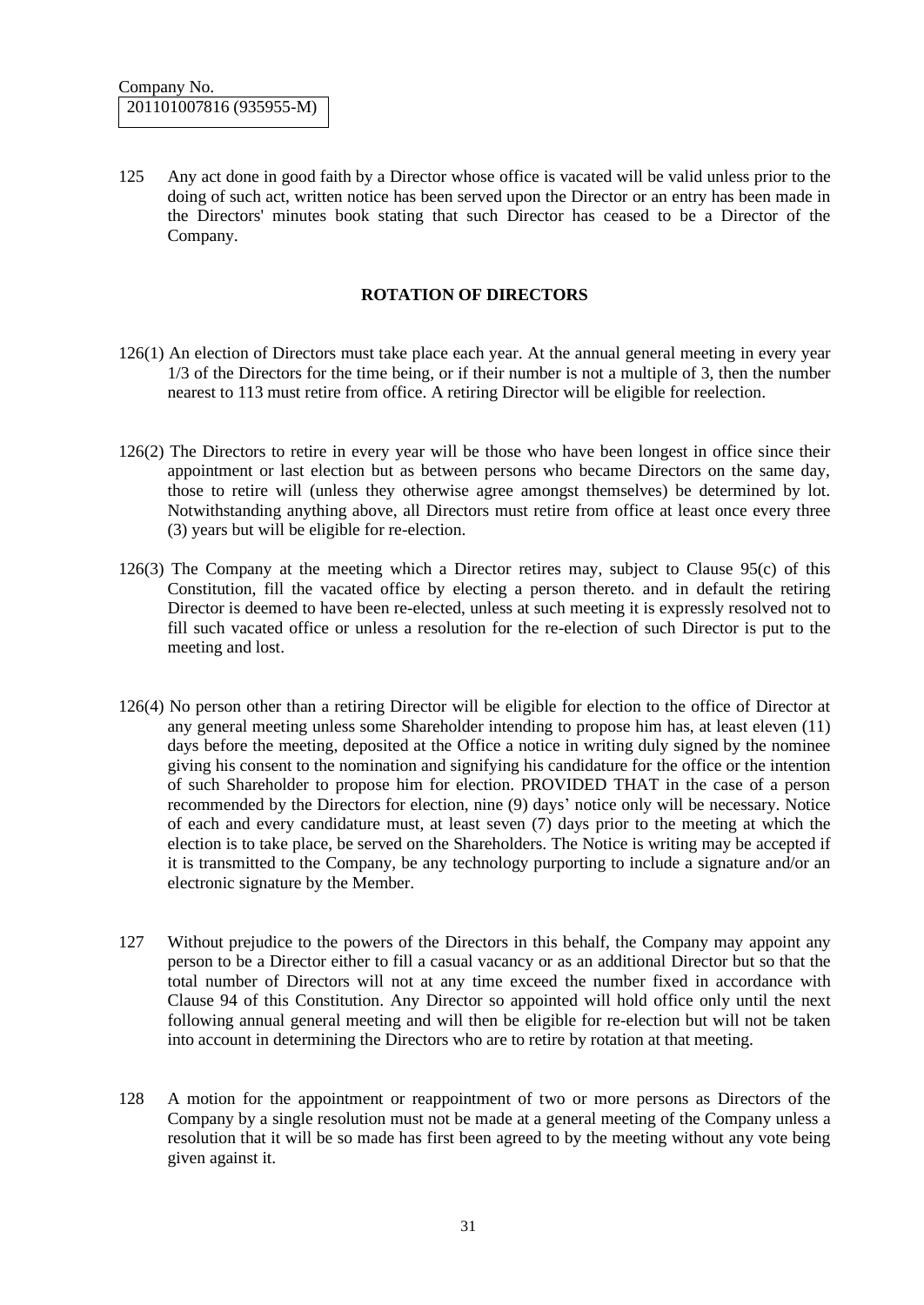125 Any act done in good faith by a Director whose office is vacated will be valid unless prior to the doing of such act, written notice has been served upon the Director or an entry has been made in the Directors' minutes book stating that such Director has ceased to be a Director of the Company.

#### **ROTATION OF DIRECTORS**

- 126(1) An election of Directors must take place each year. At the annual general meeting in every year 1/3 of the Directors for the time being, or if their number is not a multiple of 3, then the number nearest to 113 must retire from office. A retiring Director will be eligible for reelection.
- 126(2) The Directors to retire in every year will be those who have been longest in office since their appointment or last election but as between persons who became Directors on the same day, those to retire will (unless they otherwise agree amongst themselves) be determined by lot. Notwithstanding anything above, all Directors must retire from office at least once every three (3) years but will be eligible for re-election.
- 126(3) The Company at the meeting which a Director retires may, subject to Clause 95(c) of this Constitution, fill the vacated office by electing a person thereto. and in default the retiring Director is deemed to have been re-elected, unless at such meeting it is expressly resolved not to fill such vacated office or unless a resolution for the re-election of such Director is put to the meeting and lost.
- 126(4) No person other than a retiring Director will be eligible for election to the office of Director at any general meeting unless some Shareholder intending to propose him has, at least eleven (11) days before the meeting, deposited at the Office a notice in writing duly signed by the nominee giving his consent to the nomination and signifying his candidature for the office or the intention of such Shareholder to propose him for election. PROVIDED THAT in the case of a person recommended by the Directors for election, nine (9) days' notice only will be necessary. Notice of each and every candidature must, at least seven (7) days prior to the meeting at which the election is to take place, be served on the Shareholders. The Notice is writing may be accepted if it is transmitted to the Company, be any technology purporting to include a signature and/or an electronic signature by the Member.
- 127 Without prejudice to the powers of the Directors in this behalf, the Company may appoint any person to be a Director either to fill a casual vacancy or as an additional Director but so that the total number of Directors will not at any time exceed the number fixed in accordance with Clause 94 of this Constitution. Any Director so appointed will hold office only until the next following annual general meeting and will then be eligible for re-election but will not be taken into account in determining the Directors who are to retire by rotation at that meeting.
- 128 A motion for the appointment or reappointment of two or more persons as Directors of the Company by a single resolution must not be made at a general meeting of the Company unless a resolution that it will be so made has first been agreed to by the meeting without any vote being given against it.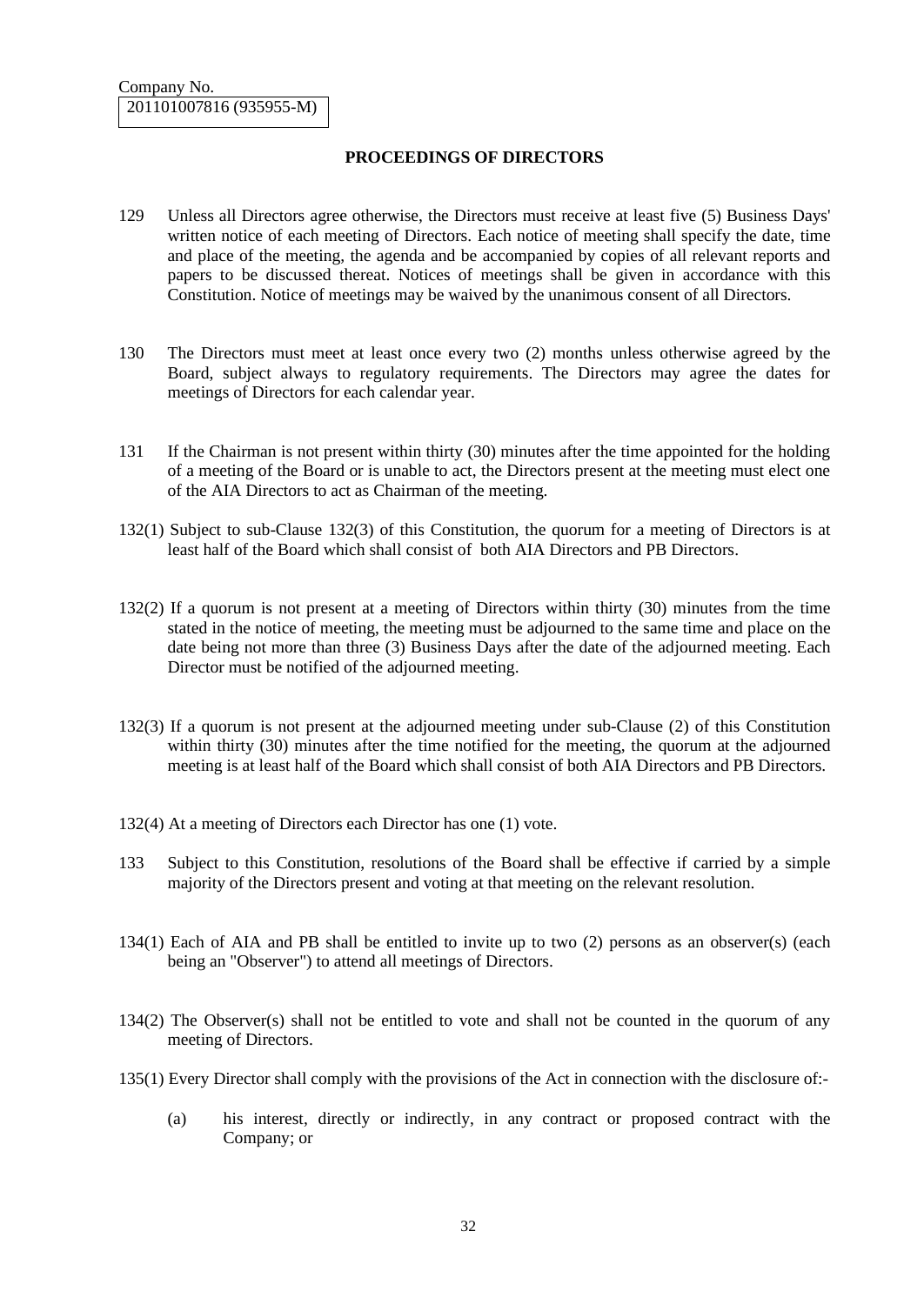### **PROCEEDINGS OF DIRECTORS**

- 129 Unless all Directors agree otherwise, the Directors must receive at least five (5) Business Days' written notice of each meeting of Directors. Each notice of meeting shall specify the date, time and place of the meeting, the agenda and be accompanied by copies of all relevant reports and papers to be discussed thereat. Notices of meetings shall be given in accordance with this Constitution. Notice of meetings may be waived by the unanimous consent of all Directors.
- 130 The Directors must meet at least once every two (2) months unless otherwise agreed by the Board, subject always to regulatory requirements. The Directors may agree the dates for meetings of Directors for each calendar year.
- 131 If the Chairman is not present within thirty (30) minutes after the time appointed for the holding of a meeting of the Board or is unable to act, the Directors present at the meeting must elect one of the AIA Directors to act as Chairman of the meeting.
- 132(1) Subject to sub-Clause 132(3) of this Constitution, the quorum for a meeting of Directors is at least half of the Board which shall consist of both AIA Directors and PB Directors.
- 132(2) If a quorum is not present at a meeting of Directors within thirty (30) minutes from the time stated in the notice of meeting, the meeting must be adjourned to the same time and place on the date being not more than three (3) Business Days after the date of the adjourned meeting. Each Director must be notified of the adjourned meeting.
- 132(3) If a quorum is not present at the adjourned meeting under sub-Clause (2) of this Constitution within thirty (30) minutes after the time notified for the meeting, the quorum at the adjourned meeting is at least half of the Board which shall consist of both AIA Directors and PB Directors.
- 132(4) At a meeting of Directors each Director has one (1) vote.
- 133 Subject to this Constitution, resolutions of the Board shall be effective if carried by a simple majority of the Directors present and voting at that meeting on the relevant resolution.
- 134(1) Each of AIA and PB shall be entitled to invite up to two (2) persons as an observer(s) (each being an "Observer") to attend all meetings of Directors.
- 134(2) The Observer(s) shall not be entitled to vote and shall not be counted in the quorum of any meeting of Directors.
- 135(1) Every Director shall comply with the provisions of the Act in connection with the disclosure of:-
	- (a) his interest, directly or indirectly, in any contract or proposed contract with the Company; or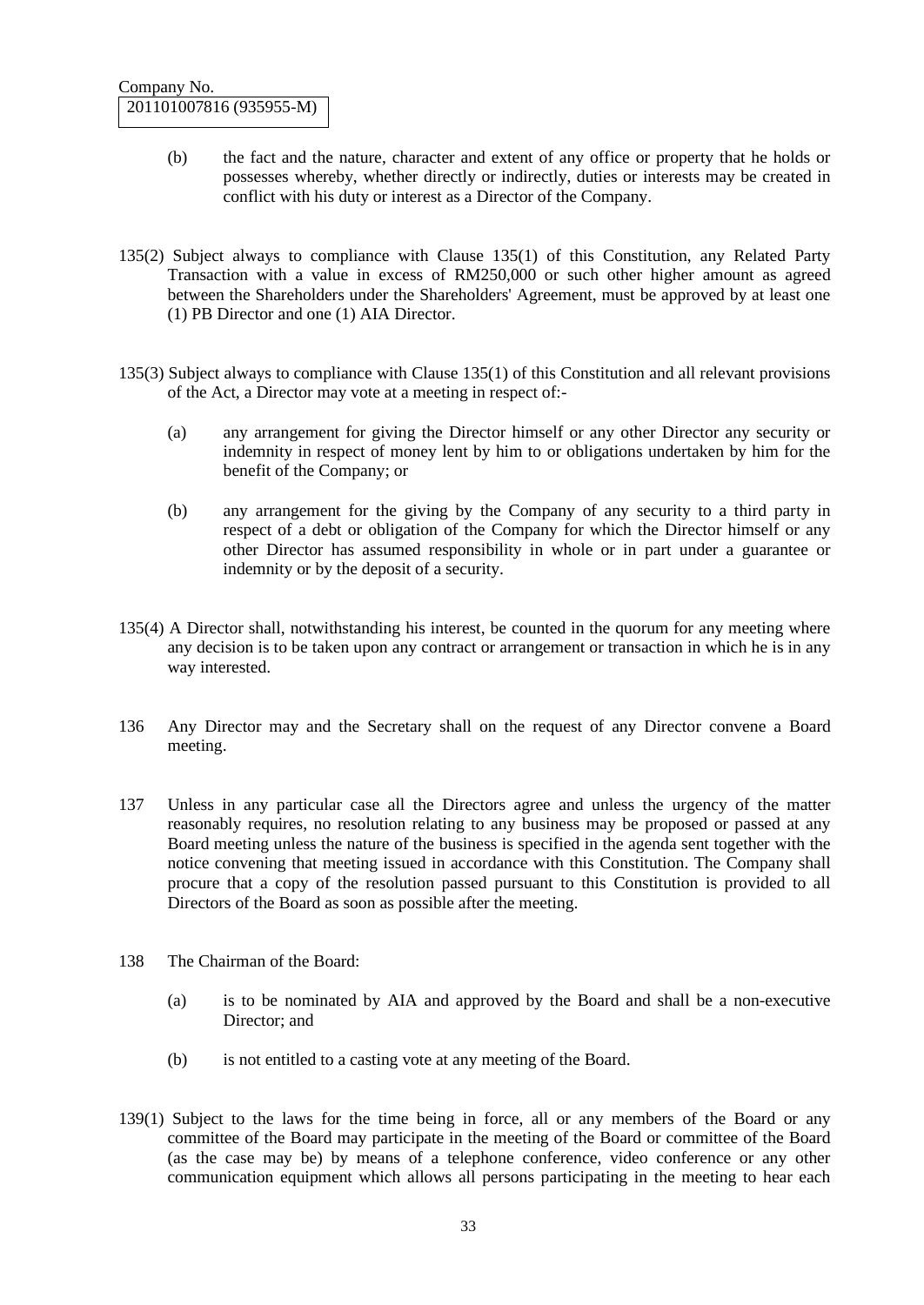- (b) the fact and the nature, character and extent of any office or property that he holds or possesses whereby, whether directly or indirectly, duties or interests may be created in conflict with his duty or interest as a Director of the Company.
- 135(2) Subject always to compliance with Clause 135(1) of this Constitution, any Related Party Transaction with a value in excess of RM250,000 or such other higher amount as agreed between the Shareholders under the Shareholders' Agreement, must be approved by at least one (1) PB Director and one (1) AIA Director.
- 135(3) Subject always to compliance with Clause 135(1) of this Constitution and all relevant provisions of the Act, a Director may vote at a meeting in respect of:-
	- (a) any arrangement for giving the Director himself or any other Director any security or indemnity in respect of money lent by him to or obligations undertaken by him for the benefit of the Company; or
	- (b) any arrangement for the giving by the Company of any security to a third party in respect of a debt or obligation of the Company for which the Director himself or any other Director has assumed responsibility in whole or in part under a guarantee or indemnity or by the deposit of a security.
- 135(4) A Director shall, notwithstanding his interest, be counted in the quorum for any meeting where any decision is to be taken upon any contract or arrangement or transaction in which he is in any way interested.
- 136 Any Director may and the Secretary shall on the request of any Director convene a Board meeting.
- 137 Unless in any particular case all the Directors agree and unless the urgency of the matter reasonably requires, no resolution relating to any business may be proposed or passed at any Board meeting unless the nature of the business is specified in the agenda sent together with the notice convening that meeting issued in accordance with this Constitution. The Company shall procure that a copy of the resolution passed pursuant to this Constitution is provided to all Directors of the Board as soon as possible after the meeting.
- 138 The Chairman of the Board:
	- (a) is to be nominated by AIA and approved by the Board and shall be a non-executive Director; and
	- (b) is not entitled to a casting vote at any meeting of the Board.
- 139(1) Subject to the laws for the time being in force, all or any members of the Board or any committee of the Board may participate in the meeting of the Board or committee of the Board (as the case may be) by means of a telephone conference, video conference or any other communication equipment which allows all persons participating in the meeting to hear each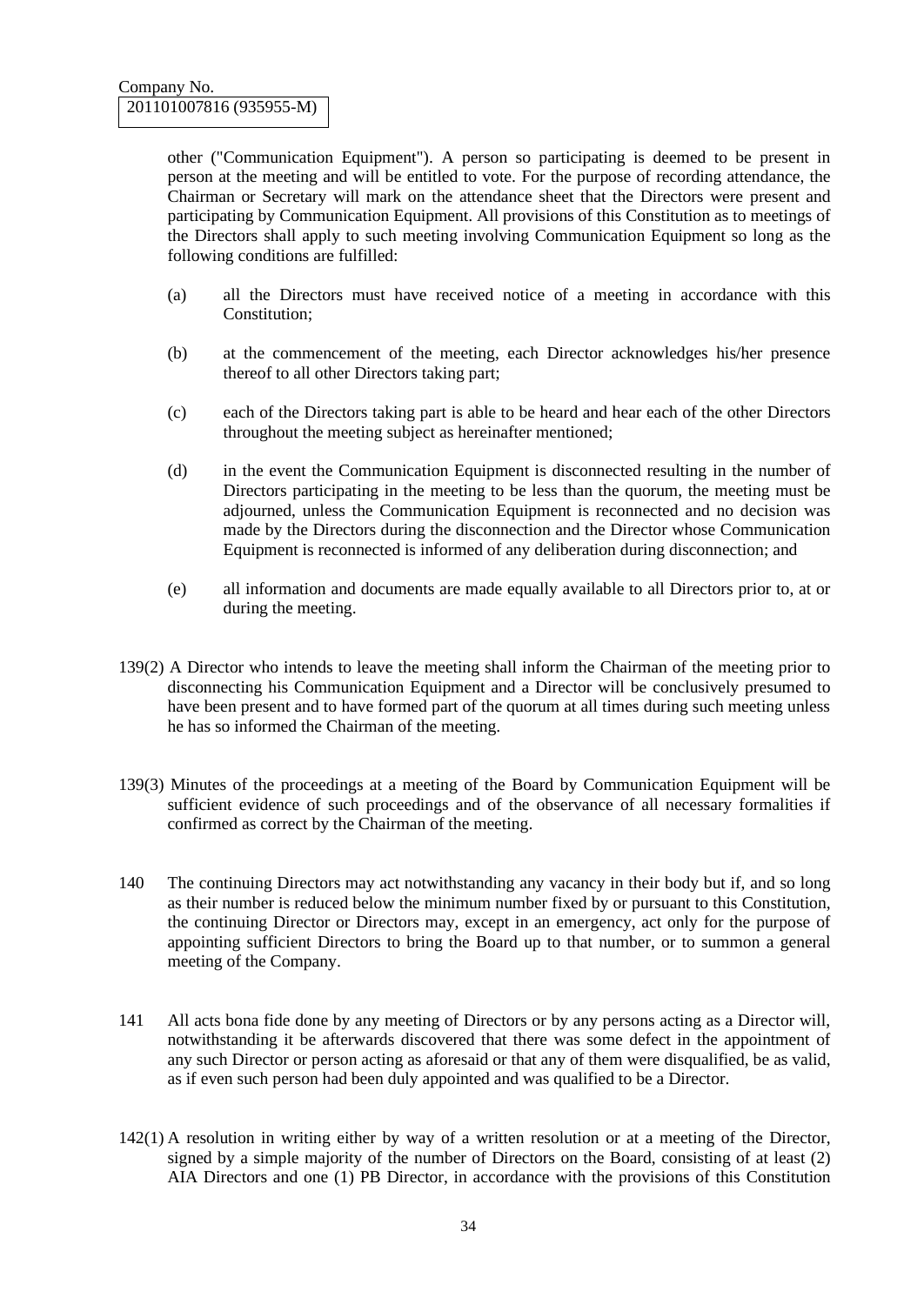other ("Communication Equipment"). A person so participating is deemed to be present in person at the meeting and will be entitled to vote. For the purpose of recording attendance, the Chairman or Secretary will mark on the attendance sheet that the Directors were present and participating by Communication Equipment. All provisions of this Constitution as to meetings of the Directors shall apply to such meeting involving Communication Equipment so long as the following conditions are fulfilled:

- (a) all the Directors must have received notice of a meeting in accordance with this Constitution;
- (b) at the commencement of the meeting, each Director acknowledges his/her presence thereof to all other Directors taking part;
- (c) each of the Directors taking part is able to be heard and hear each of the other Directors throughout the meeting subject as hereinafter mentioned;
- (d) in the event the Communication Equipment is disconnected resulting in the number of Directors participating in the meeting to be less than the quorum, the meeting must be adjourned, unless the Communication Equipment is reconnected and no decision was made by the Directors during the disconnection and the Director whose Communication Equipment is reconnected is informed of any deliberation during disconnection; and
- (e) all information and documents are made equally available to all Directors prior to, at or during the meeting.
- 139(2) A Director who intends to leave the meeting shall inform the Chairman of the meeting prior to disconnecting his Communication Equipment and a Director will be conclusively presumed to have been present and to have formed part of the quorum at all times during such meeting unless he has so informed the Chairman of the meeting.
- 139(3) Minutes of the proceedings at a meeting of the Board by Communication Equipment will be sufficient evidence of such proceedings and of the observance of all necessary formalities if confirmed as correct by the Chairman of the meeting.
- 140 The continuing Directors may act notwithstanding any vacancy in their body but if, and so long as their number is reduced below the minimum number fixed by or pursuant to this Constitution, the continuing Director or Directors may, except in an emergency, act only for the purpose of appointing sufficient Directors to bring the Board up to that number, or to summon a general meeting of the Company.
- 141 All acts bona fide done by any meeting of Directors or by any persons acting as a Director will, notwithstanding it be afterwards discovered that there was some defect in the appointment of any such Director or person acting as aforesaid or that any of them were disqualified, be as valid, as if even such person had been duly appointed and was qualified to be a Director.
- 142(1) A resolution in writing either by way of a written resolution or at a meeting of the Director, signed by a simple majority of the number of Directors on the Board, consisting of at least (2) AIA Directors and one (1) PB Director, in accordance with the provisions of this Constitution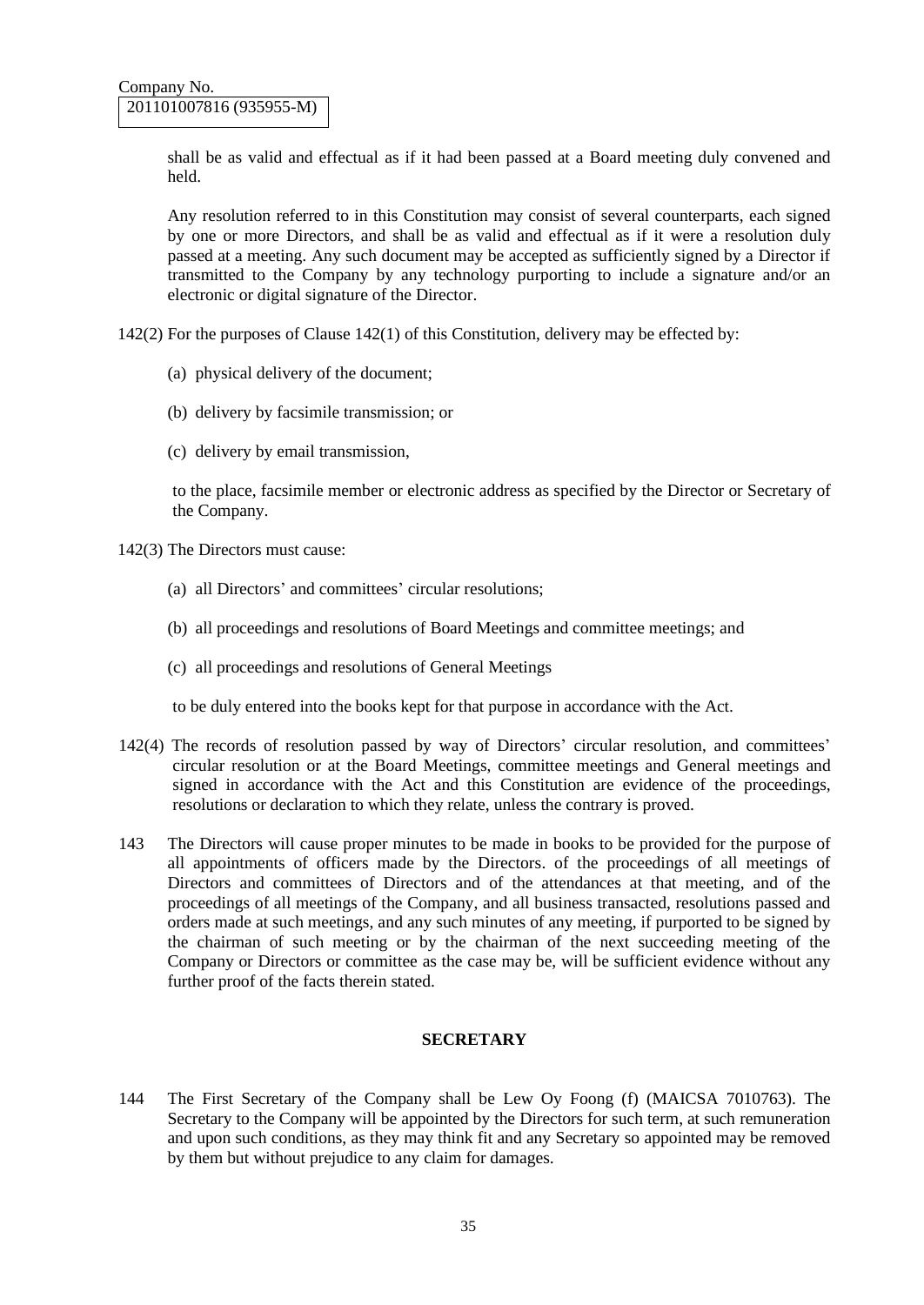shall be as valid and effectual as if it had been passed at a Board meeting duly convened and held.

Any resolution referred to in this Constitution may consist of several counterparts, each signed by one or more Directors, and shall be as valid and effectual as if it were a resolution duly passed at a meeting. Any such document may be accepted as sufficiently signed by a Director if transmitted to the Company by any technology purporting to include a signature and/or an electronic or digital signature of the Director.

142(2) For the purposes of Clause 142(1) of this Constitution, delivery may be effected by:

- (a) physical delivery of the document;
- (b) delivery by facsimile transmission; or
- (c) delivery by email transmission,

to the place, facsimile member or electronic address as specified by the Director or Secretary of the Company.

- 142(3) The Directors must cause:
	- (a) all Directors' and committees' circular resolutions;
	- (b) all proceedings and resolutions of Board Meetings and committee meetings; and
	- (c) all proceedings and resolutions of General Meetings

to be duly entered into the books kept for that purpose in accordance with the Act.

- 142(4) The records of resolution passed by way of Directors' circular resolution, and committees' circular resolution or at the Board Meetings, committee meetings and General meetings and signed in accordance with the Act and this Constitution are evidence of the proceedings, resolutions or declaration to which they relate, unless the contrary is proved.
- 143 The Directors will cause proper minutes to be made in books to be provided for the purpose of all appointments of officers made by the Directors. of the proceedings of all meetings of Directors and committees of Directors and of the attendances at that meeting, and of the proceedings of all meetings of the Company, and all business transacted, resolutions passed and orders made at such meetings, and any such minutes of any meeting, if purported to be signed by the chairman of such meeting or by the chairman of the next succeeding meeting of the Company or Directors or committee as the case may be, will be sufficient evidence without any further proof of the facts therein stated.

#### **SECRETARY**

144 The First Secretary of the Company shall be Lew Oy Foong (f) (MAICSA 7010763). The Secretary to the Company will be appointed by the Directors for such term, at such remuneration and upon such conditions, as they may think fit and any Secretary so appointed may be removed by them but without prejudice to any claim for damages.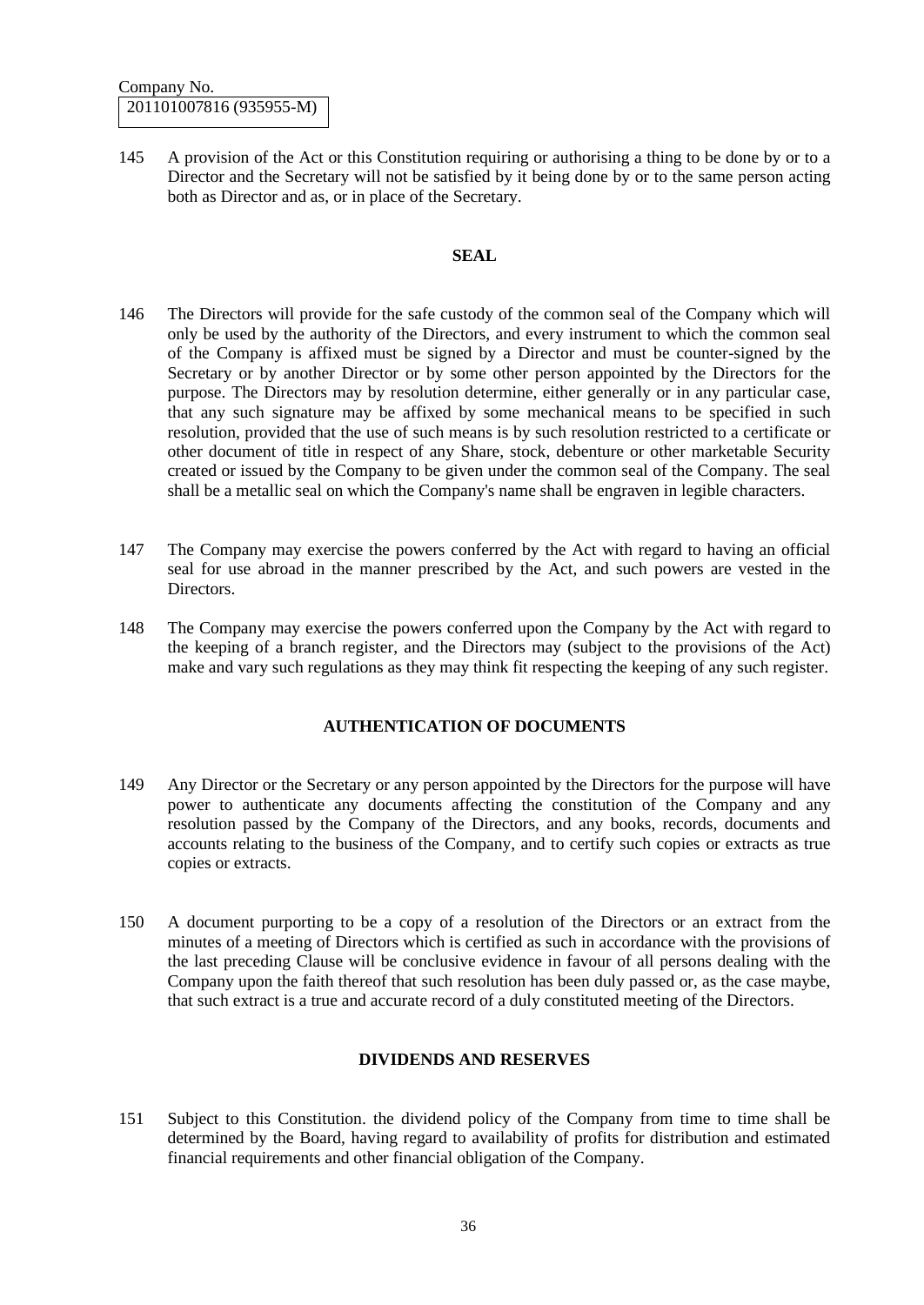145 A provision of the Act or this Constitution requiring or authorising a thing to be done by or to a Director and the Secretary will not be satisfied by it being done by or to the same person acting both as Director and as, or in place of the Secretary.

#### **SEAL**

- 146 The Directors will provide for the safe custody of the common seal of the Company which will only be used by the authority of the Directors, and every instrument to which the common seal of the Company is affixed must be signed by a Director and must be counter-signed by the Secretary or by another Director or by some other person appointed by the Directors for the purpose. The Directors may by resolution determine, either generally or in any particular case, that any such signature may be affixed by some mechanical means to be specified in such resolution, provided that the use of such means is by such resolution restricted to a certificate or other document of title in respect of any Share, stock, debenture or other marketable Security created or issued by the Company to be given under the common seal of the Company. The seal shall be a metallic seal on which the Company's name shall be engraven in legible characters.
- 147 The Company may exercise the powers conferred by the Act with regard to having an official seal for use abroad in the manner prescribed by the Act, and such powers are vested in the Directors.
- 148 The Company may exercise the powers conferred upon the Company by the Act with regard to the keeping of a branch register, and the Directors may (subject to the provisions of the Act) make and vary such regulations as they may think fit respecting the keeping of any such register.

#### **AUTHENTICATION OF DOCUMENTS**

- 149 Any Director or the Secretary or any person appointed by the Directors for the purpose will have power to authenticate any documents affecting the constitution of the Company and any resolution passed by the Company of the Directors, and any books, records, documents and accounts relating to the business of the Company, and to certify such copies or extracts as true copies or extracts.
- 150 A document purporting to be a copy of a resolution of the Directors or an extract from the minutes of a meeting of Directors which is certified as such in accordance with the provisions of the last preceding Clause will be conclusive evidence in favour of all persons dealing with the Company upon the faith thereof that such resolution has been duly passed or, as the case maybe, that such extract is a true and accurate record of a duly constituted meeting of the Directors.

## **DIVIDENDS AND RESERVES**

151 Subject to this Constitution. the dividend policy of the Company from time to time shall be determined by the Board, having regard to availability of profits for distribution and estimated financial requirements and other financial obligation of the Company.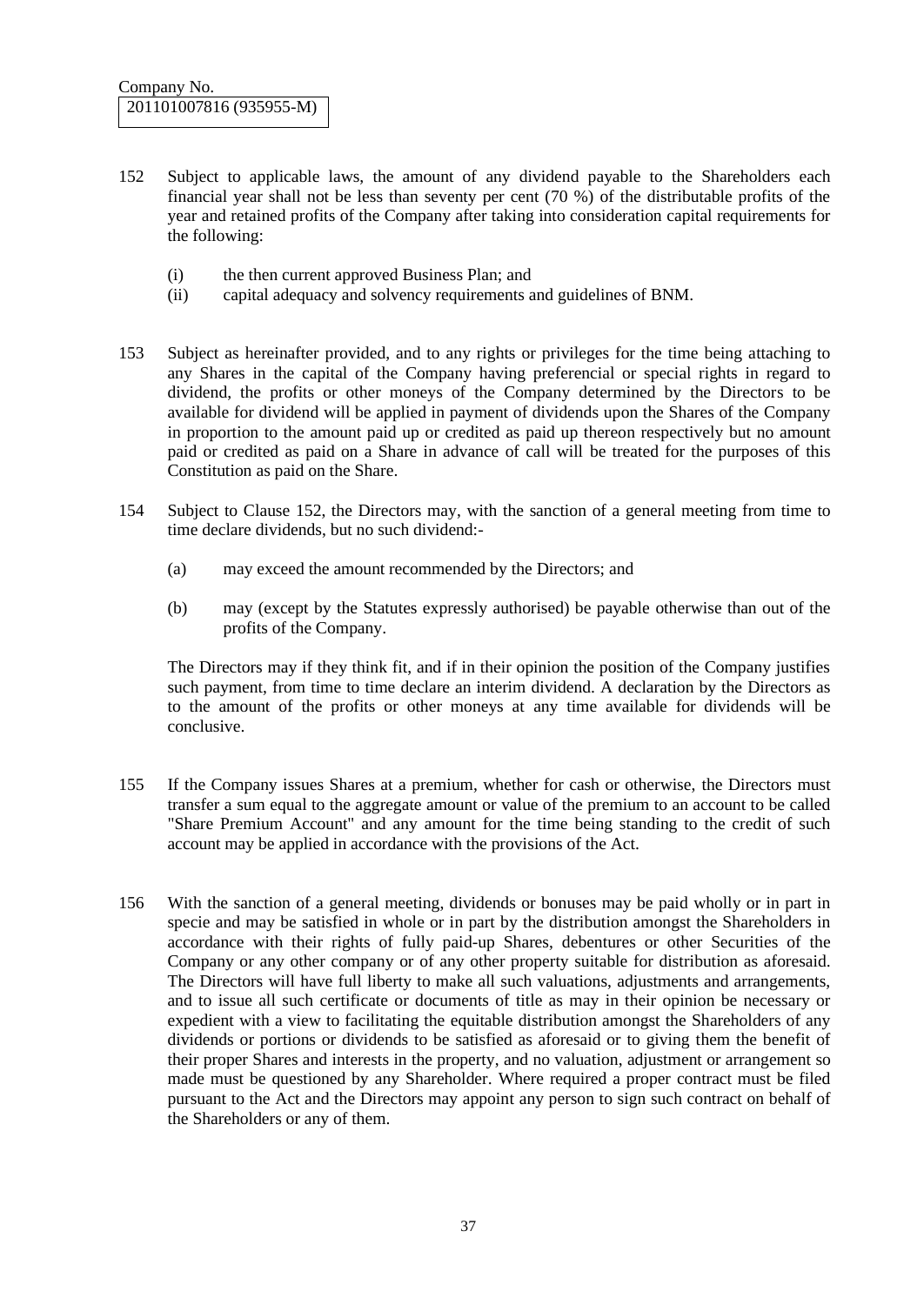- 152 Subject to applicable laws, the amount of any dividend payable to the Shareholders each financial year shall not be less than seventy per cent (70 %) of the distributable profits of the year and retained profits of the Company after taking into consideration capital requirements for the following:
	- (i) the then current approved Business Plan; and
	- (ii) capital adequacy and solvency requirements and guidelines of BNM.
- 153 Subject as hereinafter provided, and to any rights or privileges for the time being attaching to any Shares in the capital of the Company having preferencial or special rights in regard to dividend, the profits or other moneys of the Company determined by the Directors to be available for dividend will be applied in payment of dividends upon the Shares of the Company in proportion to the amount paid up or credited as paid up thereon respectively but no amount paid or credited as paid on a Share in advance of call will be treated for the purposes of this Constitution as paid on the Share.
- 154 Subject to Clause 152, the Directors may, with the sanction of a general meeting from time to time declare dividends, but no such dividend:-
	- (a) may exceed the amount recommended by the Directors; and
	- (b) may (except by the Statutes expressly authorised) be payable otherwise than out of the profits of the Company.

The Directors may if they think fit, and if in their opinion the position of the Company justifies such payment, from time to time declare an interim dividend. A declaration by the Directors as to the amount of the profits or other moneys at any time available for dividends will be conclusive.

- 155 If the Company issues Shares at a premium, whether for cash or otherwise, the Directors must transfer a sum equal to the aggregate amount or value of the premium to an account to be called "Share Premium Account" and any amount for the time being standing to the credit of such account may be applied in accordance with the provisions of the Act.
- 156 With the sanction of a general meeting, dividends or bonuses may be paid wholly or in part in specie and may be satisfied in whole or in part by the distribution amongst the Shareholders in accordance with their rights of fully paid-up Shares, debentures or other Securities of the Company or any other company or of any other property suitable for distribution as aforesaid. The Directors will have full liberty to make all such valuations, adjustments and arrangements, and to issue all such certificate or documents of title as may in their opinion be necessary or expedient with a view to facilitating the equitable distribution amongst the Shareholders of any dividends or portions or dividends to be satisfied as aforesaid or to giving them the benefit of their proper Shares and interests in the property, and no valuation, adjustment or arrangement so made must be questioned by any Shareholder. Where required a proper contract must be filed pursuant to the Act and the Directors may appoint any person to sign such contract on behalf of the Shareholders or any of them.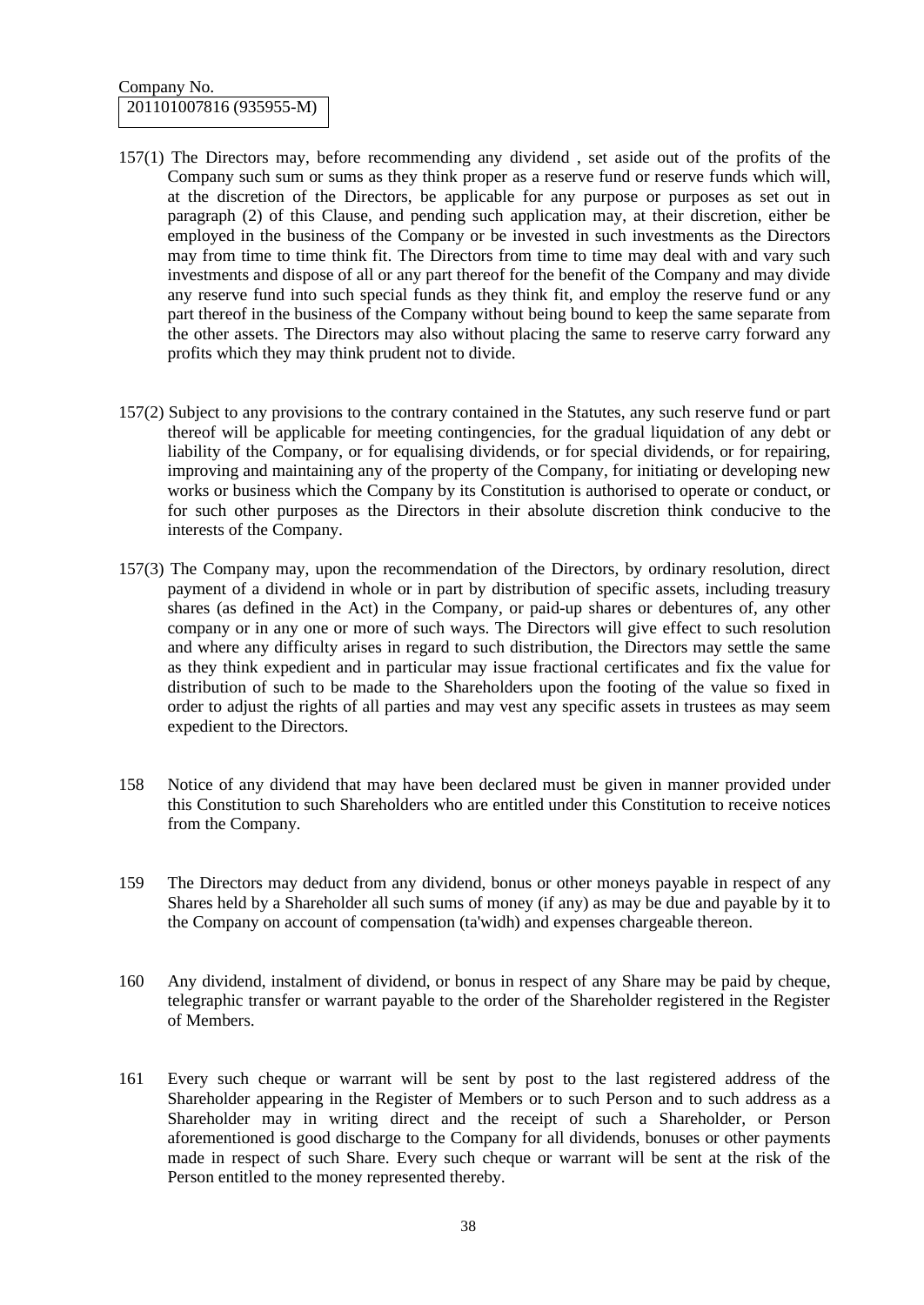## Company No. 201101007816 (935955-M)

- 157(1) The Directors may, before recommending any dividend , set aside out of the profits of the Company such sum or sums as they think proper as a reserve fund or reserve funds which will, at the discretion of the Directors, be applicable for any purpose or purposes as set out in paragraph (2) of this Clause, and pending such application may, at their discretion, either be employed in the business of the Company or be invested in such investments as the Directors may from time to time think fit. The Directors from time to time may deal with and vary such investments and dispose of all or any part thereof for the benefit of the Company and may divide any reserve fund into such special funds as they think fit, and employ the reserve fund or any part thereof in the business of the Company without being bound to keep the same separate from the other assets. The Directors may also without placing the same to reserve carry forward any profits which they may think prudent not to divide.
- 157(2) Subject to any provisions to the contrary contained in the Statutes, any such reserve fund or part thereof will be applicable for meeting contingencies, for the gradual liquidation of any debt or liability of the Company, or for equalising dividends, or for special dividends, or for repairing, improving and maintaining any of the property of the Company, for initiating or developing new works or business which the Company by its Constitution is authorised to operate or conduct, or for such other purposes as the Directors in their absolute discretion think conducive to the interests of the Company.
- 157(3) The Company may, upon the recommendation of the Directors, by ordinary resolution, direct payment of a dividend in whole or in part by distribution of specific assets, including treasury shares (as defined in the Act) in the Company, or paid-up shares or debentures of, any other company or in any one or more of such ways. The Directors will give effect to such resolution and where any difficulty arises in regard to such distribution, the Directors may settle the same as they think expedient and in particular may issue fractional certificates and fix the value for distribution of such to be made to the Shareholders upon the footing of the value so fixed in order to adjust the rights of all parties and may vest any specific assets in trustees as may seem expedient to the Directors.
- 158 Notice of any dividend that may have been declared must be given in manner provided under this Constitution to such Shareholders who are entitled under this Constitution to receive notices from the Company.
- 159 The Directors may deduct from any dividend, bonus or other moneys payable in respect of any Shares held by a Shareholder all such sums of money (if any) as may be due and payable by it to the Company on account of compensation (ta'widh) and expenses chargeable thereon.
- 160 Any dividend, instalment of dividend, or bonus in respect of any Share may be paid by cheque, telegraphic transfer or warrant payable to the order of the Shareholder registered in the Register of Members.
- 161 Every such cheque or warrant will be sent by post to the last registered address of the Shareholder appearing in the Register of Members or to such Person and to such address as a Shareholder may in writing direct and the receipt of such a Shareholder, or Person aforementioned is good discharge to the Company for all dividends, bonuses or other payments made in respect of such Share. Every such cheque or warrant will be sent at the risk of the Person entitled to the money represented thereby.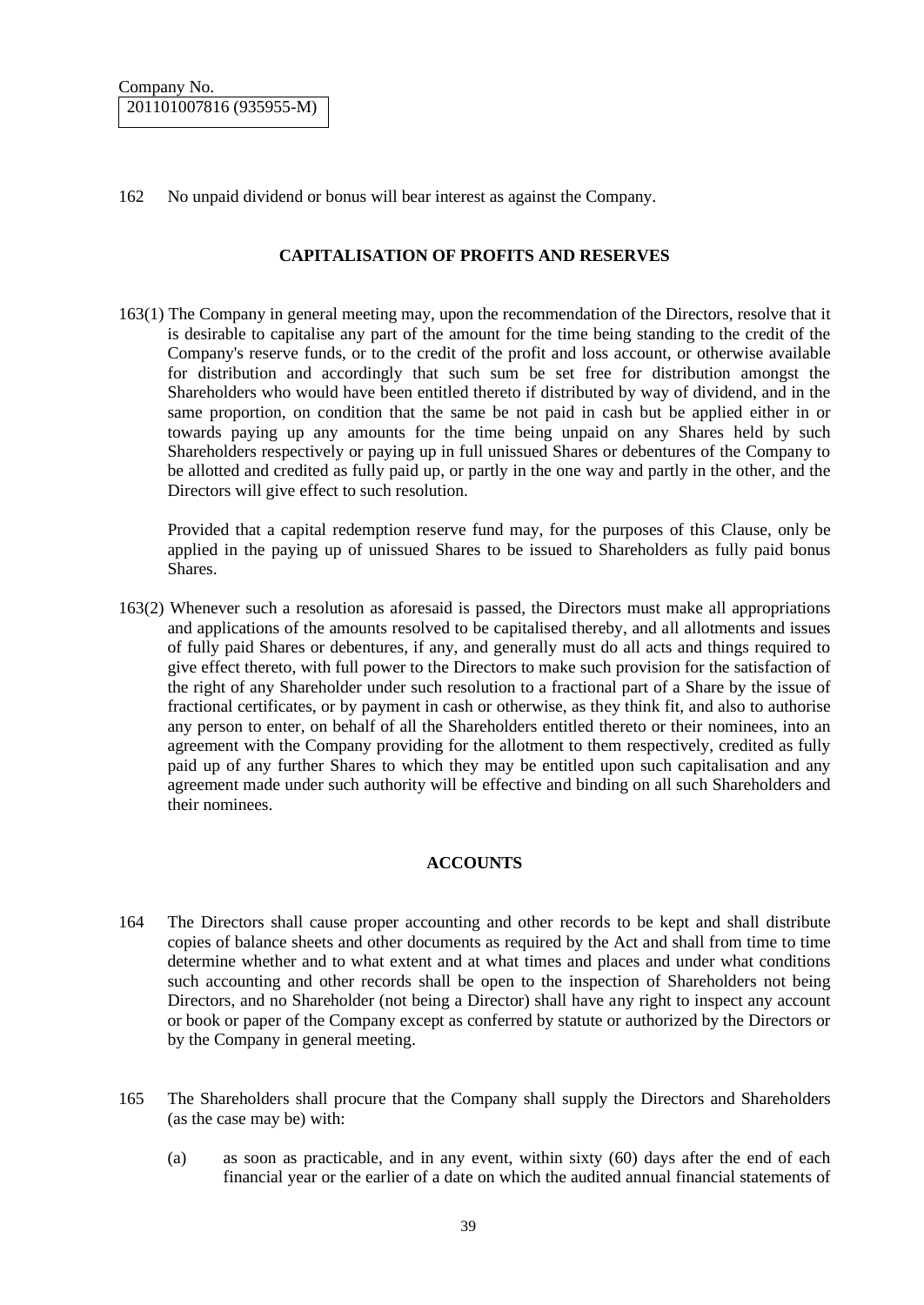162 No unpaid dividend or bonus will bear interest as against the Company.

#### **CAPITALISATION OF PROFITS AND RESERVES**

163(1) The Company in general meeting may, upon the recommendation of the Directors, resolve that it is desirable to capitalise any part of the amount for the time being standing to the credit of the Company's reserve funds, or to the credit of the profit and loss account, or otherwise available for distribution and accordingly that such sum be set free for distribution amongst the Shareholders who would have been entitled thereto if distributed by way of dividend, and in the same proportion, on condition that the same be not paid in cash but be applied either in or towards paying up any amounts for the time being unpaid on any Shares held by such Shareholders respectively or paying up in full unissued Shares or debentures of the Company to be allotted and credited as fully paid up, or partly in the one way and partly in the other, and the Directors will give effect to such resolution.

Provided that a capital redemption reserve fund may, for the purposes of this Clause, only be applied in the paying up of unissued Shares to be issued to Shareholders as fully paid bonus Shares.

163(2) Whenever such a resolution as aforesaid is passed, the Directors must make all appropriations and applications of the amounts resolved to be capitalised thereby, and all allotments and issues of fully paid Shares or debentures, if any, and generally must do all acts and things required to give effect thereto, with full power to the Directors to make such provision for the satisfaction of the right of any Shareholder under such resolution to a fractional part of a Share by the issue of fractional certificates, or by payment in cash or otherwise, as they think fit, and also to authorise any person to enter, on behalf of all the Shareholders entitled thereto or their nominees, into an agreement with the Company providing for the allotment to them respectively, credited as fully paid up of any further Shares to which they may be entitled upon such capitalisation and any agreement made under such authority will be effective and binding on all such Shareholders and their nominees.

## **ACCOUNTS**

- 164 The Directors shall cause proper accounting and other records to be kept and shall distribute copies of balance sheets and other documents as required by the Act and shall from time to time determine whether and to what extent and at what times and places and under what conditions such accounting and other records shall be open to the inspection of Shareholders not being Directors, and no Shareholder (not being a Director) shall have any right to inspect any account or book or paper of the Company except as conferred by statute or authorized by the Directors or by the Company in general meeting.
- 165 The Shareholders shall procure that the Company shall supply the Directors and Shareholders (as the case may be) with:
	- (a) as soon as practicable, and in any event, within sixty (60) days after the end of each financial year or the earlier of a date on which the audited annual financial statements of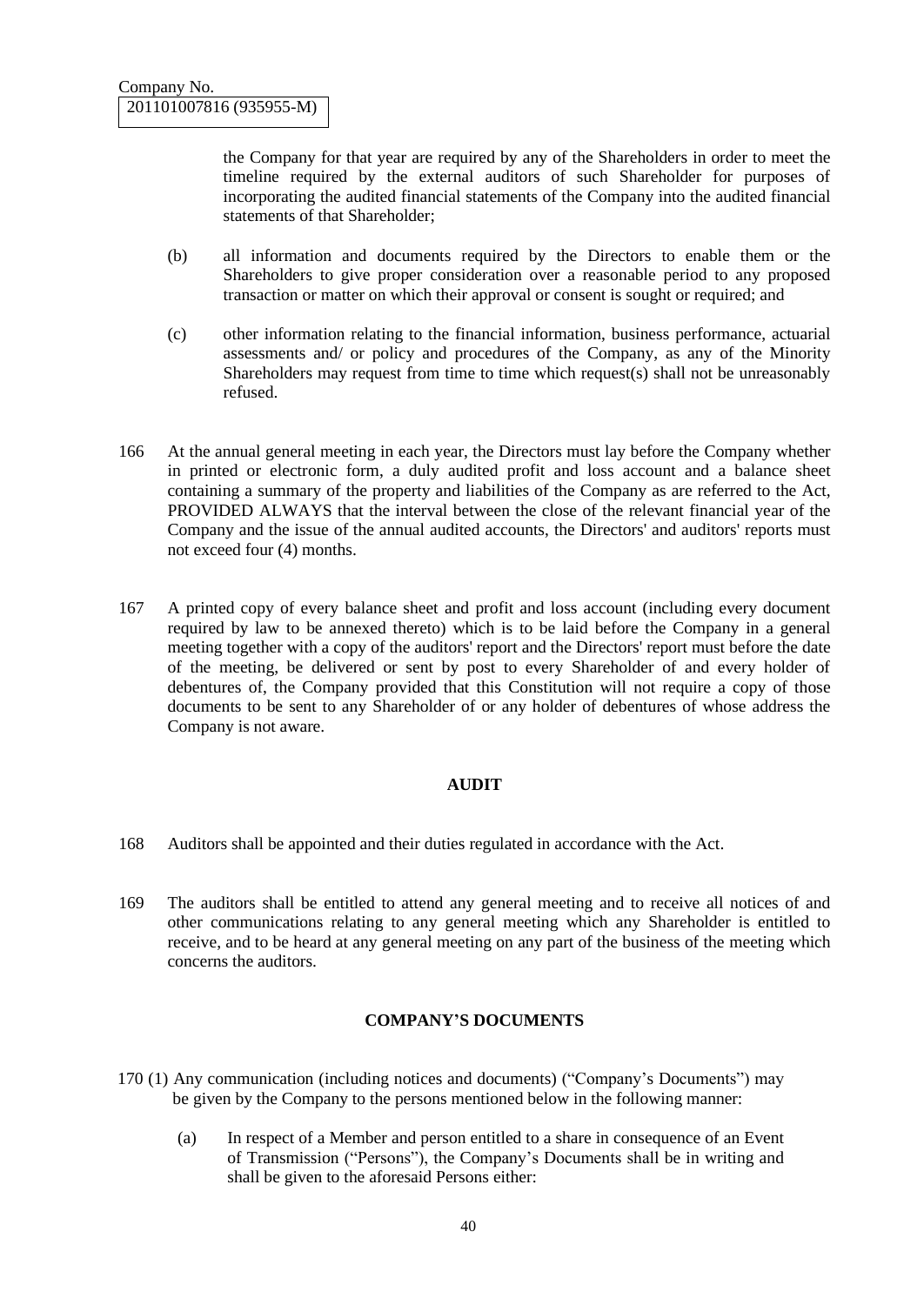the Company for that year are required by any of the Shareholders in order to meet the timeline required by the external auditors of such Shareholder for purposes of incorporating the audited financial statements of the Company into the audited financial statements of that Shareholder:

- (b) all information and documents required by the Directors to enable them or the Shareholders to give proper consideration over a reasonable period to any proposed transaction or matter on which their approval or consent is sought or required; and
- (c) other information relating to the financial information, business performance, actuarial assessments and/ or policy and procedures of the Company, as any of the Minority Shareholders may request from time to time which request(s) shall not be unreasonably refused.
- 166 At the annual general meeting in each year, the Directors must lay before the Company whether in printed or electronic form, a duly audited profit and loss account and a balance sheet containing a summary of the property and liabilities of the Company as are referred to the Act, PROVIDED ALWAYS that the interval between the close of the relevant financial year of the Company and the issue of the annual audited accounts, the Directors' and auditors' reports must not exceed four (4) months.
- 167 A printed copy of every balance sheet and profit and loss account (including every document required by law to be annexed thereto) which is to be laid before the Company in a general meeting together with a copy of the auditors' report and the Directors' report must before the date of the meeting, be delivered or sent by post to every Shareholder of and every holder of debentures of, the Company provided that this Constitution will not require a copy of those documents to be sent to any Shareholder of or any holder of debentures of whose address the Company is not aware.

## **AUDIT**

- 168 Auditors shall be appointed and their duties regulated in accordance with the Act.
- 169 The auditors shall be entitled to attend any general meeting and to receive all notices of and other communications relating to any general meeting which any Shareholder is entitled to receive, and to be heard at any general meeting on any part of the business of the meeting which concerns the auditors.

## **COMPANY'S DOCUMENTS**

- 170 (1) Any communication (including notices and documents) ("Company's Documents") may be given by the Company to the persons mentioned below in the following manner:
	- (a) In respect of a Member and person entitled to a share in consequence of an Event of Transmission ("Persons"), the Company's Documents shall be in writing and shall be given to the aforesaid Persons either: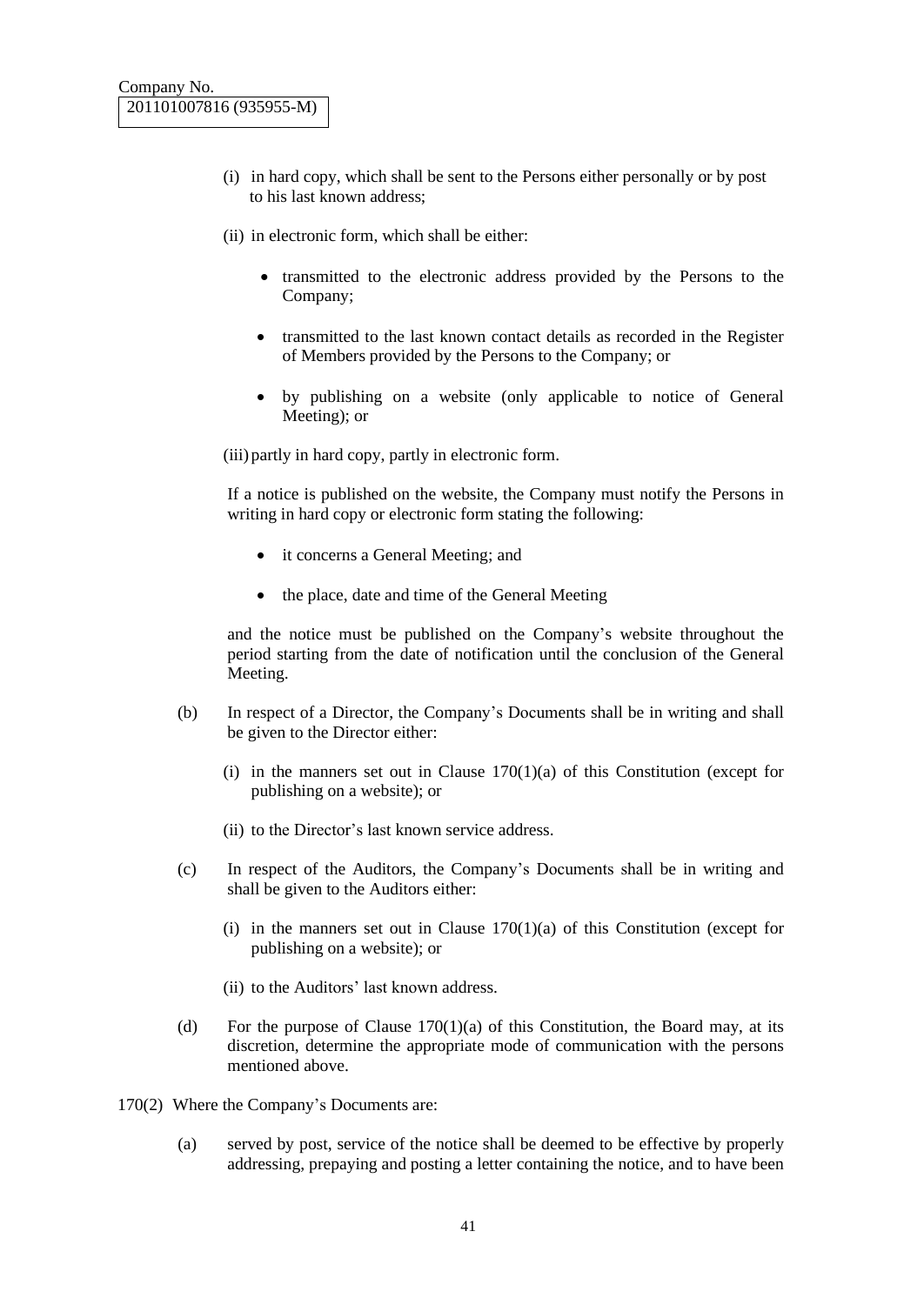- (i) in hard copy, which shall be sent to the Persons either personally or by post to his last known address;
- (ii) in electronic form, which shall be either:
	- transmitted to the electronic address provided by the Persons to the Company;
	- transmitted to the last known contact details as recorded in the Register of Members provided by the Persons to the Company; or
	- by publishing on a website (only applicable to notice of General Meeting); or

(iii) partly in hard copy, partly in electronic form.

If a notice is published on the website, the Company must notify the Persons in writing in hard copy or electronic form stating the following:

- it concerns a General Meeting; and
- the place, date and time of the General Meeting

and the notice must be published on the Company's website throughout the period starting from the date of notification until the conclusion of the General Meeting.

- (b) In respect of a Director, the Company's Documents shall be in writing and shall be given to the Director either:
	- (i) in the manners set out in Clause  $170(1)(a)$  of this Constitution (except for publishing on a website); or
	- (ii) to the Director's last known service address.
- (c) In respect of the Auditors, the Company's Documents shall be in writing and shall be given to the Auditors either:
	- (i) in the manners set out in Clause  $170(1)(a)$  of this Constitution (except for publishing on a website); or
	- (ii) to the Auditors' last known address.
- (d) For the purpose of Clause  $170(1)(a)$  of this Constitution, the Board may, at its discretion, determine the appropriate mode of communication with the persons mentioned above.
- 170(2) Where the Company's Documents are:
	- (a) served by post, service of the notice shall be deemed to be effective by properly addressing, prepaying and posting a letter containing the notice, and to have been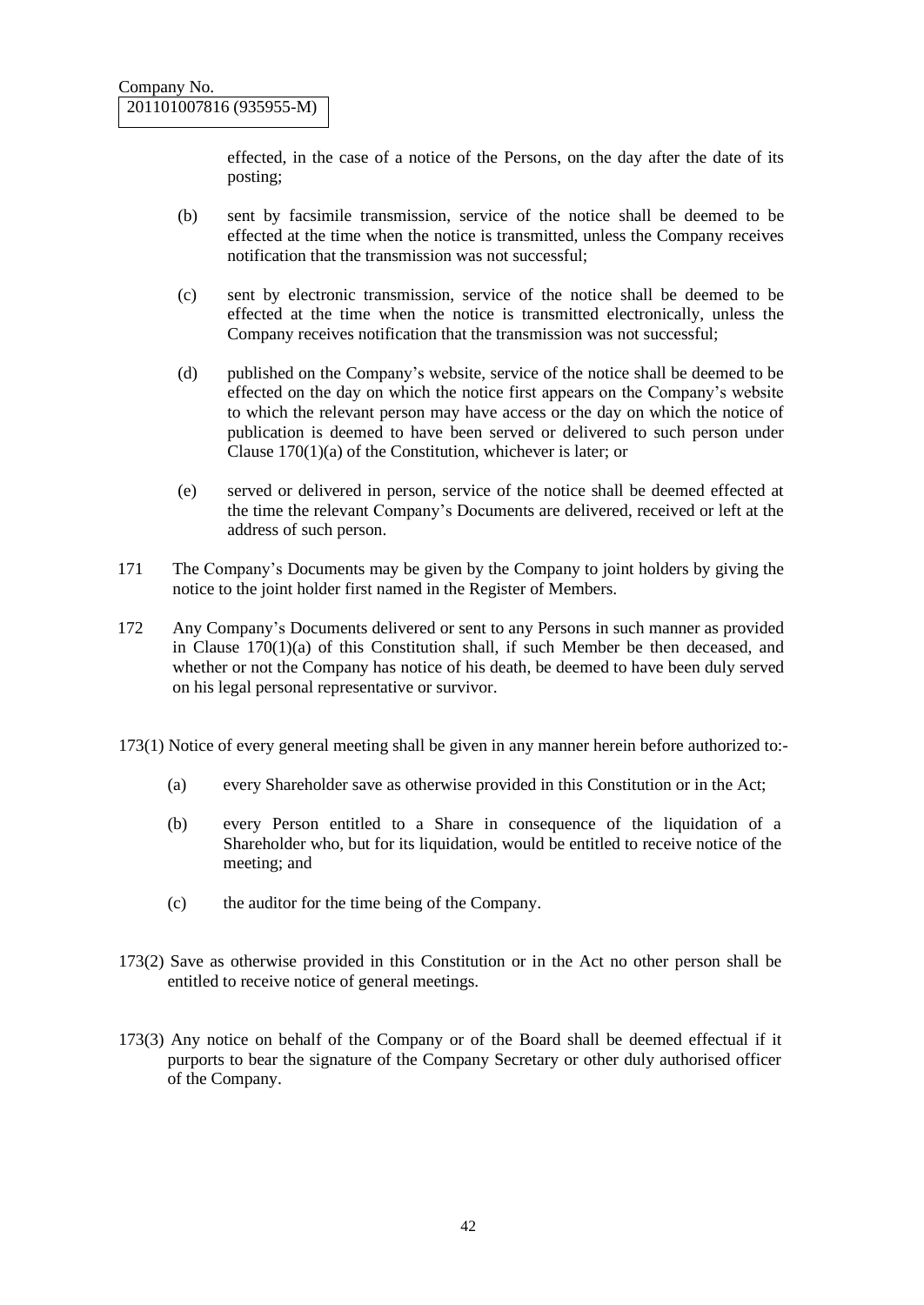effected, in the case of a notice of the Persons, on the day after the date of its posting;

- (b) sent by facsimile transmission, service of the notice shall be deemed to be effected at the time when the notice is transmitted, unless the Company receives notification that the transmission was not successful;
- (c) sent by electronic transmission, service of the notice shall be deemed to be effected at the time when the notice is transmitted electronically, unless the Company receives notification that the transmission was not successful;
- (d) published on the Company's website, service of the notice shall be deemed to be effected on the day on which the notice first appears on the Company's website to which the relevant person may have access or the day on which the notice of publication is deemed to have been served or delivered to such person under Clause 170(1)(a) of the Constitution, whichever is later; or
- (e) served or delivered in person, service of the notice shall be deemed effected at the time the relevant Company's Documents are delivered, received or left at the address of such person.
- 171 The Company's Documents may be given by the Company to joint holders by giving the notice to the joint holder first named in the Register of Members.
- 172 Any Company's Documents delivered or sent to any Persons in such manner as provided in Clause 170(1)(a) of this Constitution shall, if such Member be then deceased, and whether or not the Company has notice of his death, be deemed to have been duly served on his legal personal representative or survivor.
- 173(1) Notice of every general meeting shall be given in any manner herein before authorized to:-
	- (a) every Shareholder save as otherwise provided in this Constitution or in the Act;
	- (b) every Person entitled to a Share in consequence of the liquidation of a Shareholder who, but for its liquidation, would be entitled to receive notice of the meeting; and
	- (c) the auditor for the time being of the Company.
- 173(2) Save as otherwise provided in this Constitution or in the Act no other person shall be entitled to receive notice of general meetings.
- 173(3) Any notice on behalf of the Company or of the Board shall be deemed effectual if it purports to bear the signature of the Company Secretary or other duly authorised officer of the Company.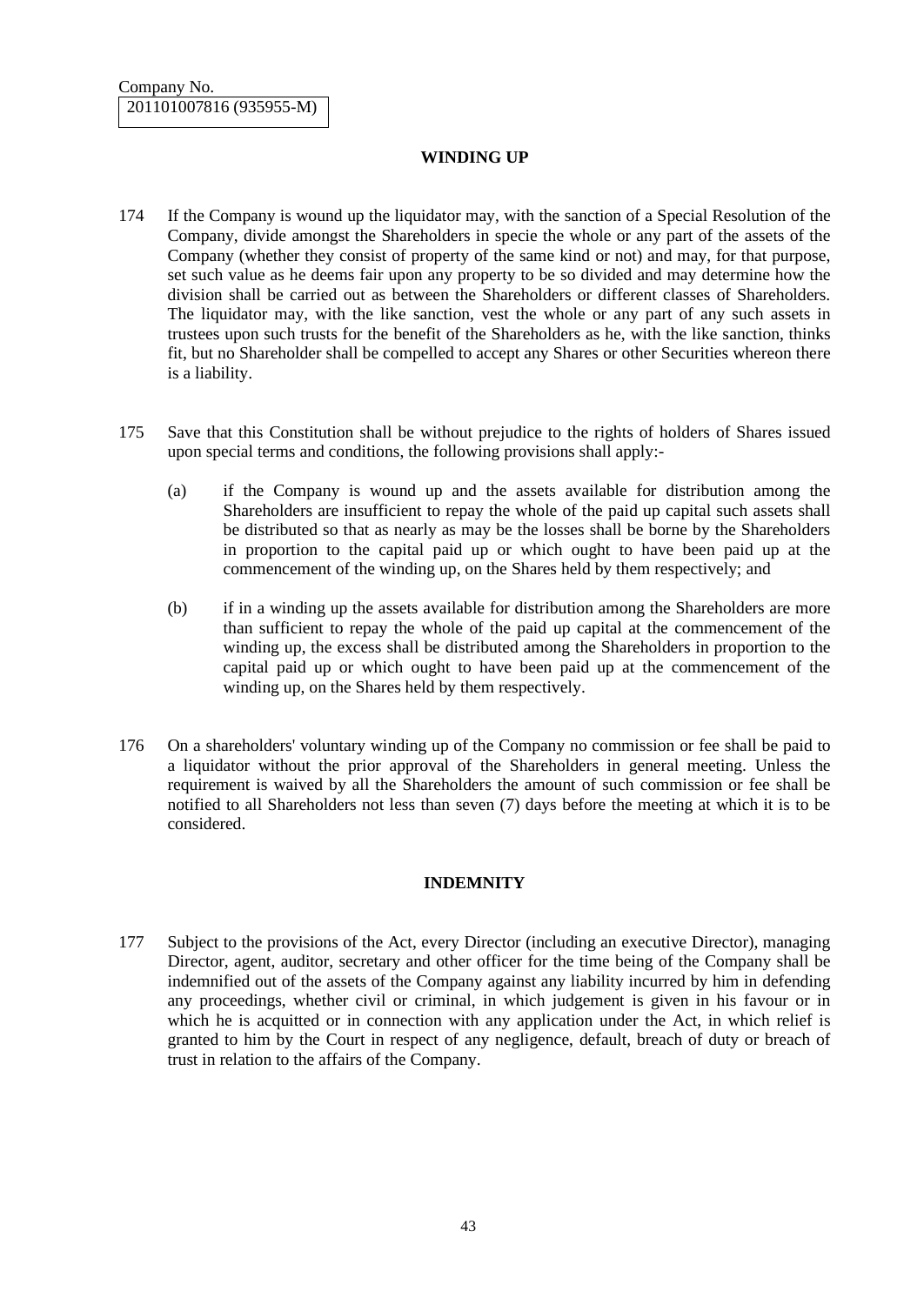## **WINDING UP**

- 174 If the Company is wound up the liquidator may, with the sanction of a Special Resolution of the Company, divide amongst the Shareholders in specie the whole or any part of the assets of the Company (whether they consist of property of the same kind or not) and may, for that purpose, set such value as he deems fair upon any property to be so divided and may determine how the division shall be carried out as between the Shareholders or different classes of Shareholders. The liquidator may, with the like sanction, vest the whole or any part of any such assets in trustees upon such trusts for the benefit of the Shareholders as he, with the like sanction, thinks fit, but no Shareholder shall be compelled to accept any Shares or other Securities whereon there is a liability.
- 175 Save that this Constitution shall be without prejudice to the rights of holders of Shares issued upon special terms and conditions, the following provisions shall apply:-
	- (a) if the Company is wound up and the assets available for distribution among the Shareholders are insufficient to repay the whole of the paid up capital such assets shall be distributed so that as nearly as may be the losses shall be borne by the Shareholders in proportion to the capital paid up or which ought to have been paid up at the commencement of the winding up, on the Shares held by them respectively; and
	- (b) if in a winding up the assets available for distribution among the Shareholders are more than sufficient to repay the whole of the paid up capital at the commencement of the winding up, the excess shall be distributed among the Shareholders in proportion to the capital paid up or which ought to have been paid up at the commencement of the winding up, on the Shares held by them respectively.
- 176 On a shareholders' voluntary winding up of the Company no commission or fee shall be paid to a liquidator without the prior approval of the Shareholders in general meeting. Unless the requirement is waived by all the Shareholders the amount of such commission or fee shall be notified to all Shareholders not less than seven (7) days before the meeting at which it is to be considered.

#### **INDEMNITY**

177 Subject to the provisions of the Act, every Director (including an executive Director), managing Director, agent, auditor, secretary and other officer for the time being of the Company shall be indemnified out of the assets of the Company against any liability incurred by him in defending any proceedings, whether civil or criminal, in which judgement is given in his favour or in which he is acquitted or in connection with any application under the Act, in which relief is granted to him by the Court in respect of any negligence, default, breach of duty or breach of trust in relation to the affairs of the Company.